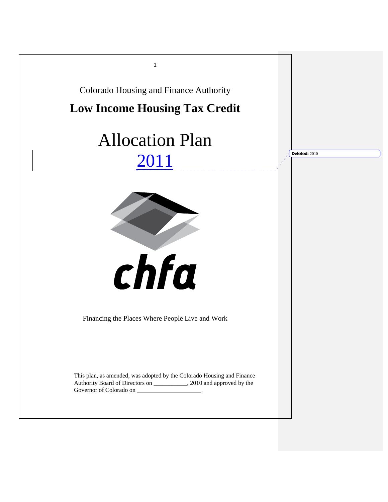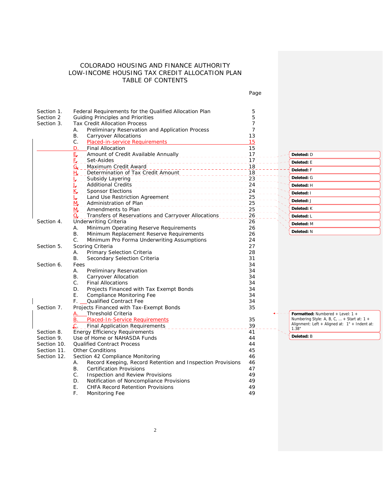# COLORADO HOUSING AND FINANCE AUTHORITY LOW-INCOME HOUSING TAX CREDIT ALLOCATION PLAN TABLE OF CONTENTS

Page

| Section 1.  | Federal Requirements for the Qualified Allocation Plan           | 5  |                                               |
|-------------|------------------------------------------------------------------|----|-----------------------------------------------|
| Section 2   | <b>Guiding Principles and Priorities</b>                         | 5  |                                               |
| Section 3.  | <b>Tax Credit Allocation Process</b>                             | 7  |                                               |
|             | Preliminary Reservation and Application Process<br>А.            | 7  |                                               |
|             | В.<br><b>Carryover Allocations</b>                               | 13 |                                               |
|             | C.<br>Placed-in-service Requirements                             | 15 |                                               |
|             | <b>Final Allocation</b><br>D.                                    | 15 |                                               |
|             | 팈.<br>Amount of Credit Available Annually                        | 17 | Deleted: D                                    |
|             | Set-Asides<br>E. .<br><u> 2222222222222</u>                      | 17 | Deleted: E                                    |
|             | Maximum Credit Award<br>G,<br><u> 111111111111111111</u>         | 18 | Deleted: F                                    |
|             | Determination of Tax Credit Amount<br>ц.                         | 18 |                                               |
|             |                                                                  | 23 | Deleted: G                                    |
|             | <b>Additional Credits</b><br>______________________              | 24 | Deleted: H                                    |
|             | K <sub>L</sub> _ Sponsor Elections                               | 24 | Deleted: I                                    |
|             | Land Use Restriction Agreement                                   | 25 |                                               |
|             | M. Administration of Plan                                        | 25 | Deleted: J                                    |
|             | Amendments to Plan<br>M.                                         | 25 | Deleted: K                                    |
|             | Transfers of Reservations and Carryover Allocations<br>$\Omega$  | 26 | Deleted: L                                    |
| Section 4.  | Underwriting Criteria                                            | 26 | Deleted: M                                    |
|             | Minimum Operating Reserve Requirements<br>А.                     | 26 |                                               |
|             | В.<br>Minimum Replacement Reserve Requirements                   | 26 | Deleted: N                                    |
|             | $C_{\cdot}$<br>Minimum Pro Forma Underwriting Assumptions        | 24 |                                               |
| Section 5.  | Scoring Criteria                                                 | 27 |                                               |
|             | Primary Selection Criteria<br>А.                                 | 28 |                                               |
|             | В.<br>Secondary Selection Criteria                               | 31 |                                               |
| Section 6.  | Fees                                                             | 34 |                                               |
|             | Preliminary Reservation<br>Α.                                    | 34 |                                               |
|             | Carryover Allocation<br>В.                                       | 34 |                                               |
|             | $C_{\cdot}$<br><b>Final Allocations</b>                          | 34 |                                               |
|             | Projects Financed with Tax Exempt Bonds<br>D.                    | 34 |                                               |
|             | E.<br><b>Compliance Monitoring Fee</b>                           | 34 |                                               |
|             | <b>Qualified Contract Fee</b><br>F.                              | 34 |                                               |
| Section 7.  | Projects Financed with Tax-Exempt Bonds                          | 35 |                                               |
|             | Threshold Criteria<br>А. –                                       |    | <b>Formatted:</b> Numbered + Level: $1 +$     |
|             | Placed-In-Service Requirements<br>В.                             | 35 | Numbering Style: A, B, C,  + Start at: 1 +    |
|             | $\mathcal{L}$ .<br><b>Final Application Requirements</b>         | 39 | Alignment: Left + Aligned at: 1" + Indent at: |
| Section 8.  | <b>Energy Efficiency Requirements</b>                            | 41 | 1.38"                                         |
| Section 9.  | Use of Home or NAHASDA Funds                                     | 44 | Deleted: B                                    |
| Section 10. | <b>Qualified Contract Process</b>                                | 44 |                                               |
| Section 11. | <b>Other Conditions</b>                                          | 45 |                                               |
| Section 12. | Section 42 Compliance Monitoring                                 | 46 |                                               |
|             | Record Keeping, Record Retention and Inspection Provisions<br>А. | 46 |                                               |
|             | <b>B.</b><br><b>Certification Provisions</b>                     | 47 |                                               |
|             | C.<br>Inspection and Review Provisions                           | 49 |                                               |
|             | D.<br>Notification of Noncompliance Provisions                   | 49 |                                               |
|             | Ε.<br><b>CHFA Record Retention Provisions</b>                    | 49 |                                               |
|             | F.                                                               | 49 |                                               |
|             | Monitoring Fee                                                   |    |                                               |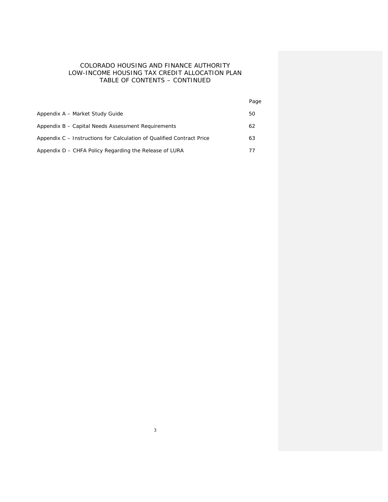# COLORADO HOUSING AND FINANCE AUTHORITY LOW-INCOME HOUSING TAX CREDIT ALLOCATION PLAN TABLE OF CONTENTS – CONTINUED

|                                                                       | Page |
|-----------------------------------------------------------------------|------|
| Appendix A - Market Study Guide                                       | 50   |
| Appendix B – Capital Needs Assessment Requirements                    | 62   |
| Appendix C – Instructions for Calculation of Qualified Contract Price | 63   |
| Appendix D – CHFA Policy Regarding the Release of LURA                |      |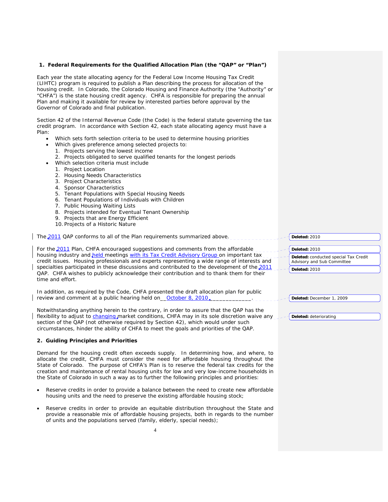# **1. Federal Requirements for the Qualified Allocation Plan (the "QAP" or "Plan")**  Each year the state allocating agency for the Federal Low Income Housing Tax Credit (LIHTC) program is required to publish a Plan describing the process for allocation of the housing credit. In Colorado, the Colorado Housing and Finance Authority (the "Authority" or "CHFA") is the state housing credit agency. CHFA is responsible for preparing the annual Plan and making it available for review by interested parties before approval by the Governor of Colorado and final publication. Section 42 of the Internal Revenue Code (the Code) is the federal statute governing the tax credit program. In accordance with Section 42, each state allocating agency must have a Plan: Which sets forth selection criteria to be used to determine housing priorities Which gives preference among selected projects to: 1. Projects serving the lowest income 2. Projects obligated to serve qualified tenants for the longest periods • Which selection criteria must include 1. Project Location 2. Housing Needs Characteristics 3. Project Characteristics 4. Sponsor Characteristics 5. Tenant Populations with Special Housing Needs 6. Tenant Populations of Individuals with Children 7. Public Housing Waiting Lists 8. Projects intended for Eventual Tenant Ownership 9. Projects that are Energy Efficient 10. Projects of a Historic Nature The 2011 QAP conforms to all of the Plan requirements summarized above. For the 2011 Plan, CHFA encouraged suggestions and comments from the affordable housing industry and held meetings with its Tax Credit Advisory Group on important tax credit issues. Housing professionals and experts representing a wide range of interests and specialties participated in these discussions and contributed to the development of the 2011 QAP. CHFA wishes to publicly acknowledge their contribution and to thank them for their time and effort. In addition, as required by the Code, CHFA presented the draft allocation plan for public review and comment at a public hearing held on October 8, 2010. Notwithstanding anything herein to the contrary, in order to assure that the QAP has the flexibility to adjust to changing market conditions, CHFA may in its sole discretion waive any section of the QAP (not otherwise required by Section 42), which would under such circumstances, hinder the ability of CHFA to meet the goals and priorities of the QAP. **2. Guiding Principles and Priorities**  Demand for the housing credit often exceeds supply. In determining how, and where, to allocate the credit, CHFA must consider the need for affordable housing throughout the State of Colorado. The purpose of CHFA's Plan is to reserve the federal tax credits for the creation and maintenance of rental housing units for low and very low-income households in the State of Colorado in such a way as to further the following principles and priorities: Reserve credits in order to provide a balance between the need to create new affordable housing units and the need to preserve the existing affordable housing stock; Reserve credits in order to provide an equitable distribution throughout the State and provide a reasonable mix of affordable housing projects, both in regards to the number **Deleted:** 2010 **Deleted:** 2010 **Deleted:** conducted special Tax Credit Advisory and Sub Committee **Deleted:** 2010 **Deleted:** December 1, 2009 **Deleted:** deteriorating

of units and the populations served (family, elderly, special needs);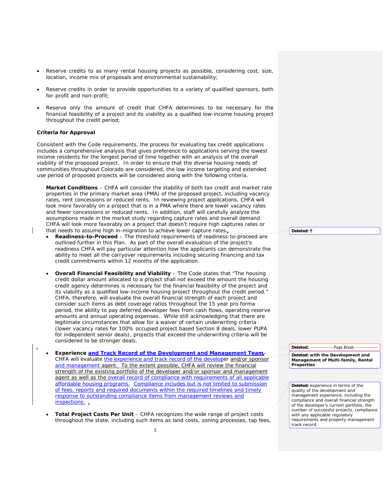- Reserve credits to as many rental housing projects as possible, considering cost, size, location, income mix of proposals and environmental sustainability;
- Reserve credits in order to provide opportunities to a variety of qualified sponsors, both for-profit and non-profit;
- Reserve only the amount of credit that CHFA determines to be necessary for the financial feasibility of a project and its viability as a qualified low-income housing project throughout the credit period;

# **Criteria for Approval**

Consistent with the Code requirements, the process for evaluating tax credit applications includes a comprehensive analysis that gives preference to applications serving the lowest income residents for the longest period of time together with an analysis of the overall viability of the proposed project. In order to ensure that the diverse housing needs of communities throughout Colorado are considered, the low income targeting and extended use period of proposed projects will be considered along with the following criteria.

**Market Conditions** – CHFA will consider the stability of both tax credit and market rate properties in the primary market area (PMA) of the proposed project, including vacancy rates, rent concessions or reduced rents. In reviewing project applications, CHFA will look more favorably on a project that is in a PMA where there are lower vacancy rates and fewer concessions or reduced rents. In addition, staff will carefully analyze the assumptions made in the market study regarding capture rates and overall demand. CHFA will look more favorably on a project that doesn't require high captures rates or that needs to assume high in-migration to achieve lower capture rates $\overline{\mathbf{r}}$ 

- **Readiness-to-Proceed** The threshold requirements of readiness-to-proceed are outlined further in this Plan. As part of the overall evaluation of the project's readiness CHFA will pay particular attention how the applicants can demonstrate the ability to meet all the carryover requirements including securing financing and tax credit commitments within 12 months of the application.
- **Overall Financial Feasibility and Viability** The Code states that "The housing credit dollar amount allocated to a project shall not exceed the amount the housing credit agency determines is necessary for the financial feasibility of the project and its viability as a qualified low-income housing project throughout the credit period." CHFA, therefore, will evaluate the overall financial strength of each project and consider such items as debt coverage ratios throughout the 15 year pro forma period, the ability to pay deferred developer fees from cash flows, operating reserve amounts and annual operating expenses. While still acknowledging that there are legitimate circumstances that allow for a waiver of certain underwriting criteria (lower vacancy rates for 100% occupied project based Section 8 deals, lower PUPA for independent senior deals), projects that exceed the underwriting criteria will be considered to be stronger deals.
- **Experience and Track Record of the Development and Management Team** CHFA will evaluate the experience and track record of the developer and/or sponsor and management agent. To the extent possible, CHFA will review the financial strength of the existing portfolio of the developer and/or sponsor and management agent as well as the overall record of compliance with requirements of all applicable affordable housing programs. Compliance includes but is not limited to submission of fees, reports and required documents within the required timelines and timely response to outstanding compliance items from management reviews and inspections. .
	- **Total Project Costs Per Unit** CHFA recognizes the wide range of project costs throughout the state, including such items as land costs, zoning processes, tap fees,

**Deleted:** ¶

**Deleted:** Page Break

**Deleted: with the Development and Management of Multi-family, Rental Properties**

**Deleted:** experience in terms of the quality of the development and management experience, including the compliance and overall financial strength of the developer's current portfolio, the number of successful projects, compliance with any applicable regulatory requirements and property management track record.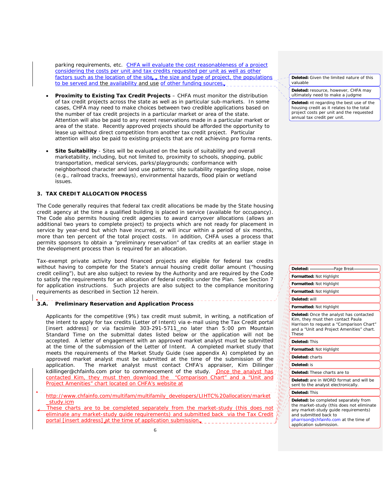parking requirements, etc. CHFA will evaluate the cost reasonableness of a project considering the costs per unit and tax credits requested per unit as well as other factors such as the location of the site... the size and type of project, the populations to be served and the availability and use of other funding sources.

- **Proximity to Existing Tax Credit Projects** CHFA must monitor the distribution of tax credit projects across the state as well as in particular sub-markets. In some cases, CHFA may need to make choices between two credible applications based on the number of tax credit projects in a particular market or area of the state. Attention will also be paid to any recent reservations made in a particular market or area of the state. Recently approved projects should be afforded the opportunity to lease up without direct competition from another tax credit project. Particular attention will also be paid to existing projects that are not achieving pro forma rents.
- **Site Suitability** Sites will be evaluated on the basis of suitability and overall marketability, including, but not limited to, proximity to schools, shopping, public transportation, medical services, parks/playgrounds; conformance with neighborhood character and land use patterns; site suitability regarding slope, noise (e.g., railroad tracks, freeways), environmental hazards, flood plain or wetland issues.

# **3. TAX CREDIT ALLOCATION PROCESS**

The Code generally requires that federal tax credit allocations be made by the State housing credit agency at the time a qualified building is placed in service (available for occupancy). The Code also permits housing credit agencies to award carryover allocations (allows an additional two years to complete project) to projects which are not ready for placement in service by year-end but which have incurred, or will incur within a period of six months, more than ten percent of the total project costs. In addition, CHFA uses a process that permits sponsors to obtain a "preliminary reservation" of tax credits at an earlier stage in the development process than is required for an allocation.

Tax-exempt private activity bond financed projects are eligible for federal tax credits without having to compete for the State's annual housing credit dollar amount ("housing credit ceiling"), but are also subject to review by the Authority and are required by the Code to satisfy the requirements for an allocation of federal credits under the Plan. See Section 7 for application instructions. Such projects are also subject to the compliance monitoring requirements as described in Section 12 herein.

# **3.A. Preliminary Reservation and Application Process**

 Applicants for the competitive (9%) tax credit must submit, in writing, a notification of the intent to apply for tax credits (Letter of Intent) via e-mail using the Tax Credit portal [insert address] or via facsimile 303-291-5711\_no later than 5:00 pm Mountain Standard Time on the submittal dates listed below or the application will not be accepted. A letter of engagement with an approved market analyst must be submitted at the time of the submission of the Letter of Intent. A completed market study that meets the requirements of the Market Study Guide (see appendix A) completed by an approved market analyst must be submitted at the time of the submission of the application. The market analyst must contact CHFA's appraiser. Kim Dillinger The market analyst must contact CHFA's appraiser, Kim Dillinger kdillinger@chfainfo.com prior to commencement of the study. Once the analyst has contacted Kim, they must then download the "Comparison Chart" and a "Unit and Project Amenities" chart located on CHFA's website at

http://www.chfainfo.com/multifam/multifamily\_developers/LIHTC%20allocation/market study.icm

These charts are to be completed separately from the market-study (this does eliminate any market-study guide requirements) and submitted back via the Tax Credit portal [insert address] at the time of application submission.

**Deleted:** Given the limited nature of this valuable

**Deleted:** resource, however, CHFA may ultimately need to make a judgme

**Deleted:** nt regarding the best use of the housing credit as it relates to the total project costs per unit and the requested annual tax credit per unit.

| Formatted: Not Highlight                                                                                                                                                                                                |
|-------------------------------------------------------------------------------------------------------------------------------------------------------------------------------------------------------------------------|
| Formatted: Not Highlight                                                                                                                                                                                                |
| Formatted: Not Highlight                                                                                                                                                                                                |
| Deleted: will                                                                                                                                                                                                           |
| Formatted: Not Highlight                                                                                                                                                                                                |
| Deleted: Once the analyst has contacted<br>Kim, they must then contact Paula<br>Harrison to request a "Comparison Chart"<br>and a "Unit and Project Amenities" chart.<br>These                                          |
| Deleted: This                                                                                                                                                                                                           |
| Formatted: Not Highlight                                                                                                                                                                                                |
| Deleted: charts                                                                                                                                                                                                         |
| Deleted: is                                                                                                                                                                                                             |
| Deleted: These charts are to                                                                                                                                                                                            |
| Deleted: are in WORD format and will be<br>sent to the analyst electronically.                                                                                                                                          |
| Deleted: This                                                                                                                                                                                                           |
| Deleted: be completed separately from<br>the market-study (this does not eliminate<br>any market-study quide requirements)<br>and submitted back to<br>pharrison@chfainfo.com at the time of<br>application submission. |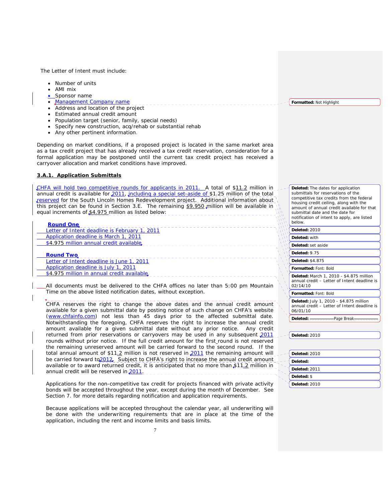The Letter of Intent must include:

- Number of units
- AMI mix
- Sponsor name
- Management Company name
- Address and location of the project
- Estimated annual credit amount
- Population target (senior, family, special needs)
- Specify new construction, acq/rehab or substantial rehab
- Any other pertinent information.

Depending on market conditions, if a proposed project is located in the same market area as a tax credit project that has already received a tax credit reservation, consideration for a formal application may be postponed until the current tax credit project has received a carryover allocation and market conditions have improved.

## **3.A.1. Application Submittals**

CHFA will hold two competitive rounds for applicants in 2011. A total of \$11.2 million in annual credit is available for 2011, including a special set-aside of \$1.25 million of the total reserved for the South Lincoln Homes Redevelopment project. Additional information about this project can be found in Section 3.E. The remaining \$9.950 million will be available in equal increments of \$4.975 million as listed below:

## **Round One**

Letter of Intent deadline is February 1, 2011 Application deadline is March 1, 2011 \$4.975 million annual credit available.

**Round Two** Letter of Intent deadline is June 1, 2011 Application deadline is July 1, 2011 \$4.975 million in annual credit available

All documents must be delivered to the CHFA offices no later than 5:00 pm Mountain Time on the above listed notification dates, without exception.

CHFA reserves the right to change the above dates and the annual credit amount available for a given submittal date by posting notice of such change on CHFA's website (www.chfainfo.com) not less than 45 days prior to the affected submittal date. Notwithstanding the foregoing, CHFA reserves the right to increase the annual credit amount available for a given submittal date without any prior notice. Any credit returned from prior reservations or carryovers may be used in any subsequent 2011 rounds without prior notice. If the full credit amount for the first\_round is not reserved the remaining unreserved amount will be carried forward to the second round. If the total annual amount of \$11.2 million is not reserved in 2011 the remaining amount will be carried forward to 2012. Subject to CHFA's right to increase the annual credit amount available or to award returned credit, it is anticipated that no more than \$11.2 million in annual credit will be reserved in 2011.

Applications for the non-competitive tax credit for projects financed with private activity bonds will be accepted throughout the year, except during the month of December. See Section 7. for more details regarding notification and application requirements.

 Because applications will be accepted throughout the calendar year, all underwriting will be done with the underwriting requirements that are in place at the time of the application, including the rent and income limits and basis limits.

**Formatted:** Not Highlight

**Deleted:** The dates for application submittals for reservations of the competitive tax credits from the federal housing credit ceiling, along with the amount of annual credit available for that submittal date and the date for notification of intent to apply, are listed below. **Deleted:** 2010

**Deleted:** with

**Deleted:** set aside

**Deleted:** 9.75

**Deleted:** \$4.875

**Formatted:** Font: Bold

**Deleted:** March 1, 2010 - \$4.875 million annual credit – Letter of Intent deadline is 02/14/10

**Formatted:** Font: Bold

**Deleted:** July 1, 2010 - \$4.875 million annual credit – Letter of Intent deadline is 06/01/10

**Deleted:** Page Break

**Deleted:** 2010

| Deleted: 2010 |  |
|---------------|--|
| Deleted:      |  |
| Deleted: 2011 |  |
| Deleted: \$   |  |
| Deleted: 2010 |  |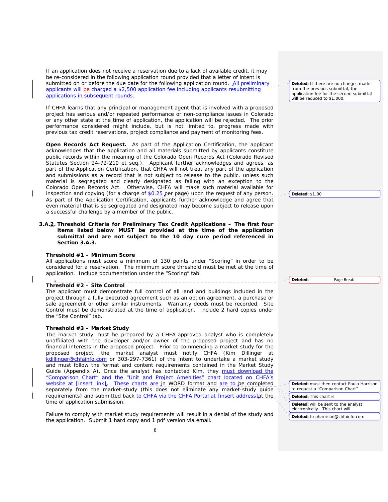If an application does not receive a reservation due to a lack of available credit, it may be re-considered in the following application round provided that a letter of intent is submitted on or before the due date for the following application round. All preliminary applicants will be charged a \$2,500 application fee including applicants resubmitting applications in subsequent rounds.

 If CHFA learns that any principal or management agent that is involved with a proposed project has serious and/or repeated performance or non-compliance issues in Colorado or any other state at the time of application, the application will be rejected. The prior performance considered might include, but is not limited to, progress made with previous tax credit reservations, project compliance and payment of monitoring fees.

**Open Records Act Request.** As part of the Application Certification, the applicant acknowledges that the application and all materials submitted by applicants constitute public records within the meaning of the Colorado Open Records Act (Colorado Revised Statutes Section 24-72-210 et seq.). Applicant further acknowledges and agrees, as part of the Application Certification, that CHFA will not treat any part of the application and submissions as a record that is not subject to release to the public, unless such material is segregated and clearly designated as falling with an exception to the Colorado Open Records Act. Otherwise, CHFA will make such material available for inspection and copying (for a charge of \$0.25 per page) upon the request of any person. As part of the Application Certification, applicants further acknowledge and agree that even material that is so segregated and designated may become subject to release upon a successful challenge by a member of the public.

**3.A.2. Threshold Criteria for Preliminary Tax Credit Applications – The first four items listed below MUST be provided at the time of the application submittal and are not subject to the 10 day cure period referenced in Section 3.A.3.**

# **Threshold #1 – Minimum Score**

 All applications must score a minimum of 130 points under "Scoring" in order to be considered for a reservation. The minimum score threshold must be met at the time of application. Include documentation under the "Scoring" tab.

## **Threshold #2 – Site Control**

The applicant must demonstrate full control of all land and buildings included in the project through a fully executed agreement such as an option agreement, a purchase or sale agreement or other similar instruments. Warranty deeds must be recorded. Site Control must be demonstrated at the time of application. Include 2 hard copies under the "Site Control" tab.

## **Threshold #3 – Market Study**

 The market study must be prepared by a CHFA-approved analyst who is completely unaffiliated with the developer and/or owner of the proposed project and has no financial interests in the proposed project. Prior to commencing a market study for the proposed project, the market analyst must notify CHFA (Kim Dillinger at kdillinger@chfainfo.com or 303-297-7361) of the intent to undertake a market study and must follow the format and content requirements contained in the Market Study Guide (Appendix A). Once the analyst has contacted Kim, they must download the "Comparison Chart" and the "Unit and Project Amenities" chart located on CHFA's website at [insert link]. These charts are in WORD format and are to be completed separately from the market-study (this does not eliminate any market-study guide requirements) and submitted back to CHFA via the CHFA Portal at [insert address]at the time of application submission.

Failure to comply with market study requirements will result in a denial of the study and the application. Submit 1 hard copy and 1 pdf version via email.

**Deleted:** If there are no changes made from the previous submittal, the application fee for the second submittal will be reduced to \$1,000.

**Deleted:** \$1.00

**Deleted:** must then contact Paula Harrison to request a "Comparison Chart"

**Deleted:** This chart is

**Deleted:** Page Break

**Deleted:** will be sent to the analyst electronically. This chart will

**Deleted:** to pharrison@chfainfo.com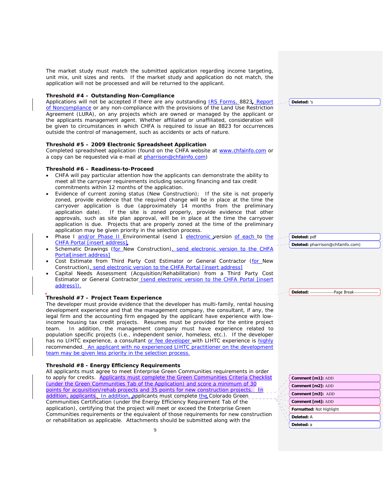The market study must match the submitted application regarding income targeting. unit mix, unit sizes and rents. If the market study and application do not match, the application will not be processed and will be returned to the applicant.

# **Threshold #4 – Outstanding Non-Compliance**

Applications will not be accepted if there are any outstanding **IRS Forms** 8823, Report of Noncompliance or any non-compliance with the provisions of the Land Use Restriction Agreement (LURA), on any projects which are owned or managed by the applicant or the applicants management agent. Whether affiliated or unaffiliated, consideration will be given to circumstances in which CHFA is required to issue an 8823 for occurrences outside the control of management, such as accidents or acts of nature.

# **Threshold #5 – 2009 Electronic Spreadsheet Application**

 Completed spreadsheet application (found on the CHFA website at www.chfainfo.com or a copy can be requested via e-mail at pharrison@chfainfo.com)

# **Threshold #6 – Readiness-to-Proceed**

- CHFA will pay particular attention how the applicants can demonstrate the ability to meet all the carryover requirements including securing financing and tax credit commitments within 12 months of the application.
- Evidence of current zoning status (New Construction); If the site is not properly zoned, provide evidence that the required change will be in place at the time the carryover application is due (approximately 14 months from the preliminary application date). If the site is zoned properly, provide evidence that other approvals, such as site plan approval, will be in place at the time the carryover application is due. Projects that are properly zoned at the time of the preliminary application may be given priority in the selection process.
- Phase I and/or Phase II Environmental (send 1 electronic version of each to the CHFA Portal [insert address]
- Schematic Drawings (for New Construction), send electronic version to the CHFA Portal[insert address]
- Cost Estimate from Third Party Cost Estimator or General Contractor (for New Construction), send electronic version to the CHFA Portal [insert address]
- Capital Needs Assessment (Acquisition/Rehabilitation) from a Third Party Cost Estimator or General Contractor (send electronic version to the CHFA Portal [insert address]).

# **Threshold #7 – Project Team Experience**

 The developer must provide evidence that the developer has multi-family, rental housing development experience and that the management company, the consultant, if any, the legal firm and the accounting firm engaged by the applicant have experience with lowincome housing tax credit projects. Resumes must be provided for the entire project team. In addition, the management company must have experience related to population specific projects (i.e., independent senior, homeless, etc.). If the developer has no LIHTC experience, a consultant or fee developer with LIHTC experience is highly recommended. An applicant with no experienced LIHTC practitioner on the development team may be given less priority in the selection process.

# **Threshold #8 - Energy Efficiency Requirements**

All applicants must agree to meet Enterprise Green Communities requirements in order to apply for credits. Applicants must complete the Green Communities Criteria Checklist (under the Green Communities Tab of the Application) and score a minimum of 30 points for acquisition/rehab projects and 35 points for new construction projects. | In addition, applicants. In addition, applicants must complete the Colorado Green Communities Certification (under the Energy Efficiency Requirement Tab of the application), certifying that the project will meet or exceed the Enterprise Green Communities requirements or the equivalent of those requirements for new construction or rehabilitation as applicable. Attachments should be submitted along with the

**Deleted:** 's

**Deleted:** pdf **Deleted:** pharrison@chfainfo.com)

| Comment [m1]: ADD        |
|--------------------------|
| Comment [m2]: ADD        |
| Comment [m3]: ADD        |
| Comment [m4]: ADD        |
| Formatted: Not Highlight |
| Deleted: A               |
| Deleted: a               |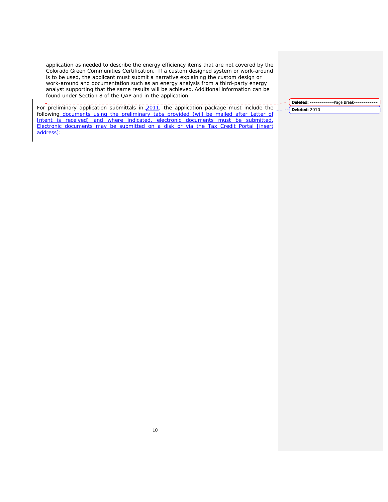application as needed to describe the energy efficiency items that are not covered by the Colorado Green Communities Certification. If a custom designed system or work-around is to be used, the applicant must submit a narrative explaining the custom design or work-around and documentation such as an energy analysis from a third-party energy analyst supporting that the same results will be achieved. Additional information can be found under Section 8 of the QAP and in the application.

For preliminary application submittals in 2011, the application package must include the following documents using the preliminary tabs provided (will be mailed after Letter of Intent is received) and where indicated, electronic documents must be submitted. Electronic documents may be submitted on a disk or via the Tax Credit Portal [insert address]:

# Deleted: Page Break-**Deleted:** 2010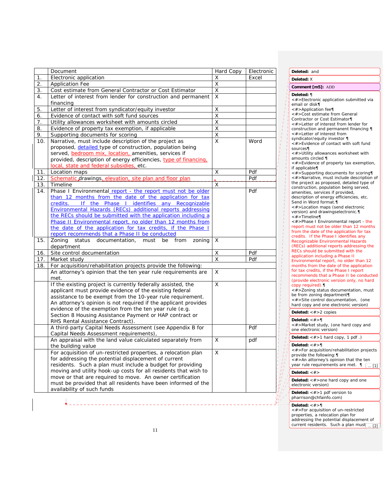|     | Document                                                                                                          | Hard Copy | Electronic |      |
|-----|-------------------------------------------------------------------------------------------------------------------|-----------|------------|------|
| 1.  | Electronic application                                                                                            | X         | Excel      |      |
| 2.  | <b>Application Fee</b>                                                                                            | X         |            |      |
| 3.  | Cost estimate from General Contractor or Cost Estimator                                                           | X         |            |      |
| 4.  | Letter of interest from lender for construction and permanent                                                     | X         |            |      |
|     | financing                                                                                                         |           |            |      |
| 5.  | Letter of interest from syndicator/equity investor                                                                | Χ         |            |      |
| 6.  | Evidence of contact with soft fund sources                                                                        | X         |            |      |
| 7.  | Utility allowances worksheet with amounts circled                                                                 | Χ         |            |      |
| 8.  | Evidence of property tax exemption, if applicable                                                                 | Χ         |            |      |
| 9.  | Supporting documents for scoring                                                                                  | Χ         |            |      |
| 10. | Narrative, must include description of the project as                                                             | X         | Word       |      |
|     | proposed, detailed type of construction, population being                                                         |           |            |      |
|     | served, bedroom mix, location, amenities, services if                                                             |           |            |      |
|     | provided, description of energy efficiencies, type of financing,                                                  |           |            |      |
|     | local, state and federal subsidies, etc.                                                                          |           |            |      |
| 11. | Location maps<br>Schematic drawings, elevation, site plan and floor plan                                          | X         | Pdf<br>Pdf |      |
| 12. |                                                                                                                   |           |            |      |
| 13. | Timeline                                                                                                          | X         |            |      |
| 14. | Phase I Environmental report - the report must not be older                                                       |           | Pdf        |      |
|     | than 12 months from the date of the application for tax<br>If the Phase I identifies any Recognizable<br>credits. |           |            |      |
|     | Environmental Hazards (RECs) additional reports addressing                                                        |           |            |      |
|     | the RECs should be submitted with the application including a                                                     |           |            |      |
|     | Phase II Environmental report, no older than 12 months from                                                       |           |            |      |
|     | the date of the application for tax credits, if the Phase I                                                       |           |            |      |
|     | report recommends that a Phase II be conducted                                                                    |           |            |      |
| 15. | Zoning<br>status<br>documentation,<br>must<br>be<br>from<br>zoning                                                | X         |            |      |
|     | department                                                                                                        |           |            |      |
| 16. | Site control documentation                                                                                        | X         | Pdf        |      |
| 17. | Market study                                                                                                      | X         | Pdf        |      |
| 18. | For acquisition/rehabilitation projects provide the following:                                                    |           |            |      |
|     | An attorney's opinion that the ten year rule requirements are                                                     | X         |            |      |
|     | met.                                                                                                              |           |            |      |
|     | If the existing project is currently federally assisted, the                                                      | X         |            |      |
|     | applicant must provide evidence of the existing federal                                                           |           |            |      |
|     | assistance to be exempt from the 10-year rule requirement.                                                        |           |            |      |
|     | An attorney's opinion is not required if the applicant provides                                                   |           |            |      |
|     | evidence of the exemption from the ten year rule (e.g.                                                            |           |            |      |
|     | Section 8 Housing Assistance Payment or HAP contract or                                                           |           |            |      |
|     | RHS Rental Assistance Contract).                                                                                  |           |            |      |
|     | A third-party Capital Needs Assessment (see Appendix B for                                                        |           | Pdf        |      |
|     | Capital Needs Assessment requirements),                                                                           |           |            |      |
|     | An appraisal with the land value calculated separately from                                                       | X         | pdf        |      |
|     | the building value                                                                                                |           |            |      |
|     | For acquisition of un-restricted properties, a relocation plan                                                    | X         |            |      |
|     | for addressing the potential displacement of current                                                              |           |            |      |
|     | residents. Such a plan must include a budget for providing                                                        |           |            |      |
|     | moving and utility hook-up costs for all residents that wish to                                                   |           |            | b II |
|     | move or that are required to move. An owner certification                                                         |           |            |      |
|     | must be provided that all residents have been informed of the                                                     |           |            |      |
|     | availability of such funds                                                                                        |           |            |      |

#### **Deleted:** and **Deleted:** X **Deleted:** ¶ <#>Electronic application submitted via email or disk¶ <#>Application fee¶ <#>Cost estimate from General Contractor or Cost Estimator¶ <#>Letter of interest from lender for construction and permanent financing ¶ <#>Letter of interest from syndicator/equity investor ¶ <#>Evidence of contact with soft fund sources¶ <#>Utility allowances worksheet with amounts circled ¶ <#>Evidence of property tax exemption, if applicable¶ <#>Supporting documents for scoring¶ <#>Narrative, must include description of the project as proposed, detailed type of construction, population being served, amenities, services if provided, description of energy efficiencies, etc. Send in Word format.¶ <#>Location maps (send electronic version) and drawingselectronic.¶ <#>Timeline¶ <#>Phase I Environmental report - the report must not be older than 12 months from the date of the application for tax credits. If the Phase I identifies any Recognizable Environmental Hazards (RECs) additional reports addressing the RECs should be submitted with the application including a Phase II Environmental report, no older than 12 months from the date of the application for tax credits, if the Phase I report recommends that a Phase II be conducted (provide electronic version only, no hard copy required).¶ <#>Zoning status documentation, must be from zoning department¶ <#>Site control documentation, (one hard copy and one electronic version) **Comment [m5]:** ADD **Deleted:** <#>2 copies **Deleted:** <#>¶ <#>Market study, (one hard copy and one electronic version) Deleted: <#>1 hard copy, 1 pdf .) **Deleted:** <#>¶ <#>For acquisition/rehabilitation projects provide the following:¶ <#>An attorney's opinion that the ten year rule requirements are met.  $\P$   $\boxed{... [1]}$

## **Deleted:** <#>

Deleted: <#>one hard copy and one electronic version)

**Deleted:** <#>1 pdf version to

pharrison@chfainfo.com)

## **Deleted:** <#>¶

<#>For acquisition of un-restricted properties, a relocation plan for addressing the potential displacement of current residents. Such a plan must $\boxed{... [2]}$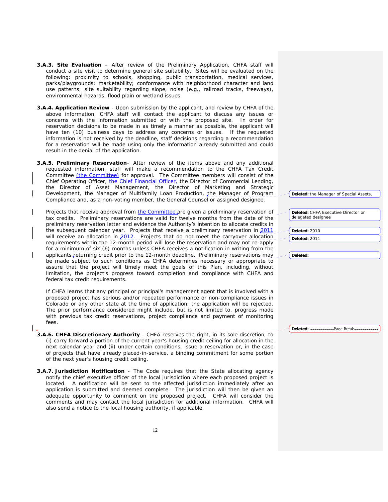- **3.A.3. Site Evaluation** After review of the Preliminary Application, CHFA staff will conduct a site visit to determine general site suitability. Sites will be evaluated on the following: proximity to schools, shopping, public transportation, medical services, parks/playgrounds; marketability; conformance with neighborhood character and land use patterns; site suitability regarding slope, noise (e.g., railroad tracks, freeways), environmental hazards, flood plain or wetland issues.
- **3.A.4. Application Review**  Upon submission by the applicant, and review by CHFA of the above information, CHFA staff will contact the applicant to discuss any issues or concerns with the information submitted or with the proposed site. In order for reservation decisions to be made in as timely a manner as possible, the applicant will have ten (10) business days to address any concerns or issues. If the requested information is not received by the deadline, staff decisions regarding a recommendation for a reservation will be made using only the information already submitted and could result in the denial of the application.
- **3.A.5. Preliminary Reservation** After review of the items above and any additional requested information, staff will make a recommendation to the CHFA Tax Credit Committee (the Committee) for approval. The Committee members will consist of the Chief Operating Officer, the Chief Financial Officer, the Director of Commercial Lending, the Director of Asset Management, the Director of Marketing and Strategic Development, the Manager of Multifamily Loan Production, the Manager of Program Compliance and, as a non-voting member, the General Counsel or assigned designee.

Projects that receive approval from the Committee are given a preliminary reservation of tax credits. Preliminary reservations are valid for twelve months from the date of the preliminary reservation letter and evidence the Authority's intention to allocate credits in the subsequent calendar year. Projects that receive a preliminary reservation in 2011 will receive an allocation in 2012. Projects that do not meet the carryover allocation requirements within the 12-month period will lose the reservation and may not re-apply for a minimum of six (6) months unless CHFA receives a notification in writing from the applicants returning credit prior to the 12-month deadline. Preliminary reservations may be made subject to such conditions as CHFA determines necessary or appropriate to assure that the project will timely meet the goals of this Plan, including, without limitation, the project's progress toward completion and compliance with CHFA and federal tax credit requirements.

If CHFA learns that any principal or principal's management agent that is involved with a proposed project has serious and/or repeated performance or non-compliance issues in Colorado or any other state at the time of application, the application will be rejected. The prior performance considered might include, but is not limited to, progress made with previous tax credit reservations, project compliance and payment of monitoring fees.

- **3.A.6. CHFA Discretionary Authority**  CHFA reserves the right, in its sole discretion, to (i) carry forward a portion of the current year's housing credit ceiling for allocation in the next calendar year and (ii) under certain conditions, issue a reservation or, in the case of projects that have already placed-in-service, a binding commitment for some portion of the next year's housing credit ceiling.
- **3.A.7. Jurisdiction Notification** The Code requires that the State allocating agency notify the chief executive officer of the local jurisdiction where each proposed project is located. A notification will be sent to the affected jurisdiction immediately after an application is submitted and deemed complete. The jurisdiction will then be given an adequate opportunity to comment on the proposed project. CHFA will consider the comments and may contact the local jurisdiction for additional information. CHFA will also send a notice to the local housing authority, if applicable.

| <b>Deleted:</b> the Manager of Special Assets, |  |  |  |
|------------------------------------------------|--|--|--|
|                                                |  |  |  |

| <b>Deleted:</b> CHFA Executive Director or |
|--------------------------------------------|
| delegated designee                         |

| <b>Deleted: 2010</b> |  |
|----------------------|--|
| Deleted: 2011        |  |

**Deleted:**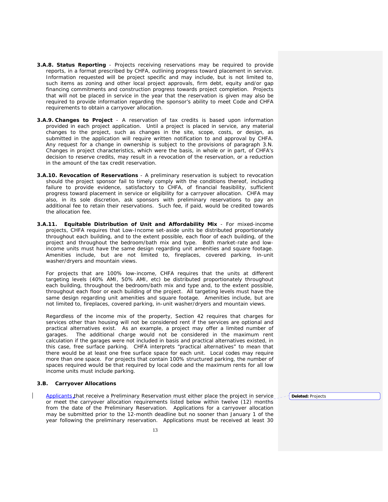- **3.A.8. Status Reporting** Projects receiving reservations may be required to provide reports, in a format prescribed by CHFA, outlining progress toward placement in service. Information requested will be project specific and may include, but is not limited to, such items as zoning and other local project approvals, firm debt, equity and/or gap financing commitments and construction progress towards project completion. Projects that will not be placed in service in the year that the reservation is given may also be required to provide information regarding the sponsor's ability to meet Code and CHFA requirements to obtain a carryover allocation.
- **3.A.9. Changes to Project** A reservation of tax credits is based upon information provided in each project application. Until a project is placed in service, any material changes to the project, such as changes in the site, scope, costs, or design, as submitted in the application will require written notification to and approval by CHFA. Any request for a change in ownership is subject to the provisions of paragraph 3.N. Changes in project characteristics, which were the basis, in whole or in part, of CHFA's decision to reserve credits, may result in a revocation of the reservation, or a reduction in the amount of the tax credit reservation.
- **3.A.10. Revocation of Reservations** A preliminary reservation is subject to revocation should the project sponsor fail to timely comply with the conditions thereof, including failure to provide evidence, satisfactory to CHFA, of financial feasibility, sufficient progress toward placement in service or eligibility for a carryover allocation. CHFA may also, in its sole discretion, ask sponsors with preliminary reservations to pay an additional fee to retain their reservations. Such fee, if paid, would be credited towards the allocation fee.
- **3.A.11. Equitable Distribution of Unit and Affordability Mix**  For mixed-income projects, CHFA requires that Low-Income set-aside units be distributed proportionately throughout each building, and to the extent possible, each floor of each building, of the project and throughout the bedroom/bath mix and type. Both market-rate and lowincome units must have the same design regarding unit amenities and square footage. Amenities include, but are not limited to, fireplaces, covered parking, in-unit washer/dryers and mountain views.

 For projects that are 100% low-income, CHFA requires that the units at different targeting levels (40% AMI, 50% AMI, etc) be distributed proportionately throughout each building, throughout the bedroom/bath mix and type and, to the extent possible, throughout each floor or each building of the project. All targeting levels must have the same design regarding unit amenities and square footage. Amenities include, but are not limited to, fireplaces, covered parking, in-unit washer/dryers and mountain views.

 Regardless of the income mix of the property, Section 42 requires that charges for services other than housing will not be considered rent if the services are optional and practical alternatives exist. As an example, a project may offer a limited number of garages. The additional charge would not be considered in the maximum rent calculation if the garages were not included in basis and practical alternatives existed, in this case, free surface parking. CHFA interprets "practical alternatives" to mean that there would be at least one free surface space for each unit. Local codes may require more than one space. For projects that contain 100% structured parking, the number of spaces required would be that required by local code and the maximum rents for all low income units must include parking.

# **3.B. Carryover Allocations**

Applicants that receive a Preliminary Reservation must either place the project in service or meet the carryover allocation requirements listed below within twelve (12) months from the date of the Preliminary Reservation. Applications for a carryover allocation may be submitted prior to the 12-month deadline but no sooner than January 1 of the year following the preliminary reservation. Applications must be received at least 30

**Deleted:** Projects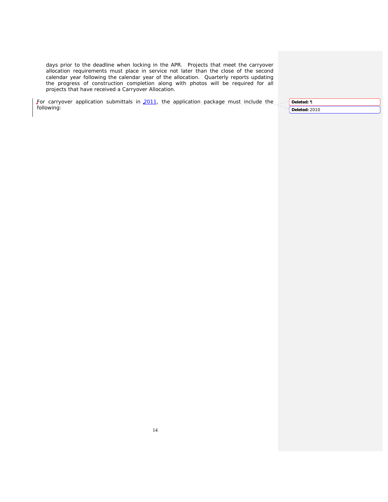days prior to the deadline when locking in the APR. Projects that meet the carryover allocation requirements must place in service not later than the close of the second calendar year following the calendar year of the allocation. Quarterly reports updating the progress of construction completion along with photos will be required for all projects that have received a Carryover Allocation.

For carryover application submittals in 2011, the application package must include the following:

**Deleted:** ¶ **Deleted:** 2010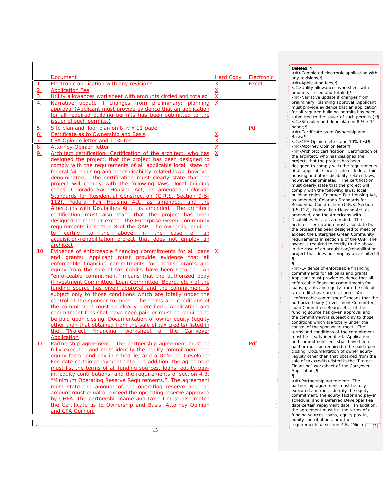|                  | <b>Document</b>                                                                                                                                              | <b>Hard Copy</b> | Electronic |
|------------------|--------------------------------------------------------------------------------------------------------------------------------------------------------------|------------------|------------|
| 1.               | <b>Electronic application with any revisions</b>                                                                                                             | х                | Excel      |
| 2.               | <b>Application Fee</b>                                                                                                                                       | $\overline{X}$   |            |
| $\overline{3}$ . | Utility allowances worksheet with amounts circled and totaled                                                                                                | $\underline{x}$  |            |
| 4.               | Narrative update if changes from preliminary; planning                                                                                                       | $\overline{X}$   |            |
|                  | approval (Applicant must provide evidence that an application                                                                                                |                  |            |
|                  | for all required building permits has been submitted to the                                                                                                  |                  |            |
|                  | issuer of such permits.)                                                                                                                                     |                  |            |
| <u>5.</u>        | Site plan and floor plan on 8 1/2 x 11 paper                                                                                                                 |                  | Pdf        |
| <u>6.</u>        | Certificate as to Ownership and Basis                                                                                                                        | <u>x</u>         |            |
| 7.               | CPA Opinion letter and 10% test                                                                                                                              | $\underline{X}$  |            |
| 8.               | <b>Attorney Opinion letter</b>                                                                                                                               | $\underline{X}$  |            |
| <u>9.</u>        | Architect certification: Certification of the architect, who has                                                                                             | $\underline{X}$  |            |
|                  | designed the project, that the project has been designed to                                                                                                  |                  |            |
|                  | comply with the requirements of all applicable local, state or                                                                                               |                  |            |
|                  | federal fair housing and other disability-related laws, however                                                                                              |                  |            |
|                  | denominated. The certification must clearly state that the                                                                                                   |                  |            |
|                  | project will comply with the following laws: local building                                                                                                  |                  |            |
|                  | codes, Colorado Fair Housing Act, as amended, Colorado                                                                                                       |                  |            |
|                  | Standards for Residential Construction (C.R.S. Section 9-5-                                                                                                  |                  |            |
|                  | 112), Federal Fair Housing Act, as amended, and the                                                                                                          |                  |            |
|                  | Americans with Disabilities Act, as amended. The architect                                                                                                   |                  |            |
|                  | certification must also state that the project has been                                                                                                      |                  |            |
|                  | designed to meet or exceed the Enterprise Green Community                                                                                                    |                  |            |
|                  | requirements in section 8 of the QAP. The owner is required                                                                                                  |                  |            |
|                  | to certify to the above in the case<br>of the contract of the contract of the contract of the contract of the contract of the contract of the contract<br>an |                  |            |
|                  | acquisition/rehabilitation project that does not employ an                                                                                                   |                  |            |
|                  | architect                                                                                                                                                    |                  |            |
| 10.              | Evidence of enforceable financing commitments for all loans                                                                                                  | $\overline{X}$   |            |
|                  | and grants; Applicant must provide evidence that all                                                                                                         |                  |            |
|                  | enforceable financing commitments for loans, grants and                                                                                                      |                  |            |
|                  | equity from the sale of tax credits have been secured. An                                                                                                    |                  |            |
|                  | "enforceable commitment" means that the authorized body                                                                                                      |                  |            |
|                  | (Investment Committee, Loan Committee, Board, etc.) of the                                                                                                   |                  |            |
|                  | funding source has given approval and the commitment is                                                                                                      |                  |            |
|                  | subject only to those conditions which are totally under the                                                                                                 |                  |            |
|                  | control of the sponsor to meet. The terms and conditions of                                                                                                  |                  |            |
|                  | the commitment must be clearly identified. Application and                                                                                                   |                  |            |
|                  | commitment fees shall have been paid or must be required to                                                                                                  |                  |            |
|                  | be paid upon closing. Documentation of owner equity (equity                                                                                                  |                  |            |
|                  | other than that obtained from the sale of tax credits) listed in                                                                                             |                  |            |
|                  | the "Project Financing" worksheet of the Carryover<br>Application                                                                                            |                  |            |
| 11.              | Partnership agreement: The partnership agreement must be                                                                                                     |                  | Pdf        |
|                  | fully executed and must identify the equity commitment, the                                                                                                  |                  |            |
|                  | equity factor and pay-in schedule, and a Deferred Developer                                                                                                  |                  |            |
|                  | Fee date certain repayment date. In addition, the agreement                                                                                                  |                  |            |
|                  | must list the terms of all funding sources, loans, equity pay-                                                                                               |                  |            |
|                  | in, equity contributions, and the requirements of section 4.B.                                                                                               |                  |            |
|                  | "Minimum Operating Reserve Requirements." The agreement                                                                                                      |                  |            |
|                  | must state the amount of the operating reserve and the                                                                                                       |                  |            |
|                  | amount must equal or exceed the operating reserve approved                                                                                                   |                  |            |
|                  | by CHFA. The partnership name and tax ID must also match                                                                                                     |                  |            |
|                  | the Certificate as to Ownership and Basis, Attorney Opinion                                                                                                  |                  |            |
|                  | and CPA Opinion.                                                                                                                                             |                  |            |
|                  |                                                                                                                                                              |                  |            |

#### **Deleted:** ¶

<#>Completed electronic application with any revisions;¶

<#>Application fees;¶

<#>Utility allowances worksheet with amounts circled and totaled;¶

<#>Narrative update if changes from preliminary; planning approval (Applicant must provide evidence that an application for all required building permits has been submitted to the issuer of such permits.);¶ <#>Site plan and floor plan on 8 ½ x 11

paper;¶ <#>Certificate as to Ownership and Basis;¶

<#>CPA Opinion letter and 10% test¶ <#>Attorney Opinion letter¶ <#>Architect certification: Certification of the architect, who has designed the project, that the project has been designed to comply with the requirements of all applicable local, state or federal fair housing and other disability-related laws, however denominated. The certification must clearly state that the project will comply with the following laws: local building codes, Colorado Fair Housing Act, as amended, Colorado Standards for Residential Construction (C.R.S. Section 9-5-112), Federal Fair Housing Act, as amended, and the Americans with Disabilities Act, as amended. The architect certification must also state that the project has been designed to meet or exceed the Enterprise Green Community requirements in section 8 of the QAP. The owner is required to certify to the above in the case of an acquisition/rehabilitation project that does not employ an architect.¶ ¶

#### ¶ <#>Evidence of enforceable financing commitments for all loans and grants; Applicant must provide evidence that all enforceable financing commitments for loans, grants and equity from the sale of tax credits have been secured. An "enforceable commitment" means that the authorized body (Investment Committee, Loan Committee, Board, etc.) of the funding source has given approval and the commitment is subject only to those conditions which are totally under the control of the sponsor to meet. The terms and conditions of the commitment must be clearly identified. Application and commitment fees shall have been paid or must be required to be paid upon closing. Documentation of owner equity (equity other than that obtained from the sale of tax credits) listed in the "Project Financing" worksheet of the Carryover Application;¶ ¶

<#>Partnership agreement: The partnership agreement must be fully executed and must identify the equity commitment, the equity factor and pay-in schedule, and a Deferred Developer Fee date certain repayment date. In addition, the agreement must list the terms of all funding sources, loans, equity pay-in, equity contributions, and the requirements of section 4.B. "Minim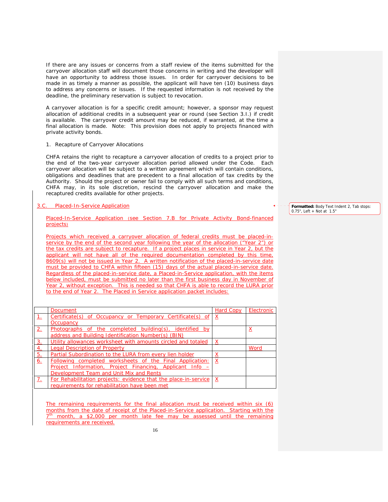If there are any issues or concerns from a staff review of the items submitted for the carryover allocation staff will document those concerns in writing and the developer will have an opportunity to address those issues. In order for carryover decisions to be made in as timely a manner as possible, the applicant will have ten (10) business days to address any concerns or issues. If the requested information is not received by the deadline, the preliminary reservation is subject to revocation.

A carryover allocation is for a specific credit amount; however, a sponsor may request allocation of additional credits in a subsequent year or round (see Section 3.I.) if credit is available. The carryover credit amount may be reduced, if warranted, at the time a final allocation is made. Note: This provision does not apply to projects financed with private activity bonds.

# 1. Recapture of Carryover Allocations

CHFA retains the right to recapture a carryover allocation of credits to a project prior to the end of the two-year carryover allocation period allowed under the Code. Each carryover allocation will be subject to a written agreement which will contain conditions, obligations and deadlines that are precedent to a final allocation of tax credits by the Authority. Should the project or owner fail to comply with all such terms and conditions, CHFA may, in its sole discretion, rescind the carryover allocation and make the recaptured credits available for other projects.

# 3.C. Placed-In-Service Application

# Placed-In-Service Application (see Section 7.B for Private Activity Bond-financed projects)

Projects which received a carryover allocation of federal credits must be placed-inservice by the end of the second year following the year of the allocation ("Year 2") or the tax credits are subject to recapture. If a project places in service in Year 2, but the applicant will not have all of the required documentation completed by this time, 8609(s) will not be issued in Year 2. A written notification of the placed-in-service date must be provided to CHFA within fifteen (15) days of the actual placed-in-service date. Regardless of the placed-in-service date, a Placed-in-Service application, with the items below included, must be submitted no later than the first business day in November of Year 2, without exception. This is needed so that CHFA is able to record the LURA prior to the end of Year 2. The Placed in Service application packet includes:

|              | <b>Document</b>                                                 | Hard Copy | Electronic |
|--------------|-----------------------------------------------------------------|-----------|------------|
|              | Certificate(s) of Occupancy or Temporary Certificate(s) of      | -X        |            |
|              | Occupancy                                                       |           |            |
| 2.           | Photographs of the completed building(s), identified by         |           | Χ          |
|              | address and Building Identification Number(s) (BIN)             |           |            |
| $\mathbf{3}$ | Utility allowances worksheet with amounts circled and totaled   | х         |            |
| <u>4.</u>    | Legal Description of Property                                   |           | Word       |
| 5.           | Partial Subordination to the LURA from every lien holder        | х         |            |
| 6.           | Following completed worksheets of the Final Application:        | X         |            |
|              | Project Information, Project Financing, Applicant Info –        |           |            |
|              | Development Team and Unit Mix and Rents                         |           |            |
| 7.           | For Rehabilitation projects: evidence that the place-in-service | X         |            |
|              | requirements for rehabilitation have been met                   |           |            |

The remaining requirements for the final allocation must be received within six (6) months from the date of receipt of the Placed-in-Service application. Starting with the  $7<sup>th</sup>$  month, a \$2,000 per month late fee may be assessed until the remaining requirements are received.

**Formatted:** Body Text Indent 2, Tab stops: 0.75", Left + Not at  $1.5'$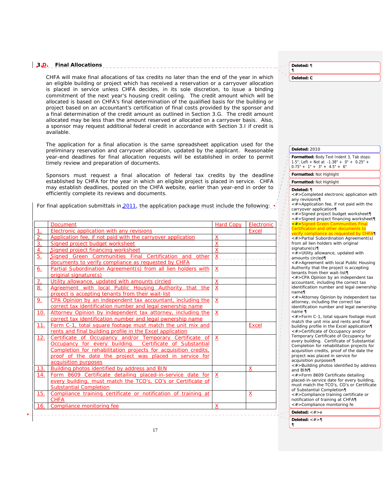# **3.D. Final Allocations**

CHFA will make final allocations of tax credits no later than the end of the year in which an eligible building or project which has received a reservation or a carryover allocation is placed in service unless CHFA decides, in its sole discretion, to issue a binding commitment of the next year's housing credit ceiling. The credit amount which will be allocated is based on CHFA's final determination of the qualified basis for the building or project based on an accountant's certification of final costs provided by the sponsor and a final determination of the credit amount as outlined in Section 3.G. The credit amount allocated may be less than the amount reserved or allocated on a carryover basis. Also, a sponsor may request additional federal credit in accordance with Section 3.I if credit is available.

The application for a final allocation is the same spreadsheet application used for the preliminary reservation and carryover allocation, updated by the applicant. Reasonable year-end deadlines for final allocation requests will be established in order to permit timely review and preparation of documents.

Sponsors must request a final allocation of federal tax credits by the deadline established by CHFA for the year in which an eligible project is placed in service. CHFA may establish deadlines, posted on the CHFA website, earlier than year-end in order to efficiently complete its reviews and documents.

For final application submittals in 2011, the application package must include the following:

|                | Document                                                        | Hard Copy       | Electronic   |
|----------------|-----------------------------------------------------------------|-----------------|--------------|
| $\mathbf{L}$   | Electronic application with any revisions                       |                 | <b>Excel</b> |
| 2.             | Application fee, if not paid with the carryover application     | X               |              |
| 3.             | Signed project budget worksheet                                 | $\underline{X}$ |              |
| 4.             | Signed project financing worksheet                              | $\mathsf{x}$    |              |
| 5 <sub>1</sub> | Signed Green Communities Final Certification and other          | X               |              |
|                | documents to verify compliance as requested by CHFA             |                 |              |
| 6.             | Partial Subordination Agreement(s) from all lien holders with   | $\mathsf{X}$    |              |
|                | original signature(s)                                           |                 |              |
| $\overline{L}$ | Utility allowance, updated with amounts circled                 | X               |              |
| 8.             | Agreement with local Public Housing Authority that the          | X               |              |
|                | project is accepting tenants from their wait-list               |                 |              |
| 9 <sub>1</sub> | CPA Opinion by an independent tax accountant, including the     | $\mathsf{X}$    |              |
|                | correct tax identification number and legal ownership name      |                 |              |
| 10.            | Attorney Opinion by independent tax attorney, including the     | X               |              |
|                | correct tax identification number and legal ownership name      |                 |              |
| 11.            | Form C-1, total square footage must match the unit mix and      |                 | <b>Excel</b> |
|                | rents and final building profile in the Excel application       |                 |              |
| 12.            | Certificate of Occupancy and/or Temporary Certificate of        | X               |              |
|                | Occupancy for every building. Certificate of Substantial        |                 |              |
|                | Completion for rehabilitation projects for acquisition credits, |                 |              |
|                | proof of the date the project was placed in service for         |                 |              |
|                | acquisition purposes                                            |                 |              |
| 13.            | Building photos identified by address and BIN                   |                 | x            |
| 14.            | Form 8609 Certificate detailing placed-in-service date for      | X               |              |
|                | every building, must match the TCO's, CO's or Certificate of    |                 |              |
|                | <b>Substantial Completion</b>                                   |                 |              |
| 15.            | Compliance training certificate or notification of training at  |                 | x            |
|                | <b>CHFA</b>                                                     |                 |              |
| 16.            | Compliance monitoring fee                                       | X               |              |

**Deleted:** ¶ ¶

**Deleted: C**

**Deleted:** 2010

**Formatted:** Body Text Indent 3, Tab stops: 1.5", Left + Not at -1.38" + 0" + 0.25" +  $0.75" + 1" + 3" + 4.5" + 6"$ 

# **Formatted:** Not Highlight

#### **Formatted:** Not Highlight

# **Deleted:** ¶

 $\begin{bmatrix} \eta \\ \eta \\ \eta \end{bmatrix}$ 

<#>Completed electronic application with any revisions¶

<#>Application fee, if not paid with the carryover application¶ <#>Signed project budget worksheet¶ <#>Signed project financing worksheet¶ <#>Signed Green Communities Certification and other documents to verify compliance as requested by CHFA¶ <#>Partial Subordination Agreement(s) from all lien holders with original

signature(s)¶

<#>Utility allowance, updated with amounts circled¶

<#>Agreement with local Public Housing Authority that the project is accepting tenants from their wait-list¶

<#>CPA Opinion by an independent tax accountant, including the correct tax identification number and legal ownership

name¶ <#>Attorney Opinion by independent tax attorney, including the correct tax

identification number and legal ownership name ¶ <#>Form C-1, total square footage must

match the unit mix and rents and final building profile in the Excel application¶

<#>Certificate of Occupancy and/or Temporary Certificate of Occupancy for every building. Certificate of Substantial Completion for rehabilitation projects for acquisition credits, proof of the date the project was placed in service for

acquisition purposes¶

<#>Building photos identified by address and BIN¶

<#>Form 8609 Certificate detailing placed-in-service date for every building, must match the TCO's, CO's or Certificate of Substantial Completion¶

<#>Compliance training certificate or notification of training at CHFA¶ <#>Compliance monitoring fe

**Deleted:** <#>e

**Deleted:** <#>¶ ¶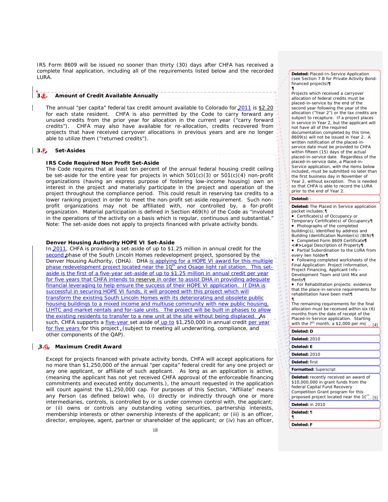IRS Form 8609 will be issued no sooner than thirty (30) days after CHFA has received a complete final application, including all of the requirements listed below and the recorded LURA.

# **3.E. Amount of Credit Available Annually**

The annual "per capita" federal tax credit amount available to Colorado for 2011 is \$2.20 for each state resident. CHFA is also permitted by the Code to carry forward any unused credits from the prior year for allocation in the current year ("carry forward credits"). CHFA may also have available for re-allocation, credits recovered from projects that have received carryover allocations in previous years and are no longer able to utilize them ("returned credits").

# **3.F. Set-Asides**

# **IRS Code Required Non Profit Set-Aside**

 The Code requires that at least ten percent of the annual federal housing credit ceiling be set-aside for the entire year for projects in which  $501(c)(3)$  or  $501(c)(4)$  non-profit organizations (having an express purpose of fostering low-income housing) own an interest in the project and materially participate in the project and operation of the project throughout the compliance period. This could result in reserving tax credits to a lower ranking project in order to meet the non-profit set-aside requirement. Such nonprofit organizations may not be affiliated with, nor controlled by, a for-profit organization. Material participation is defined in Section 469(h) of the Code as "involved in the operations of the activity on a basis which is regular, continuous and substantial." Note: The set-aside does not apply to projects financed with private activity bonds.

## **Denver Housing Authority HOPE VI Set-Aside**

In 2011, CHFA is providing a set-aside of up to \$1.25 million in annual credit for the second phase of the South Lincoln Homes redevelopment project, sponsored by the Denver Housing Authority, (DHA). DHA is applying for a HOPE VI award for this multiple phase redevelopment project located near the 10<sup>th</sup> and Osage light rail station. This setaside is the first of a five-year set-aside of up to \$1.25 million in annual credit per year **Address** for five years that CHFA intends to reserve in order to assist DHA in providing adequate financial leveraging to help ensure the success of their HOPE VI application. If DHA is successful in securing HOPE VI funds, it will proceed with this project which will transform the existing South Lincoln Homes with its deteriorating and obsolete public housing buildings to a mixed income and multiuse community with new public housing, LIHTC and market rentals and for-sale units. The project will be built in phases to allow the existing residents to transfer to a new unit at the site without being displaced. As such, CHFA supports a *five-year* set aside of up to \$1,250,000 in annual credit per year for five years for this project, (subject to meeting all underwriting, compliance, and other components of the QAP).

# **3.G. Maximum Credit Award**

 Except for projects financed with private activity bonds, CHFA will accept applications for no more than \$1,250,000 of the annual "per capita" federal credit for any one project or any one applicant, or affiliate of such applicant. As long as an application is active, (meaning the applicant has not yet received CHFA approval of the enforceable financing commitments and executed entity documents.), the amount requested in the application will count against the \$1,250,000 cap. For purposes of this Section, "Affiliate" means any Person (as defined below) who, (i) directly or indirectly through one or more intermediaries, controls, is controlled by or is under common control with, the applicant; or (ii) owns or controls any outstanding voting securities, partnership interests, membership interests or other ownership interests of the applicant; or (iii) is an officer, director, employee, agent, partner or shareholder of the applicant; or (iv) has an officer,

**Deleted:** Placed-In-Service Application (see Section 7.B for Private Activity Bondfinanced projects)**¶ ¶**

Projects which received a carryover allocation of federal credits must be placed-in-service by the end of the second year following the year of the allocation ("Year 2") or the tax credits are subject to recapture. If a project places in service in Year 2, but the applicant will not have all of the required documentation completed by this time, 8609(s) will not be issued in Year 2. A written notification of the placed-inservice date must be provided to CHFA within fifteen (15) days of the actual placed-in-service date. Regardless of the placed-in-service date, a Placed-in-Service application, with the items below included, must be submitted no later than the first business day in November of Year 2, without exception. This is needed so that CHFA is able to record the LURA prior to the end of Year 2.

#### **Deleted:** :

**Deleted:** The Placed in Service application packet includes:¶

• Certificate(s) of Occupancy or

Temporary Certificate(s) of Occupancy¶ • Photographs of the completed

building(s), identified by address and Building Identification Number(s) (BIN)¶ • Completed Form 8609 Certificate*¶*

*<#>*Legal Description of Property*¶*

• Partial Subordination to the LURA from every lien holder¶

• Following completed worksheets of the Final Application: Project Information, Project Financing, Applicant Info – Development Team and Unit Mix and Rents¶

• For Rehabilitation projects: evidence that the place-in-service requirements for rehabilitation have been met¶ ¶

The remaining requirements for the final allocation must be received within six (6) months from the date of receipt of the Placed-in-Service application. Starting<br>with the 7<sup>th</sup> month, a \$2,000 per mq<sub>... [4]</sub>

#### **Deleted: D**

**Addressed Section** 

1925222

**Deleted:** 2010 **Deleted: E Deleted:** 2010 **Deleted:** first **Formatted:** Superscript **Deleted:** recently received an award of \$10,000,000 in grant funds from the federal Capital Fund Recovery Competition Grant program for this proposed project located near the 10<sup>th</sup>  $.151$ 

**Deleted:** in 2010

**Deleted:** ¶ ¶

**Deleted: F**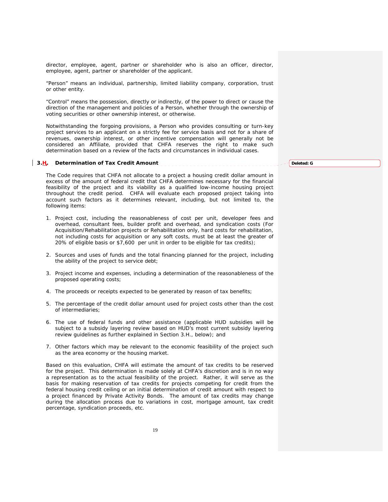director, employee, agent, partner or shareholder who is also an officer, director, employee, agent, partner or shareholder of the applicant.

"Person" means an individual, partnership, limited liability company, corporation, trust or other entity.

 "Control" means the possession, directly or indirectly, of the power to direct or cause the direction of the management and policies of a Person, whether through the ownership of voting securities or other ownership interest, or otherwise.

 Notwithstanding the forgoing provisions, a Person who provides consulting or turn-key project services to an applicant on a strictly fee for service basis and not for a share of revenues, ownership interest, or other incentive compensation will generally not be considered an Affiliate, provided that CHFA reserves the right to make such determination based on a review of the facts and circumstances in individual cases.

# **3.H. Determination of Tax Credit Amount**

 The Code requires that CHFA not allocate to a project a housing credit dollar amount in excess of the amount of federal credit that CHFA determines necessary for the financial feasibility of the project and its viability as a qualified low-income housing project throughout the credit period. CHFA will evaluate each proposed project taking into account such factors as it determines relevant, including, but not limited to, the following items:

- 1. Project cost, including the reasonableness of cost per unit, developer fees and overhead, consultant fees, builder profit and overhead, and syndication costs (For Acquisition/Rehabilitation projects or Rehabilitation only, hard costs for rehabilitation, not including costs for acquisition or any soft costs, must be at least the greater of 20% of eligible basis or \$7,600 per unit in order to be eligible for tax credits);
- 2. Sources and uses of funds and the total financing planned for the project, including the ability of the project to service debt;
- 3. Project income and expenses, including a determination of the reasonableness of the proposed operating costs;
- 4. The proceeds or receipts expected to be generated by reason of tax benefits;
- 5. The percentage of the credit dollar amount used for project costs other than the cost of intermediaries;
- 6. The use of federal funds and other assistance (applicable HUD subsidies will be subject to a subsidy layering review based on HUD's most current subsidy layering review guidelines as further explained in Section 3.H., below); and
- 7. Other factors which may be relevant to the economic feasibility of the project such as the area economy or the housing market.

 Based on this evaluation, CHFA will estimate the amount of tax credits to be reserved for the project. This determination is made solely at CHFA's discretion and is in no way a representation as to the actual feasibility of the project. Rather, it will serve as the basis for making reservation of tax credits for projects competing for credit from the federal housing credit ceiling or an initial determination of credit amount with respect to a project financed by Private Activity Bonds. The amount of tax credits may change during the allocation process due to variations in cost, mortgage amount, tax credit percentage, syndication proceeds, etc.

**Deleted: G**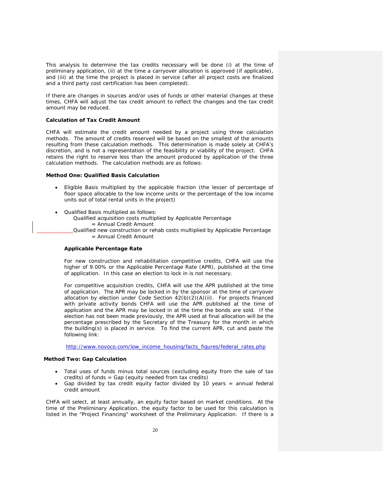This analysis to determine the tax credits necessary will be done (i) at the time of preliminary application, (ii) at the time a carryover allocation is approved (if applicable), and (iii) at the time the project is placed in service (after all project costs are finalized and a third party cost certification has been completed).

 If there are changes in sources and/or uses of funds or other material changes at these times, CHFA will adjust the tax credit amount to reflect the changes and the tax credit amount may be reduced.

## **Calculation of Tax Credit Amount**

CHFA will estimate the credit amount needed by a project using three calculation methods. The amount of credits reserved will be based on the smallest of the amounts resulting from these calculation methods. This determination is made solely at CHFA's discretion, and is not a representation of the feasibility or viability of the project. CHFA retains the right to reserve less than the amount produced by application of the three calculation methods. The calculation methods are as follows:

# **Method One: Qualified Basis Calculation**

- Eligible Basis multiplied by the applicable fraction (the lesser of percentage of floor space allocable to the low income units or the percentage of the low income units out of total rental units in the project)
- Qualified Basis multiplied as follows:
	- Qualified acquisition costs multiplied by Applicable Percentage
		- = Annual Credit Amount
	- Qualified new construction or rehab costs multiplied by Applicable Percentage = Annual Credit Amount

## **Applicable Percentage Rate**

For new construction and rehabilitation competitive credits, CHFA will use the higher of 9.00% or the Applicable Percentage Rate (APR), published at the time of application. In this case an election to lock in is not necessary.

For competitive acquisition credits, CHFA will use the APR published at the time of application. The APR may be locked in by the sponsor at the time of carryover allocation by election under Code Section  $42(b)(2)(A)(ii)$ . For projects financed with private activity bonds CHFA will use the APR published at the time of application and the APR may be locked in at the time the bonds are sold. If the election has not been made previously, the APR used at final allocation will be the percentage prescribed by the Secretary of the Treasury for the month in which the building(s) is placed in service. To find the current APR, cut and paste the following link:

http://www.novoco.com/low\_income\_housing/facts\_figures/federal\_rates.php

## **Method Two: Gap Calculation**

- Total uses of funds minus total sources (excluding equity from the sale of tax credits) of funds = Gap (equity needed from tax credits)
- Gap divided by tax credit equity factor divided by 10 years = annual federal credit amount

 CHFA will select, at least annually, an equity factor based on market conditions. At the time of the Preliminary Application, the equity factor to be used for this calculation is listed in the "Project Financing" worksheet of the Preliminary Application. If there is a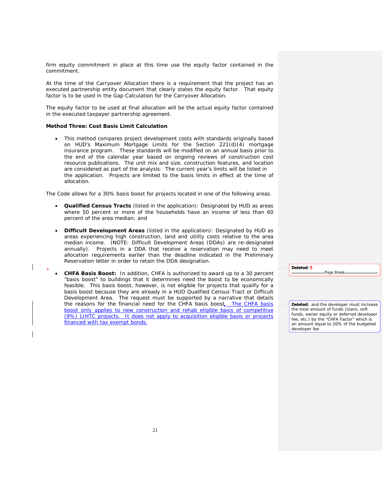firm equity commitment in place at this time use the equity factor contained in the commitment.

 At the time of the Carryover Allocation there is a requirement that the project has an executed partnership entity document that clearly states the equity factor. That equity factor is to be used in the Gap Calculation for the Carryover Allocation.

 The equity factor to be used at final allocation will be the actual equity factor contained in the executed taxpayer partnership agreement.

# **Method Three: Cost Basis Limit Calculation**

• This method compares project development costs with standards originally based on HUD's Maximum Mortgage Limits for the Section 221(d)(4) mortgage insurance program. These standards will be modified on an annual basis prior to the end of the calendar year based on ongoing reviews of construction cost resource publications. The unit mix and size, construction features, and location are considered as part of the analysis. The current year's limits will be listed in the application. Projects are limited to the basis limits in effect at the time of allocation.

The Code allows for a 30% basis boost for projects located in one of the following areas.

- **Qualified Census Tracts** (listed in the application): Designated by HUD as areas where 50 percent or more of the households have an income of less than 60 percent of the area median; and
- **Difficult Development Areas** (listed in the application): Designated by HUD as areas experiencing high construction, land and utility costs relative to the area median income. (NOTE: Difficult Development Areas (DDAs) are re-designated annually). Projects in a DDA that receive a reservation may need to meet allocation requirements earlier than the deadline indicated in the Preliminary Reservation letter in order to retain the DDA designation.
- **CHFA Basis Boost:** In addition, CHFA is authorized to award up to a 30 percent "basis boost" to buildings that it determines need the boost to be economically feasible. This basis boost, however, is not eligible for projects that qualify for a basis boost because they are already in a HUD Qualified Census Tract or Difficult Development Area. The request must be supported by a narrative that details the reasons for the financial need for the CHFA basis boost. The CHFA basis boost only applies to new construction and rehab eligible basis of competitive (9%) LIHTC projects. It does not apply to acquisition eligible basis or projects financed with tax exempt bonds.

**Deleted: ¶**

**Deleted:** and the developer must increase the total amount of funds (loans, soft funds, owner equity or deferred developer fee, etc.) by the "CHFA Factor" which is an amount equal to 20% of the budgeted developer fee

Page Break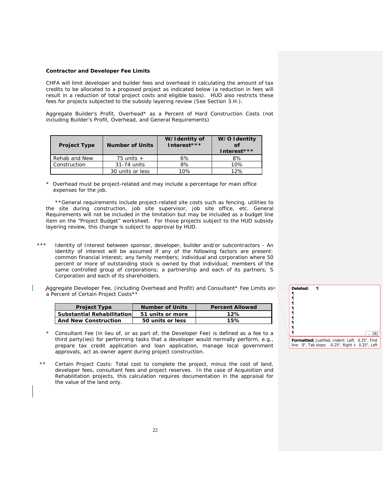## **Contractor and Developer Fee Limits**

CHFA will limit developer and builder fees and overhead in calculating the amount of tax credits to be allocated to a proposed project as indicated below (a reduction in fees will result in a reduction of total project costs and eligible basis). HUD also restricts these fees for projects subjected to the subsidy layering review (See Section 3.H.).

Aggregate Builder's Profit, Overhead\* as a Percent of Hard Construction Costs (not including Builder's Profit, Overhead, and General Requirements)

| <b>Project Type</b> | <b>Number of Units</b> | W/Identity of<br>Interest*** | W/O Identity<br>Interest*** |
|---------------------|------------------------|------------------------------|-----------------------------|
| Rehab and New       | 75 units $+$           | 6%                           | 8%                          |
| Construction        | 31-74 units            | 8%                           | 10%                         |
|                     | 30 units or less       | 10%                          | 12%                         |

\* Overhead must be project-related and may include a percentage for main office expenses for the job.

 \*\*General requirements include project-related site costs such as fencing, utilities to the site during construction, job site supervisor, job site office, etc. General Requirements will not be included in the limitation but may be included as a budget line item on the "Project Budget" worksheet. For those projects subject to the HUD subsidy layering review, this change is subject to approval by HUD.

\*\*\* Identity of Interest between sponsor, developer, builder and/or subcontractors - An identity of interest will be assumed if any of the following factors are present: common financial interest; any family members; individual and corporation where 50 percent or more of outstanding stock is owned by that individual; members of the same controlled group of corporations; a partnership and each of its partners; S Corporation and each of its shareholders.

Aggregate Developer Fee, (including Overhead and Profit) and Consultant\* Fee Limits as\* a Percent of Certain Project Costs\*\*

| <b>Project Type</b>               | <b>Number of Units</b> | <b>Percent Allowed</b> |
|-----------------------------------|------------------------|------------------------|
| <b>Substantial Rehabilitation</b> | 51 units or more       | 12%                    |
| <b>And New Construction</b>       | 50 units or less       | 15%                    |

- Consultant Fee (in lieu of, or as part of, the Developer Fee) is defined as a fee to a third party(ies) for performing tasks that a developer would normally perform, e.g., prepare tax credit application and loan application, manage local government approvals, act as owner agent during project construction.
- Certain Project Costs: Total cost to complete the project, minus the cost of land, developer fees, consultant fees and project reserves. In the case of Acquisition and Rehabilitation projects, this calculation requires documentation in the appraisal for the value of the land only.

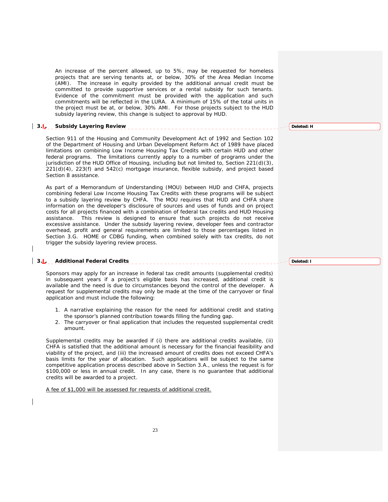An increase of the percent allowed, up to 5%, may be requested for homeless projects that are serving tenants at, or below, 30% of the Area Median Income (AMI). The increase in equity provided by the additional annual credit must be committed to provide supportive services or a rental subsidy for such tenants. Evidence of the commitment must be provided with the application and such commitments will be reflected in the LURA. A minimum of 15% of the total units in the project must be at, or below, 30% AMI. For those projects subject to the HUD subsidy layering review, this change is subject to approval by HUD.

# **3.I. Subsidy Layering Review**

 Section 911 of the Housing and Community Development Act of 1992 and Section 102 of the Department of Housing and Urban Development Reform Act of 1989 have placed limitations on combining Low Income Housing Tax Credits with certain HUD and other federal programs. The limitations currently apply to a number of programs under the jurisdiction of the HUD Office of Housing, including but not limited to, Section 221(d)(3), 221(d)(4), 223(f) and 542(c) mortgage insurance, flexible subsidy, and project based Section 8 assistance.

 As part of a Memorandum of Understanding (MOU) between HUD and CHFA, projects combining federal Low Income Housing Tax Credits with these programs will be subject to a subsidy layering review by CHFA. The MOU requires that HUD and CHFA share information on the developer's disclosure of sources and uses of funds and on project costs for all projects financed with a combination of federal tax credits and HUD Housing assistance.This review is designed to ensure that such projects do not receive excessive assistance. Under the subsidy layering review, developer fees and contractor overhead, profit and general requirements are limited to those percentages listed in Section 3.G. HOME or CDBG funding, when combined solely with tax credits, do not trigger the subsidy layering review process.

# **3.J. Additional Federal Credits**

 Sponsors may apply for an increase in federal tax credit amounts (supplemental credits) in subsequent years if a project's eligible basis has increased, additional credit is available and the need is due to circumstances beyond the control of the developer. A request for supplemental credits may only be made at the time of the carryover or final application and must include the following:

- 1. A narrative explaining the reason for the need for additional credit and stating the sponsor's planned contribution towards filling the funding gap.
- 2. The carryover or final application that includes the requested supplemental credit amount.

Supplemental credits may be awarded if (i) there are additional credits available, (ii) CHFA is satisfied that the additional amount is necessary for the financial feasibility and viability of the project, and (iii) the increased amount of credits does not exceed CHFA's basis limits for the year of allocation. Such applications will be subject to the same competitive application process described above in Section 3.A., unless the request is for \$100,000 or less in annual credit. In any case, there is no guarantee that additional credits will be awarded to a project.

A fee of \$1,000 will be assessed for requests of additional credit.

**Deleted: H**

**Deleted: I**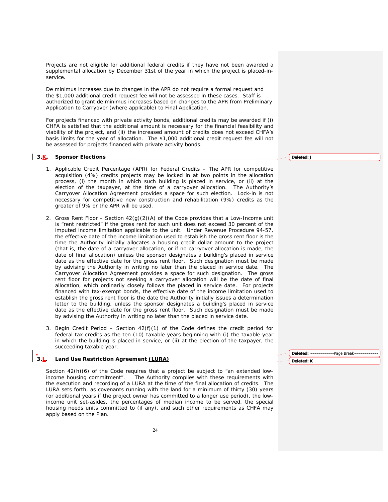Projects are not eligible for additional federal credits if they have not been awarded a supplemental allocation by December 31st of the year in which the project is placed-inservice.

De minimus increases due to changes in the APR do not require a formal request and the \$1,000 additional credit request fee will not be assessed in these cases. Staff is authorized to grant de minimus increases based on changes to the APR from Preliminary Application to Carryover (where applicable) to Final Application.

For projects financed with private activity bonds, additional credits may be awarded if (i) CHFA is satisfied that the additional amount is necessary for the financial feasibility and viability of the project, and (ii) the increased amount of credits does not exceed CHFA's basis limits for the year of allocation. The \$1,000 additional credit request fee will not be assessed for projects financed with private activity bonds.

# **3.K. Sponsor Elections**

- 1. Applicable Credit Percentage (APR) for Federal Credits The APR for competitive acquisition (4%) credits projects may be locked in at two points in the allocation process, (i) the month in which such building is placed in service, or (ii) at the election of the taxpayer, at the time of a carryover allocation. The Authority's Carryover Allocation Agreement provides a space for such election. Lock-in is not necessary for competitive new construction and rehabilitation (9%) credits as the greater of 9% or the APR will be used.
- 2. Gross Rent Floor *–* Section 42(g)(2)(A) of the Code provides that a Low-Income unit is "rent restricted" if the gross rent for such unit does not exceed 30 percent of the imputed income limitation applicable to the unit. Under Revenue Procedure 94-57, the effective date of the income limitation used to establish the gross rent floor is the time the Authority initially allocates a housing credit dollar amount to the project (that is, the date of a carryover allocation, or if no carryover allocation is made, the date of final allocation) unless the sponsor designates a building's placed in service date as the effective date for the gross rent floor. Such designation must be made by advising the Authority in writing no later than the placed in service date. The Carryover Allocation Agreement provides a space for such designation. The gross rent floor for projects not seeking a carryover allocation will be the date of final allocation, which ordinarily closely follows the placed in service date. For projects financed with tax-exempt bonds, the effective date of the income limitation used to establish the gross rent floor is the date the Authority initially issues a determination letter to the building, unless the sponsor designates a building's placed in service date as the effective date for the gross rent floor. Such designation must be made by advising the Authority in writing no later than the placed in service date.
- 3. Begin Credit PeriodSection 42(f)(1) of the Code defines the credit period for federal tax credits as the ten (10) taxable years beginning with (i) the taxable year in which the building is placed in service, or (ii) at the election of the taxpayer, the succeeding taxable year.

#### **3.L. Land Use Restriction Agreement (LURA) Deleted: K**

 Section 42(h)(6) of the Code requires that a project be subject to "an extended lowincome housing commitment". The Authority complies with these requirements with the execution and recording of a LURA at the time of the final allocation of credits. The LURA sets forth, as covenants running with the land for a minimum of thirty (30) years (or additional years if the project owner has committed to a longer use period), the lowincome unit set-asides, the percentages of median income to be served, the special housing needs units committed to (if any), and such other requirements as CHFA may apply based on the Plan.

**Deleted: J**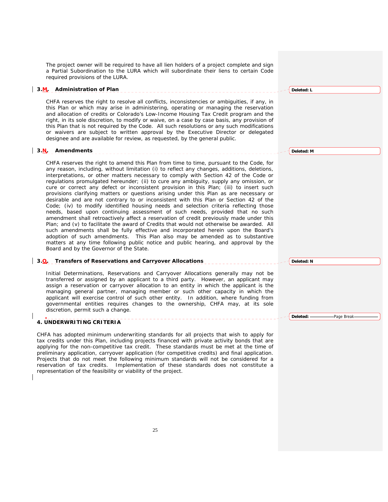The project owner will be required to have all lien holders of a project complete and sign a Partial Subordination to the LURA which will subordinate their liens to certain Code required provisions of the LURA.

# **3.M. Administration of Plan**

 CHFA reserves the right to resolve all conflicts, inconsistencies or ambiguities, if any, in this Plan or which may arise in administering, operating or managing the reservation and allocation of credits or Colorado's Low-Income Housing Tax Credit program and the right, in its sole discretion, to modify or waive, on a case by case basis, any provision of this Plan that is not required by the Code. All such resolutions or any such modifications or waivers are subject to written approval by the Executive Director or delegated designee and are available for review, as requested, by the general public.

## **3.N. Amendments**

 CHFA reserves the right to amend this Plan from time to time, pursuant to the Code, for any reason, including, without limitation (i) to reflect any changes, additions, deletions, interpretations, or other matters necessary to comply with Section 42 of the Code or regulations promulgated hereunder; (ii) to cure any ambiguity, supply any omission, or cure or correct any defect or inconsistent provision in this Plan; (iii) to insert such provisions clarifying matters or questions arising under this Plan as are necessary or desirable and are not contrary to or inconsistent with this Plan or Section 42 of the Code; (iv) to modify identified housing needs and selection criteria reflecting those needs, based upon continuing assessment of such needs, provided that no such amendment shall retroactively affect a reservation of credit previously made under this Plan; and (v) to facilitate the award of Credits that would not otherwise be awarded. All such amendments shall be fully effective and incorporated herein upon the Board's adoption of such amendments. This Plan also may be amended as to substantive matters at any time following public notice and public hearing, and approval by the Board and by the Governor of the State.

# **3.O. Transfers of Reservations and Carryover Allocations**

 Initial Determinations, Reservations and Carryover Allocations generally may not be transferred or assigned by an applicant to a third party. However, an applicant may assign a reservation or carryover allocation to an entity in which the applicant is the managing general partner, managing member or such other capacity in which the applicant will exercise control of such other entity. In addition, where funding from governmental entities requires changes to the ownership, CHFA may, at its sole discretion, permit such a change.

# **4. UNDERWRITING CRITERIA**

 CHFA has adopted minimum underwriting standards for all projects that wish to apply for tax credits under this Plan, including projects financed with private activity bonds that are applying for the non-competitive tax credit. These standards must be met at the time of preliminary application, carryover application (for competitive credits) and final application. Projects that do not meet the following minimum standards will not be considered for a reservation of tax credits. Implementation of these standards does not constitute a representation of the feasibility or viability of the project.

**Deleted: L**

**Deleted: M**

**Deleted: N**

Deleted: **--------------------------**Page Break-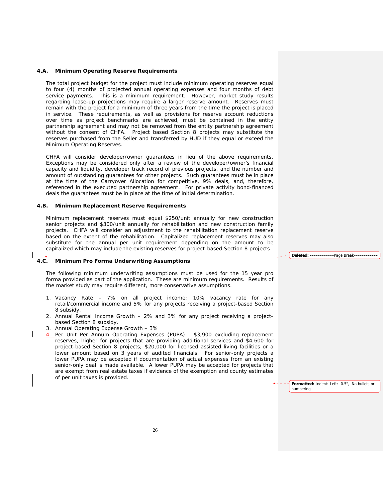### **4.A***.* **Minimum Operating Reserve Requirements**

 The total project budget for the project must include minimum operating reserves equal to four (4) months of projected annual operating expenses and four months of debt service payments. This is a minimum requirement. However, market study results regarding lease-up projections may require a larger reserve amount. Reserves must remain with the project for a minimum of three years from the time the project is placed in service. These requirements, as well as provisions for reserve account reductions over time as project benchmarks are achieved, must be contained in the entity partnership agreement and may not be removed from the entity partnership agreement without the consent of CHFA. Project based Section 8 projects may substitute the reserves purchased from the Seller and transferred by HUD if they equal or exceed the Minimum Operating Reserves.

 CHFA will consider developer/owner guarantees in lieu of the above requirements. Exceptions may be considered only after a review of the developer/owner's financial capacity and liquidity, developer track record of previous projects, and the number and amount of outstanding guarantees for other projects. Such guarantees must be in place at the time of the Carryover Allocation for competitive, 9% deals, and, therefore, referenced in the executed partnership agreement. For private activity bond-financed deals the guarantees must be in place at the time of initial determination.

## **4.B. Minimum Replacement Reserve Requirements**

 Minimum replacement reserves must equal \$250/unit annually for new construction senior projects and \$300/unit annually for rehabilitation and new construction family projects. CHFA will consider an adjustment to the rehabilitation replacement reserve based on the extent of the rehabilitation. Capitalized replacement reserves may also substitute for the annual per unit requirement depending on the amount to be capitalized which may include the existing reserves for project-based Section 8 projects.

## **4.C. Minimum Pro Forma Underwriting Assumptions**

 The following minimum underwriting assumptions must be used for the 15 year pro forma provided as part of the application. These are minimum requirements. Results of the market study may require different, more conservative assumptions.

- 1. Vacancy Rate 7% on all project income; 10% vacancy rate for any retail/commercial income and 5% for any projects receiving a project-based Section 8 subsidy.
- 2. Annual Rental Income Growth 2% and 3% for any project receiving a projectbased Section 8 subsidy.
- 3. Annual Operating Expense Growth 3%
- 4. Per Unit Per Annum Operating Expenses (PUPA) \$3,900 excluding replacement reserves, higher for projects that are providing additional services and \$4,600 for project-based Section 8 projects; \$20,000 for licensed assisted living facilities or a lower amount based on 3 years of audited financials. For senior-only projects a lower PUPA may be accepted if documentation of actual expenses from an existing senior-only deal is made available. A lower PUPA may be accepted for projects that are exempt from real estate taxes if evidence of the exemption and county estimates of per unit taxes is provided.

**Formatted:** Indent: Left: 0.5", No bullets or numbering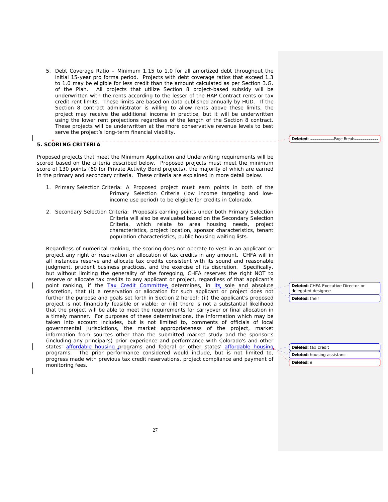5. Debt Coverage Ratio – Minimum 1.15 to 1.0 for all amortized debt throughout the initial 15-year pro forma period. Projects with debt coverage ratios that exceed 1.3 to 1.0 may be eligible for less credit than the amount calculated as per Section 3.G. of the Plan. All projects that utilize Section 8 project-based subsidy will be underwritten with the rents according to the lesser of the HAP Contract rents or tax credit rent limits. These limits are based on data published annually by HUD. If the Section 8 contract administrator is willing to allow rents above these limits, the project may receive the additional income in practice, but it will be underwritten using the lower rent projections regardless of the length of the Section 8 contract. These projects will be underwritten at the more conservative revenue levels to best serve the project's long-term financial viability.

## **5. SCORING CRITERIA**

Proposed projects that meet the Minimum Application and Underwriting requirements will be scored based on the criteria described below. Proposed projects must meet the minimum score of 130 points (60 for Private Activity Bond projects), the majority of which are earned in the primary and secondary criteria. These criteria are explained in more detail below.

- 1. Primary Selection Criteria: A Proposed project must earn points in both of the Primary Selection Criteria (low income targeting and lowincome use period) to be eligible for credits in Colorado.
- 2. Secondary Selection Criteria: Proposals earning points under both Primary Selection Criteria will also be evaluated based on the Secondary Selection Criteria, which relate to area housing needs, project characteristics, project location, sponsor characteristics, tenant population characteristics, public housing waiting lists.

 Regardless of numerical ranking, the scoring does not operate to vest in an applicant or project any right or reservation or allocation of tax credits in any amount. CHFA will in all instances reserve and allocate tax credits consistent with its sound and reasonable judgment, prudent business practices, and the exercise of its discretion. Specifically, but without limiting the generality of the foregoing, CHFA reserves the right NOT to reserve or allocate tax credits to any applicant or project, regardless of that applicant's point ranking, if the Tax Credit Committee determines, in its sole and absolute discretion, that (i) a reservation or allocation for such applicant or project does not further the purpose and goals set forth in Section 2 hereof; (ii) the applicant's proposed project is not financially feasible or viable; or (iii) there is not a substantial likelihood that the project will be able to meet the requirements for carryover or final allocation in a timely manner. For purposes of these determinations, the information which may be taken into account includes, but is not limited to, comments of officials of local governmental jurisdictions, the market appropriateness of the project, market information from sources other than the submitted market study and the sponsor's (including any principal's) prior experience and performance with Colorado's and other states' affordable housing programs and federal or other states' affordable housing programs. The prior performance considered would include, but is not limited to, progress made with previous tax credit reservations, project compliance and payment of monitoring fees.

**Deleted:** CHFA Executive Director or delegated designee **Deleted:** their

**Deleted:** tax credit

**Deleted:** housing assistanc **Deleted:** e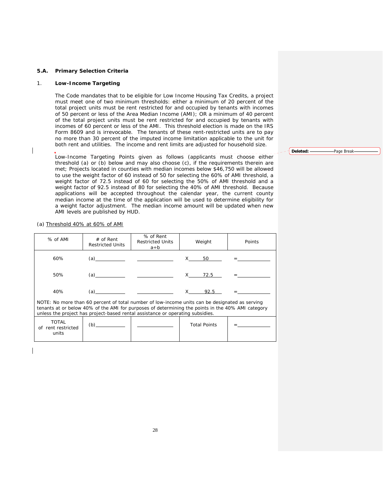# **5.A. Primary Selection Criteria**

## 1. **Low-Income Targeting**

 The Code mandates that to be eligible for Low Income Housing Tax Credits, a project must meet one of two minimum thresholds: either a minimum of 20 percent of the total project units must be rent restricted for and occupied by tenants with incomes of 50 percent or less of the Area Median Income (AMI); OR a minimum of 40 percent of the total project units must be rent restricted for and occupied by tenants with incomes of 60 percent or less of the AMI. This threshold election is made on the IRS Form 8609 and is irrevocable. The tenants of these rent-restricted units are to pay no more than 30 percent of the imputed income limitation applicable to the unit for both rent and utilities. The income and rent limits are adjusted for household size.

 Low-Income Targeting Points given as follows (applicants must choose either threshold (a) or (b) below and may also choose (c), if the requirements therein are met; Projects located in counties with median incomes below \$46,750 will be allowed to use the weight factor of 60 instead of 50 for selecting the 60% of AMI threshold, a weight factor of 72.5 instead of 60 for selecting the 50% of AMI threshold and a weight factor of 92.5 instead of 80 for selecting the 40% of AMI threshold. Because applications will be accepted throughout the calendar year, the current county median income at the time of the application will be used to determine eligibility for a weight factor adjustment. The median income amount will be updated when new AMI levels are published by HUD.

(a) Threshold 40% at 60% of AMI

| $%$ of AMI                                                                                                                                                                                                                                                                            | $#$ of Rent<br><b>Restricted Units</b> | % of Rent<br><b>Restricted Units</b><br>a÷b |  | Weight | Points |
|---------------------------------------------------------------------------------------------------------------------------------------------------------------------------------------------------------------------------------------------------------------------------------------|----------------------------------------|---------------------------------------------|--|--------|--------|
| 60%                                                                                                                                                                                                                                                                                   | (a)                                    |                                             |  | X 50   |        |
| 50%                                                                                                                                                                                                                                                                                   | (a)                                    |                                             |  | X 72.5 |        |
| 40%                                                                                                                                                                                                                                                                                   | (a)                                    |                                             |  | 92.5   |        |
| NOTE: No more than 60 percent of total number of low-income units can be designated as serving<br>tenants at or below 40% of the AMI for purposes of determining the points in the 40% AMI category<br>unless the project has project-based rental assistance or operating subsidies. |                                        |                                             |  |        |        |
| TOTAL                                                                                                                                                                                                                                                                                 |                                        |                                             |  |        |        |

| <b>TOTAL</b><br>of rent restricted | (p` | <b>Total Points</b> |  |
|------------------------------------|-----|---------------------|--|
| units                              |     |                     |  |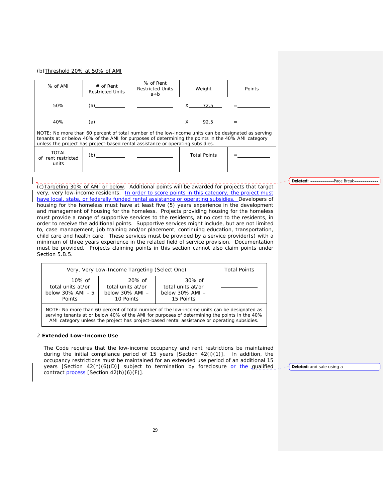# (b)Threshold 20% at 50% of AMI

| % of AMI                                                                                                                                                                                                                                                                                  | $#$ of Rent<br><b>Restricted Units</b> | % of Rent<br><b>Restricted Units</b><br>a÷b | Weight              | Points |
|-------------------------------------------------------------------------------------------------------------------------------------------------------------------------------------------------------------------------------------------------------------------------------------------|----------------------------------------|---------------------------------------------|---------------------|--------|
| 50%                                                                                                                                                                                                                                                                                       | (a)                                    |                                             | X 72.5              |        |
| 40%                                                                                                                                                                                                                                                                                       | (a)                                    |                                             | 92.5                |        |
| NOTE: No more than 60 percent of total number of the low-income units can be designated as serving<br>tenants at or below 40% of the AMI for purposes of determining the points in the 40% AMI category<br>unless the project has project-based rental assistance or operating subsidies. |                                        |                                             |                     |        |
| <b>TOTAL</b><br>of rent restricted<br>units                                                                                                                                                                                                                                               | (b)                                    |                                             | <b>Total Points</b> |        |

(c)Targeting 30% of AMI or below. Additional points will be awarded for projects that target very, very low-income residents. In order to score points in this category, the project must have local, state, or federally funded rental assistance or operating subsidies. Developers of housing for the homeless must have at least five (5) years experience in the development and management of housing for the homeless.Projects providing housing for the homeless must provide a range of supportive services to the residents, at no cost to the residents, in order to receive the additional points. Supportive services might include, but are not limited to, case management, job training and/or placement, continuing education, transportation, child care and health care. These services must be provided by a service provider(s) with a minimum of three years experience in the related field of service provision. Documentation must be provided. Projects claiming points in this section cannot also claim points under Section 5.B.5.

| Very, Very Low-Income Targeting (Select One)                                                                                                                                                                                                                                              | <b>Total Points</b>                                              |                                                                  |  |  |
|-------------------------------------------------------------------------------------------------------------------------------------------------------------------------------------------------------------------------------------------------------------------------------------------|------------------------------------------------------------------|------------------------------------------------------------------|--|--|
| 10% of<br>total units at/or<br>below 30% AMI - 5<br>Points                                                                                                                                                                                                                                | 20% of<br>total units at/or<br>below $30\%$ AMI $-$<br>10 Points | 30% of<br>total units at/or<br>below $30\%$ AMI $-$<br>15 Points |  |  |
| NOTE: No more than 60 percent of total number of the low-income units can be designated as<br>serving tenants at or below 40% of the AMI for purposes of determining the points in the 40%<br>AMI category unless the project has project-based rental assistance or operating subsidies. |                                                                  |                                                                  |  |  |

#### 2.**Extended Low-Income Use**

 The Code requires that the low-income occupancy and rent restrictions be maintained during the initial compliance period of 15 years [Section 42(i)(1)]. In addition, the occupancy restrictions must be maintained for an extended use period of an additional 15 years [Section 42(h)(6)(D)] subject to termination by foreclosure or the qualified contract process [Section 42(h)(6)(F)].

**Deleted:** and sale using a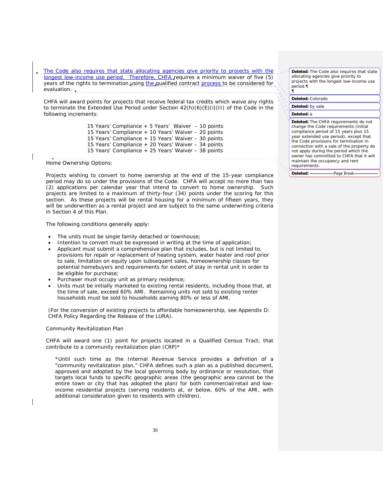The Code also requires that state allocating agencies give priority to projects with the longest low-income use period. Therefore, CHFA requires a minimum waiver of five (5) years of the rights to termination using the qualified contract process to be considered for evaluation.  $\mathbf{v}_{-2} = 2$ 

 CHFA will award points for projects that receive federal tax credits which waive any rights to terminate the Extended Use Period under Section 42(h)(6)(E)(i)(II) of the Code in the following increments:

> 15 Years' Compliance + 5 Years' Waiver – 10 points 15 Years' Compliance + 10 Years' Waiver – 20 points 15 Years' Compliance + 15 Years' Waiver – 30 points 15 Years' Compliance + 20 Years' Waiver – 34 points 15 Years' Compliance + 25 Years' Waiver – 38 points

Home Ownership Options:

Projects wishing to convert to home ownership at the end of the 15-year compliance period may do so under the provisions of the Code. CHFA will accept no more than two (2) applications per calendar year that intend to convert to home ownership. Such projects are limited to a maximum of thirty-four (34) points under the scoring for this section. As these projects will be rental housing for a minimum of fifteen years, they will be underwritten as a rental project and are subject to the same underwriting criteria in Section 4 of this Plan.

The following conditions generally apply:

- The units must be single family detached or townhouse;
- Intention to convert must be expressed in writing at the time of application;
- Applicant must submit a comprehensive plan that includes, but is not limited to, provisions for repair or replacement of heating system, water heater and roof prior to sale, limitation on equity upon subsequent sales, homeownership classes for potential homebuyers and requirements for extent of stay in rental unit in order to be eligible for purchase;
- Purchaser must occupy unit as primary residence;
- Units must be initially marketed to existing rental residents, including those that, at the time of sale, exceed 60% AMI. Remaining units not sold to existing renter households must be sold to households earning 80% or less of AMI.

 (For the conversion of existing projects to affordable homeownership, see Appendix D: CHFA Policy Regarding the Release of the LURA).

Community Revitalization Plan

CHFA will award one (1) point for projects located in a Qualified Census Tract, that contribute to a community revitalization plan (CRP)\*

\*Until such time as the Internal Revenue Service provides a definition of a "community revitalization plan," CHFA defines such a plan as a published document, approved and adopted by the local governing body by ordinance or resolution, that targets local funds to specific geographic areas (the geographic area cannot be the entire town or city that has adopted the plan) for both commercial/retail and lowincome residential projects (serving residents at, or below, 60% of the AMI, with additional consideration given to residents with children).

**Deleted:** The Code also requires that state allocating agencies give priority to projects with the longest low-income use period.¶ ¶

**Deleted:** Colorado

**Deleted:** by sale

**Deleted:** a

**Deleted:** The CHFA requirements do not change the Code requirements (initial compliance period of 15 years plus 15 year extended use period), except that the Code provisions for termination in connection with a sale of the property do not apply during the period which the owner has committed to CHFA that it will maintain the occupancy and rent requirements.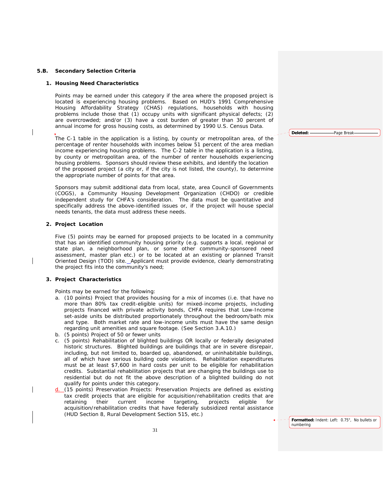## **5.B. Secondary Selection Criteria**

## **1. Housing Need Characteristics**

Points may be earned under this category if the area where the proposed project is located is experiencing housing problems. Based on HUD's 1991 Comprehensive Housing Affordability Strategy (CHAS) regulations, households with housing problems include those that (1) occupy units with significant physical defects; (2) are overcrowded; and/or (3) have a cost burden of greater than 30 percent of annual income for gross housing costs, as determined by 1990 U.S. Census Data.

The C-1 table in the application is a listing, by county or metropolitan area, of the percentage of renter households with incomes below 51 percent of the area median income experiencing housing problems. The C-2 table in the application is a listing, by county or metropolitan area, of the number of renter households experiencing housing problems. Sponsors should review these exhibits, and identify the location of the proposed project (a city or, if the city is not listed, the county), to determine the appropriate number of points for that area.

Sponsors may submit additional data from local, state, area Council of Governments (COGS), a Community Housing Development Organization (CHDO) or credible independent study for CHFA's consideration. The data must be quantitative and specifically address the above-identified issues or, if the project will house special needs tenants, the data must address these needs.

## **2. Project Location**

Five (5) points may be earned for proposed projects to be located in a community that has an identified community housing priority (e.g. supports a local, regional or state plan, a neighborhood plan, or some other community-sponsored need assessment, master plan etc.) or to be located at an existing or planned Transit Oriented Design (TOD) site. Applicant must provide evidence, clearly demonstrating the project fits into the community's need;

# **3. Project Characteristics**

Points may be earned for the following:

- a. (10 points) Project that provides housing for a mix of incomes (i.e. that have no more than 80% tax credit-eligible units) for mixed-income projects, including projects financed with private activity bonds, CHFA requires that Low-Income set-aside units be distributed proportionately throughout the bedroom/bath mix and type. Both market rate and low-income units must have the same design regarding unit amenities and square footage. (See Section 3.A.10.)
- b. (5 points) Project of 50 or fewer units
- c. (5 points) Rehabilitation of blighted buildings OR locally or federally designated historic structures. Blighted buildings are buildings that are in severe disrepair, including, but not limited to, boarded up, abandoned, or uninhabitable buildings, all of which have serious building code violations. Rehabilitation expenditures must be at least \$7,600 in hard costs per unit to be eligible for rehabilitation credits.Substantial rehabilitation projects that are changing the buildings use to residential but do not fit the above description of a blighted building do not qualify for points under this category.
- d. (15 points) Preservation Projects: Preservation Projects are defined as existing tax credit projects that are eligible for acquisition/rehabilitation credits that are retaining their current income targeting, projects eligible for acquisition/rehabilitation credits that have federally subsidized rental assistance (HUD Section 8, Rural Development Section 515, etc.)

**Deleted:** Page Break

**Formatted:** Indent: Left: 0.75", No bullets or numbering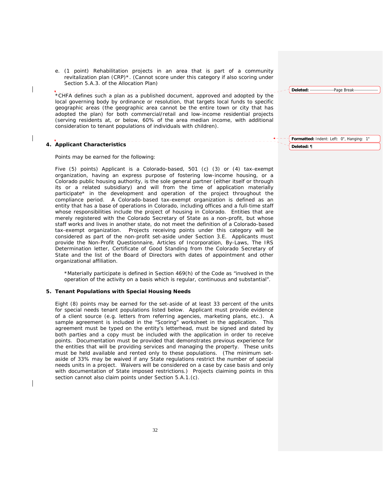e. (1 point) Rehabilitation projects in an area that is part of a community revitalization plan (CRP)\*. (Cannot score under this category if also scoring under Section 5.A.3. of the Allocation Plan)

\*CHFA defines such a plan as a published document, approved and adopted by the local governing body by ordinance or resolution, that targets local funds to specific geographic areas (the geographic area cannot be the entire town or city that has adopted the plan) for both commercial/retail and low-income residential projects (serving residents at, or below, 60% of the area median income, with additional consideration to tenant populations of individuals with children).

# **4. Applicant Characteristics**

Points may be earned for the following:

Five (5) points) Applicant is a Colorado-based, 501 (c) (3) or (4) tax-exempt organization, having an express purpose of fostering low-income housing, or a Colorado public housing authority, is the sole general partner (either itself or through its or a related subsidiary) and will from the time of application materially participate\* in the development and operation of the project throughout the compliance period. A Colorado-based tax-exempt organization is defined as an entity that has a base of operations in Colorado, including offices and a full-time staff whose responsibilities include the project of housing in Colorado. Entities that are merely registered with the Colorado Secretary of State as a non-profit, but whose staff works and lives in another state, do not meet the definition of a Colorado-based tax-exempt organization. Projects receiving points under this category will be considered as part of the non-profit set-aside under Section 3.E. Applicants must provide the Non-Profit Questionnaire, Articles of Incorporation, By-Laws, The IRS Determination letter, Certificate of Good Standing from the Colorado Secretary of State and the list of the Board of Directors with dates of appointment and other organizational affiliation.

\*Materially participate is defined in Section 469(h) of the Code as "involved in the operation of the activity on a basis which is regular, continuous and substantial".

## **5. Tenant Populations with Special Housing Needs**

Eight (8) points may be earned for the set-aside of at least 33 percent of the units for special needs tenant populations listed below. Applicant must provide evidence of a client source (e.g. letters from referring agencies, marketing plans, etc.). A sample agreement is included in the "Scoring" worksheet in the application. This agreement must be typed on the entity's letterhead, must be signed and dated by both parties and a copy must be included with the application in order to receive points. Documentation must be provided that demonstrates previous experience for the entities that will be providing services and managing the property. These units must be held available and rented only to these populations. (The minimum setaside of 33% may be waived if any State regulations restrict the number of special needs units in a project. Waivers will be considered on a case by case basis and only with documentation of State imposed restrictions.) Projects claiming points in this section cannot also claim points under Section 5.A.1.(c).

**Formatted:** Indent: Left: 0", Hanging: 1" **Deleted:** ¶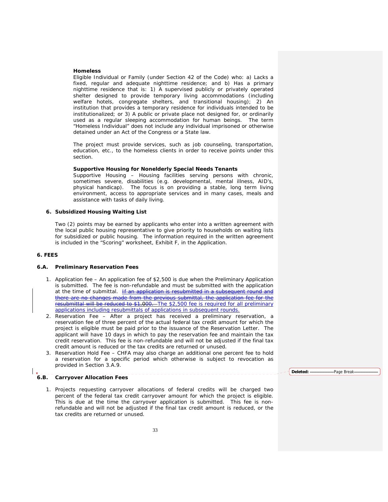#### **Homeless**

Eligible Individual or Family (under Section 42 of the Code) who: a) Lacks a fixed, regular and adequate nighttime residence; and b) Has a primary nighttime residence that is: 1) A supervised publicly or privately operated shelter designed to provide temporary living accommodations (including welfare hotels, congregate shelters, and transitional housing); 2) An institution that provides a temporary residence for individuals intended to be institutionalized; or 3) A public or private place not designed for, or ordinarily used as a regular sleeping accommodation for human beings. The term "Homeless Individual" does not include any individual imprisoned or otherwise detained under an Act of the Congress or a State law.

The project must provide services, such as job counseling, transportation, education, etc., to the homeless clients in order to receive points under this section.

## **Supportive Housing for Nonelderly Special Needs Tenants**

Supportive Housing – Housing facilities serving persons with chronic, sometimes severe, disabilities (e.g. developmental, mental illness, AID's, physical handicap). The focus is on providing a stable, long term living environment, access to appropriate services and in many cases, meals and assistance with tasks of daily living.

# **6. Subsidized Housing Waiting List**

Two (2) points may be earned by applicants who enter into a written agreement with the local public housing representative to give priority to households on waiting lists for subsidized or public housing. The information required in the written agreement is included in the "Scoring" worksheet, Exhibit F, in the Application.

# **6. FEES**

## **6.A. Preliminary Reservation Fees**

- 1. Application fee An application fee of \$2,500 is due when the Preliminary Application is submitted. The fee is non-refundable and must be submitted with the application at the time of submittal.  $H$  an application is resubmitted in a subsequent round and  $H$ there are no changes made from the previous submittal, the application fee for the resubmittal will be reduced to \$1,000. The \$2,500 fee is required for all preliminary applications including resubmittals of applications in subsequent rounds.
- 2. Reservation Fee After a project has received a preliminary reservation, a reservation fee of three percent of the actual federal tax credit amount for which the project is eligible must be paid prior to the issuance of the Reservation Letter. The applicant will have 10 days in which to pay the reservation fee and maintain the tax credit reservation. This fee is non-refundable and will not be adjusted if the final tax credit amount is reduced or the tax credits are returned or unused.
- 3. Reservation Hold Fee CHFA may also charge an additional one percent fee to hold a reservation for a specific period which otherwise is subject to revocation as provided in Section 3.A.9.

## **6.B. Carryover Allocation Fees**

1. Projects requesting carryover allocations of federal credits will be charged two percent of the federal tax credit carryover amount for which the project is eligible. This is due at the time the carryover application is submitted. This fee is nonrefundable and will not be adjusted if the final tax credit amount is reduced, or the tax credits are returned or unused.

Deleted: **-----------------------**Page Break-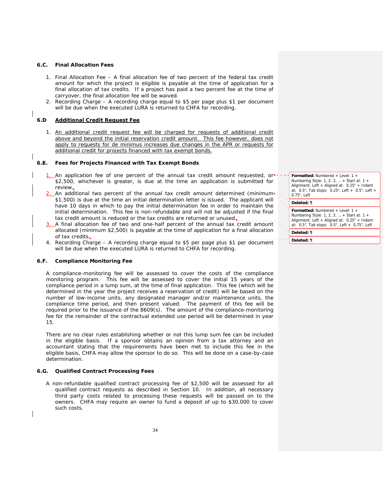## **6.C. Final Allocation Fees**

- 1. Final Allocation Fee A final allocation fee of two percent of the federal tax credit amount for which the project is eligible is payable at the time of application for a final allocation of tax credits. If a project has paid a two percent fee at the time of carryover, the final allocation fee will be waived.
- 2. Recording Charge A recording charge equal to \$5 per page plus \$1 per document will be due when the executed LURA is returned to CHFA for recording.

## **6.D Additional Credit Request Fee**

1. An additional credit request fee will be charged for requests of additional credit above and beyond the initial reservation credit amount. This fee however, does not apply to requests for de minimus increases due changes in the APR or requests for additional credit for projects financed with tax exempt bonds.

# **6.E. Fees for Projects Financed with Tax Exempt Bonds**

- 1. An application fee of one percent of the annual tax credit amount requested, or \$2,500, whichever is greater, is due at the time an application is submitted for review.
- An additional two percent of the annual tax credit amount determined (minimum \$1,500) is due at the time an initial determination letter is issued. The applicant will have 10 days in which to pay the initial determination fee in order to maintain the initial determination. This fee is non-refundable and will not be adjusted if the final tax credit amount is reduced or the tax credits are returned or unused $\frac{1}{\tau}$
- 3. A final allocation fee of two and one-half percent of the annual tax credit amount allocated (minimum \$2,500) is payable at the time of application for a final allocation of tax credits $\overline{\mathbf{r}}$ .
- 4. Recording Charge A recording charge equal to \$5 per page plus \$1 per document will be due when the executed LURA is returned to CHFA for recording.

# **6.F. Compliance Monitoring Fee**

 A compliance-monitoring fee will be assessed to cover the costs of the compliance monitoring program. This fee will be assessed to cover the initial 15 years of the compliance period in a lump sum, at the time of final application. This fee (which will be determined in the year the project receives a reservation of credit) will be based on the number of low-income units, any designated manager and/or maintenance units, the compliance time period, and then present valued. The payment of this fee will be required prior to the issuance of the 8609(s). The amount of the compliance-monitoring fee for the remainder of the contractual extended use period will be determined in year 15.

 There are no clear rules establishing whether or not this lump sum fee can be included in the eligible basis. If a sponsor obtains an opinion from a tax attorney and an accountant stating that the requirements have been met to include this fee in the eligible basis, CHFA may allow the sponsor to do so. This will be done on a case-by-case determination.

## **6.G. Qualified Contract Processing Fees**

A non-refundable qualified contract processing fee of \$2,500 will be assessed for all qualified contract requests as described in Section 10. In addition, all necessary third party costs related to processing these requests will be passed on to the owners. CHFA may require an owner to fund a deposit of up to \$30,000 to cover such costs.

**Formatted:** Numbered + Level: 1 + Numbering Style: 1, 2, 3, … + Start at: 1 + Alignment: Left + Aligned at: 0.25" + Indent at: 0.5", Tab stops: 0.25", Left + 0.5", Left + 0.75", Left

#### **Deleted:** ¶

**Formatted:** Numbered + Level: 1 + Numbering Style: 1, 2, 3, … + Start at: 1 + Alignment: Left + Aligned at: 0.25" + Indent at: 0.5", Tab stops: 0.5", Left + 0.75", Left

**Deleted:** ¶

**Deleted:** ¶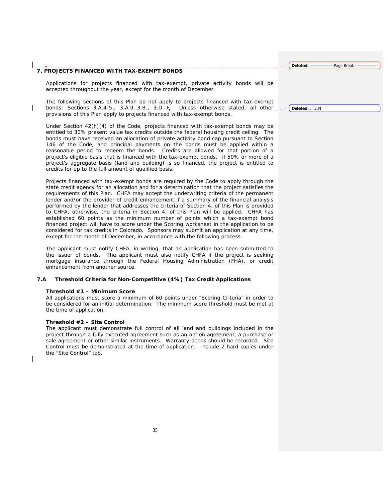# **7. PROJECTS FINANCED WITH TAX-EXEMPT BONDS**

Applications for projects financed with tax-exempt, private activity bonds will be accepted throughout the year, except for the month of December.

The following sections of this Plan do not apply to projects financed with tax-exempt bonds: Sections 3.A.4-5., 3.A.9.,3.B., 3.D.- $F_{\bar{r}} =$  Unless otherwise stated, all other provisions of this Plan apply to projects financed with tax-exempt bonds.

Under Section 42(h)(4) of the Code, projects financed with tax-exempt bonds may be entitled to 30% present value tax credits outside the federal housing credit ceiling. The bonds must have received an allocation of private activity bond cap pursuant to Section 146 of the Code, and principal payments on the bonds must be applied within a reasonable period to redeem the bonds. Credits are allowed for that portion of a project's eligible basis that is financed with the tax-exempt bonds. If 50% or more of a project's aggregate basis (land and building) is so financed, the project is entitled to credits for up to the full amount of qualified basis.

Projects financed with tax-exempt bonds are required by the Code to apply through the state credit agency for an allocation and for a determination that the project satisfies the requirements of this Plan. CHFA may accept the underwriting criteria of the permanent lender and/or the provider of credit enhancement if a summary of the financial analysis performed by the lender that addresses the criteria of Section 4. of this Plan is provided to CHFA, otherwise, the criteria in Section 4. of this Plan will be applied.CHFA has established 60 points as the minimum number of points which a tax-exempt bond financed project will have to score under the Scoring worksheet in the application to be considered for tax credits in Colorado. Sponsors may submit an application at any time, except for the month of December, in accordance with the following process.

The applicant must notify CHFA, in writing, that an application has been submitted to the issuer of bonds. The applicant must also notify CHFA if the project is seeking mortgage insurance through the Federal Housing Administration (FHA), or credit enhancement from another source.

# **7.A Threshold Criteria for Non-Competitive (4%) Tax Credit Applications**

## **Threshold #1 – Minimum Score**

 All applications must score a minimum of 60 points under "Scoring Criteria" in order to be considered for an initial determination. The minimum score threshold must be met at the time of application.

## **Threshold #2 – Site Control**

The applicant must demonstrate full control of all land and buildings included in the project through a fully executed agreement such as an option agreement, a purchase or sale agreement or other similar instruments. Warranty deeds should be recorded. Site Control must be demonstrated at the time of application. Include 2 hard copies under the "Site Control" tab.

**Deleted:** ., 3.N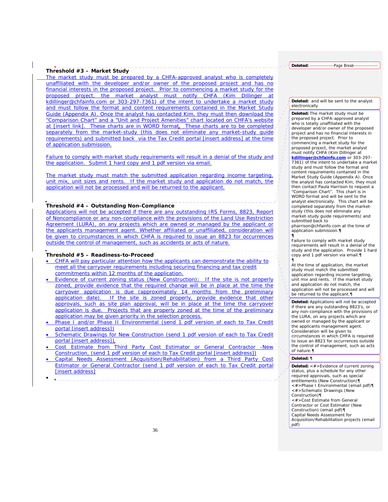## **Threshold #3 – Market Study**

The market study must be prepared by a CHFA-approved analyst who is completely unaffiliated with the developer and/or owner of the proposed project and has no financial interests in the proposed project. Prior to commencing a market study for the proposed project, the market analyst must notify CHFA (Kim Dillinger at kdillinger@chfainfo.com or 303-297-7361) of the intent to undertake a market study and must follow the format and content requirements contained in the Market Study Guide (Appendix A). Once the analyst has contacted Kim, they must then download the "Comparison Chart" and a "Unit and Project Amenities" chart located on CHFA's website at [insert link]. These charts are in WORD format. These charts are to be completed separately from the market-study (this does not eliminate any market-study guide requirements) and submitted back via the Tax Credit portal [insert address] at the time of application submission.

Failure to comply with market study requirements will result in a denial of the study and the application. Submit 1 hard copy and 1 pdf version via email.

The market study must match the submitted application regarding income targeting, unit mix, unit sizes and rents. If the market study and application do not match, the application will not be processed and will be returned to the applicant.

# **Threshold #4 – Outstanding Non-Compliance**

Applications will not be accepted if there are any outstanding IRS Forms, 8823, Report of Noncompliance or any non-compliance with the provisions of the Land Use Restriction Agreement (LURA), on any projects which are owned or managed by the applicant or the applicants management agent. Whether affiliated or unaffiliated, consideration will be given to circumstances in which CHFA is required to issue an 8823 for occurrences outside the control of management, such as accidents or acts of nature.

### **Threshold #5 – Readiness-to-Proceed**

- CHFA will pay particular attention how the applicants can demonstrate the ability to meet all the carryover requirements including securing financing and tax credit commitments within 12 months of the application.
- Evidence of current zoning status (New Construction); If the site is not properly zoned, provide evidence that the required change will be in place at the time the carryover application is due (approximately 14 months from the preliminary application date). If the site is zoned properly, provide evidence that other approvals, such as site plan approval, will be in place at the time the carryover application is due. Projects that are properly zoned at the time of the preliminary application may be given priority in the selection process.
- Phase I and/or Phase II Environmental (send 1 pdf version of each to Tax Credit portal [insert address])
- Schematic Drawings for New Construction (send 1 pdf version of each to Tax Credit portal [insert address]).
- Cost Estimate from Third Party Cost Estimator or General Contractor -New Construction, (send 1 pdf version of each to Tax Credit portal [insert address])
- Capital Needs Assessment (Acquisition/Rehabilitation) from a Third Party Cost Estimator or General Contractor (send 1 pdf version of each to Tax Credit portal [insert address]
- •

Deleted: Page Break-

#### **Deleted:** and will be sent to the analyst electronically

**Deleted:** The market study must be prepared by a CHFA-approved analyst who is totally unaffiliated with the developer and/or owner of the proposed project and has no financial interests in the proposed project. Prior to commencing a market study for the proposed project, the market analyst must notify CHFA (Kim Dillinger at

*kdillinger@chfainfo.com* or 303-297- 7361) of the intent to undertake a market study and must follow the format and content requirements contained in the Market Study Guide (Appendix A). Once the analyst has contacted Kim, they must then contact Paula Harrison to request a "Comparison Chart". This chart is in WORD format and will be sent to the analyst electronically. This chart will be completed separately from the marketstudy (this does not eliminate any market-study guide requirements) and submitted back to pharrison@chfainfo.com at the time of application submission.*¶*

Failure to comply with market study requirements will result in a denial of the study and the application. Provide 1 hard copy and 1 pdf version via email.¶

¶ At the time of application, the market study must match the submitted application regarding income targeting, unit mix and rents. If the market study and application do not match, the application will not be processed and will be returned to the applicant.

**Deleted:** Applications will not be accepted if there are any outstanding 8823's, or any non-compliance with the provisions of the LURA, on any projects which are owned or managed by the applicant or the applicants management agent. Consideration will be given to circumstances in which CHFA is required to issue an 8823 for occurrences outside the control of management, such as acts of nature.¶

## **Deleted:** ¶

*¶*

**Deleted:** <#>Evidence of current zoning status, plus a schedule for any other required approvals, such as special entitlements (New Construction)¶ <#>Phase I Environmental (email pdf)¶ <#>Schematic Drawings (New Construction)¶ <#>Cost Estimate from General Contractor or Cost Estimator (New Construction) (email pdf)¶ Capital Needs Assessment for Acquisition/Rehabilitation projects (email pdf)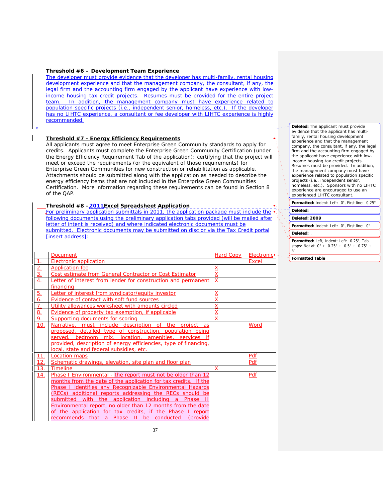#### **Threshold #6 – Development Team Experience**

The developer must provide evidence that the developer has multi-family, rental housing development experience and that the management company, the consultant, if any, the legal firm and the accounting firm engaged by the applicant have experience with lowincome housing tax credit projects. Resumes must be provided for the entire project team. In addition, the management company must have experience related to population specific projects (i.e., independent senior, homeless, etc.). If the developer has no LIHTC experience, a consultant or fee developer with LIHTC experience is highly recommended.

## **Threshold #7 - Energy Efficiency Requirements**

All applicants must agree to meet Enterprise Green Community standards to apply for credits. Applicants must complete the Enterprise Green Community Certification (under the Energy Efficiency Requirement Tab of the application); certifying that the project will meet or exceed the requirements (or the equivalent of those requirements) for Enterprise Green Communities for new construction or rehabilitation as applicable. Attachments should be submitted along with the application as needed to describe the energy efficiency items that are not included in the Enterprise Green Communities Certification. More information regarding these requirements can be found in Section 8 of the QAP.

## **Threshold #8 –2011Excel Spreadsheet Application**

For preliminary application submittals in 2011, the application package must include the following documents using the preliminary application tabs provided (will be mailed after letter of intent is received) and where indicated electronic documents must be submitted. Electronic documents may be submitted on disc or via the Tax Credit portal [insert address]:

|                  | <b>Document</b>                                                  | Hard Copy               | Electronic <sup>+</sup> |
|------------------|------------------------------------------------------------------|-------------------------|-------------------------|
|                  | <b>Electronic application</b>                                    |                         | <b>Excel</b>            |
| 2.               | <b>Application fee</b>                                           | X                       |                         |
| $\overline{3}$ . | Cost estimate from General Contractor or Cost Estimator          | $\overline{X}$          |                         |
| <u>4.</u>        | Letter of interest from lender for construction and permanent    | X                       |                         |
|                  | financing                                                        |                         |                         |
| 5.               | Letter of interest from syndicator/equity investor               | X                       |                         |
| <u>6.</u>        | <b>Evidence of contact with soft fund sources</b>                | $\overline{\mathsf{X}}$ |                         |
| 7.               | Utility allowances worksheet with amounts circled                | X                       |                         |
| 8.               | Evidence of property tax exemption, if applicable                | X                       |                         |
| 9.               | Supporting documents for scoring                                 | X                       |                         |
| 10.              | Narrative, must include description of the project as            |                         | Word                    |
|                  | proposed, detailed type of construction, population being        |                         |                         |
|                  | served, bedroom mix, location, amenities, services if            |                         |                         |
|                  | provided, description of energy efficiencies, type of financing, |                         |                         |
|                  | local, state and federal subsidies, etc.                         |                         |                         |
| 11.              | Location maps                                                    |                         | Pdf                     |
| 12.              | Schematic drawings, elevation, site plan and floor plan          |                         | Pdf                     |
| 13.              | <b>Timeline</b>                                                  | X                       |                         |
| <u>14.</u>       | Phase I Environmental - the report must not be older than 12     |                         | Pdf                     |
|                  | months from the date of the application for tax credits. If the  |                         |                         |
|                  | Phase I identifies any Recognizable Environmental Hazards        |                         |                         |
|                  | (RECs) additional reports addressing the RECs should be          |                         |                         |
|                  | submitted with the application including a<br>Phase              |                         |                         |
|                  | Environmental report, no older than 12 months from the date      |                         |                         |
|                  | of the application for tax credits, if the Phase I report        |                         |                         |
|                  | recommends that a Phase II be conducted.<br><i>(provide)</i>     |                         |                         |

**Deleted:** The applicant must provide evidence that the applicant has multifamily, rental housing development experience and that the management company, the consultant, if any, the legal firm and the accounting firm engaged by the applicant have experience with lowincome housing tax credit projects. Resumes must be provided. In addition, the management company must have experience related to population specific projects (i.e., independent senior, homeless, etc.). Sponsors with no LIHTC experience are encouraged to use an experienced LIHTC consultant.

**Formatted:** Indent: Left: 0", First line: 0.25"

## **Deleted:**

#### **Deleted: 2009**

**Formatted:** Indent: Left: 0", First line: 0"

#### **Deleted:**

**Formatted:** Left, Indent: Left: 0.25", Tab stops: Not at 0" + 0.25" + 0.5" + 0.75" + 6"

**Formatted Table**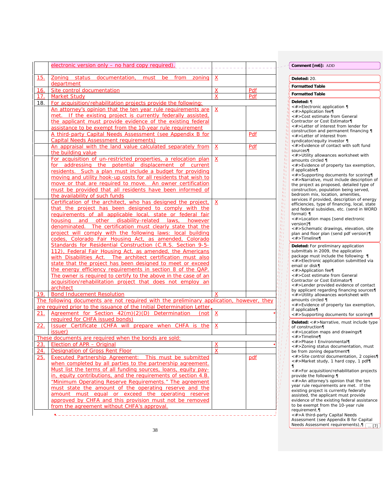|                 | electronic version only - no hard copy required).                                                                         |                          |     |                                  | Comment [m6]: ADD                                                                   |
|-----------------|---------------------------------------------------------------------------------------------------------------------------|--------------------------|-----|----------------------------------|-------------------------------------------------------------------------------------|
| 15.             | Zoning status documentation, must be from zoning                                                                          | $\overline{X}$           |     |                                  | Deleted: 20.                                                                        |
|                 | department                                                                                                                |                          |     |                                  | <b>Formatted Table</b>                                                              |
| 16.             | Site control documentation                                                                                                | $\overline{\mathsf{X}}$  | Pdf |                                  |                                                                                     |
| 17 <sub>2</sub> | <b>Market Study</b>                                                                                                       | X                        | Pdf |                                  | <b>Formatted Table</b>                                                              |
| 18.             | For acquisition/rehabilitation projects provide the following:                                                            |                          |     |                                  | Deleted: ¶<br><#>Electronic application ¶                                           |
|                 | An attorney's opinion that the ten year rule requirements are                                                             | $\underline{\mathsf{X}}$ |     |                                  | <#>Application fee¶                                                                 |
|                 | met. If the existing project is currently federally assisted,                                                             |                          |     |                                  | <#>Cost estimate from General                                                       |
|                 | the applicant must provide evidence of the existing federal                                                               |                          |     |                                  | Contractor or Cost Estimator¶<br><#>Letter of interest from lender for              |
|                 | assistance to be exempt from the 10-year rule requirement<br>A third-party Capital Needs Assessment (see Appendix B for   |                          |     |                                  | construction and permanent financing ¶                                              |
|                 | <b>Capital Needs Assessment requirements)</b>                                                                             |                          | Pdf |                                  | <#>Letter of interest from                                                          |
|                 | An appraisal with the land value calculated separately from                                                               | $\mathbf{\underline{X}}$ | Pdf |                                  | syndicator/equity investor ¶<br><#>Evidence of contact with soft fund               |
|                 | the building value                                                                                                        |                          |     |                                  | sources¶                                                                            |
|                 | For acquisition of un-restricted properties, a relocation plan                                                            | $\underline{X}$          |     | 加<br>町                           | <#>Utility allowances worksheet with<br>amounts circled ¶                           |
|                 | for addressing the potential displacement of current                                                                      |                          |     | 町<br>Λŋ                          | <#>Evidence of property tax exemption,                                              |
|                 | residents. Such a plan must include a budget for providing                                                                |                          |     | Aπ                               | if applicable¶                                                                      |
|                 | moving and utility hook-up costs for all residents that wish to                                                           |                          |     | м<br>Mт                          | <#>Supporting documents for scoring¶<br><#>Narrative, must include description of   |
|                 | move or that are required to move. An owner certification                                                                 |                          |     | Aп<br>-411                       | the project as proposed, detailed type of                                           |
|                 | must be provided that all residents have been informed of                                                                 |                          |     | Mт<br>λη                         | construction, population being served,                                              |
|                 | the availability of such funds                                                                                            |                          |     | 力<br>力                           | bedroom mix, location, amenities,<br>services if provided, description of energy    |
|                 | Certification of the architect, who has designed the project,                                                             | $\mathbf{X}$             |     | ЛŢ<br>$\mathbf{u}_1$             | efficiencies, type of financing, local, state                                       |
|                 | that the project has been designed to comply with the                                                                     |                          |     | Λij                              | and federal subsidies, etc. (send in WORD                                           |
|                 | requirements of all applicable local, state or federal fair<br>housing and other disability-related laws, however         |                          |     | $\mathbf{u}_1$<br>$\mathbf{u}_1$ | format) $\P$<br><#>Location maps [send electronic                                   |
|                 | denominated. The certification must clearly state that the                                                                |                          |     | <b>A</b><br>Aπ                   | version]¶                                                                           |
|                 | project will comply with the following laws: local building                                                               |                          |     | Ar p<br>πï                       | <#>Schematic drawings, elevation, site<br>plan and floor plan (send pdf version)¶   |
|                 | codes, Colorado Fair Housing Act, as amended, Colorado                                                                    |                          |     | πî<br>Лij                        | $<\#$ > Timeline¶                                                                   |
|                 | Standards for Residential Construction (C.R.S. Section 9-5-                                                               |                          |     | 前后后                              | Deleted: For preliminary application                                                |
|                 | 112), Federal Fair Housing Act, as amended, the Americans                                                                 |                          |     |                                  | submittals in 2009, the application                                                 |
|                 | with Disabilities Act. The architect certification must also                                                              |                          |     | Ψí                               | package must include the following: 1<br><#>Electronic application submitted via    |
|                 | state that the project has been designed to meet or exceed                                                                |                          |     | ŧη<br>ŧη                         | email or disk¶                                                                      |
|                 | the energy efficiency requirements in section 8 of the QAP.                                                               |                          |     | u.,<br>ŧη                        | <#>Application fee¶                                                                 |
|                 | The owner is required to certify to the above in the case of an                                                           |                          |     | ŧη<br>11 I                       | <#>Cost estimate from General<br>Contractor or Cost Estimator¶                      |
|                 | acquisition/rehabilitation project that does not employ an<br>architect                                                   |                          |     | Lι                               | <#>Lender provided evidence of contact                                              |
| 19              | <b>Bond Inducement Resolution</b>                                                                                         |                          |     |                                  | by applicant regarding financing sources¶<br><#>Utility allowances worksheet with   |
|                 | The following documents are not required with the preliminary application, however, they                                  |                          |     |                                  | amounts circled ¶                                                                   |
|                 | are required prior to the issuance of the Initial Determination Letter,                                                   |                          |     |                                  | <#>Evidence of property tax exemption,                                              |
| 21.             | Agreement for Section 42(m)(2)(D) Determination<br>(not                                                                   | $\mathbf{X}$             |     |                                  | if applicable¶<br><#>Supporting documents for scoring¶                              |
|                 | required for CHFA issued bonds)                                                                                           |                          |     |                                  |                                                                                     |
| <u>22.</u>      | Issuer Certificate (CHFA will prepare when CHFA is the                                                                    | $\overline{\mathbf{X}}$  |     |                                  | Deleted: <#>Narrative, must include type<br>of construction¶                        |
|                 | issuer)                                                                                                                   |                          |     |                                  | <#>Location maps and drawings¶                                                      |
|                 | These documents are required when the bonds are sold:                                                                     |                          |     |                                  | $<\#$ >Timeline¶<br><#>Phase I Environmental¶                                       |
|                 | 23. Election of APR - Original                                                                                            | $\mathbf{x}$             |     |                                  | <#>Zoning status documentation, must                                                |
| 24.             | Designation of Gross Rent Floor                                                                                           | X                        |     |                                  | be from zoning department¶                                                          |
| 25.             | <b>Executed Partnership Agreement: This must be submitted</b>                                                             |                          | pdf |                                  | <#>Site control documentation, 2 copies¶<br><#>Market study, 1 hard copy, 1 pdf[]   |
|                 | when completed by all parties to the partnership agreement.                                                               |                          |     |                                  |                                                                                     |
|                 | Must list the terms of all funding sources, loans, equity pay-                                                            |                          |     | $\mathbf{I}$<br>īΙ               | <#>For acquisition/rehabilitation projects                                          |
|                 | in, equity contributions, and the requirements of section 4.B.<br>"Minimum Operating Reserve Requirements." The agreement |                          |     |                                  | provide the following: ¶<br><#>An attorney's opinion that the ten                   |
|                 | must state the amount of the operating reserve and the                                                                    |                          |     |                                  | year rule requirements are met. If the                                              |
|                 | amount must equal or exceed the operating reserve                                                                         |                          |     |                                  | existing project is currently federally                                             |
|                 | approved by CHFA and this provision must not be removed                                                                   |                          |     |                                  | assisted, the applicant must provide<br>evidence of the existing federal assistance |
|                 | from the agreement without CHFA's approval.                                                                               |                          |     |                                  | to be exempt from the 10-year rule                                                  |
|                 |                                                                                                                           |                          |     |                                  | requirement.                                                                        |

requirement.¶<br><#>A third-party Capital Needs<br>Assessment (see Appendix B for Capital<br>Needs Assessment requirements),¶ [... [7]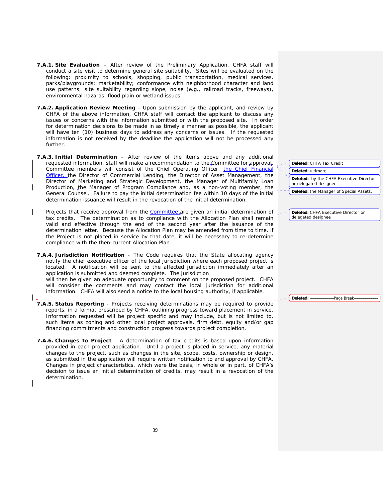- **7.A.1. Site Evaluation** After review of the Preliminary Application, CHFA staff will conduct a site visit to determine general site suitability. Sites will be evaluated on the following: proximity to schools, shopping, public transportation, medical services, parks/playgrounds; marketability; conformance with neighborhood character and land use patterns; site suitability regarding slope, noise (e.g., railroad tracks, freeways), environmental hazards, flood plain or wetland issues.
- **7.A.2. Application Review Meeting** Upon submission by the applicant, and review by CHFA of the above information, CHFA staff will contact the applicant to discuss any issues or concerns with the information submitted or with the proposed site. In order for determination decisions to be made in as timely a manner as possible, the applicant will have ten (10) business days to address any concerns or issues. If the requested information is not received by the deadline the application will not be processed any further.
- **7.A.3. Initial Determination**  After review of the items above and any additional requested information, staff will make a recommendation to the Committee for approval. Committee members will consist of the Chief Operating Officer, the Chief Financial Officer, the Director of Commercial Lending, the Director of Asset Management, the Director of Marketing and Strategic Development, the Manager of Multifamily Loan Production, the Manager of Program Compliance and, as a non-voting member, the General Counsel. Failure to pay the initial determination fee within 10 days of the initial determination issuance will result in the revocation of the initial determination.
- Projects that receive approval from the Committee are given an initial determination of tax credits. The determination as to compliance with the Allocation Plan shall remain valid and effective through the end of the second year after the issuance of the determination letter. Because the Allocation Plan may be amended from time to time, if the Project is not placed in service by that date, it will be necessary to re-determine compliance with the then-current Allocation Plan.
- **7.A.4. Jurisdiction Notification** The Code requires that the State allocating agency notify the chief executive officer of the local jurisdiction where each proposed project is located. A notification will be sent to the affected jurisdiction immediately after an application is submitted and deemed complete. The jurisdiction

will then be given an adequate opportunity to comment on the proposed project. CHFA will consider the comments and may contact the local jurisdiction for additional information. CHFA will also send a notice to the local housing authority, if applicable.

- **7.A.5. Status Reporting** Projects receiving determinations may be required to provide reports, in a format prescribed by CHFA, outlining progress toward placement in service. Information requested will be project specific and may include, but is not limited to, such items as zoning and other local project approvals, firm debt, equity and/or gap financing commitments and construction progress towards project completion.
- **7.A.6. Changes to Project** A determination of tax credits is based upon information provided in each project application. Until a project is placed in service, any material changes to the project, such as changes in the site, scope, costs, ownership or design, as submitted in the application will require written notification to and approval by CHFA. Changes in project characteristics, which were the basis, in whole or in part, of CHFA's decision to issue an initial determination of credits, may result in a revocation of the determination.

**Deleted:** CHFA Tax Credit **Deleted:** ultimate **Deleted:** by the CHFA Executive Director or delegated designee **Deleted:** the Manager of Special Assets,

**Deleted:** CHFA Executive Director or delegated designee

**Deleted:** Page Break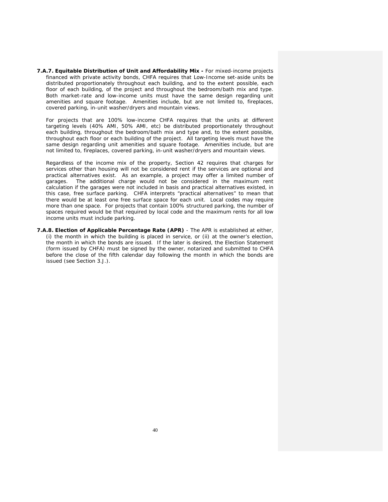**7.A.7. Equitable Distribution of Unit and Affordability Mix -** For mixed-income projects financed with private activity bonds, CHFA requires that Low-Income set-aside units be distributed proportionately throughout each building, and to the extent possible, each floor of each building, of the project and throughout the bedroom/bath mix and type. Both market-rate and low-income units must have the same design regarding unit amenities and square footage. Amenities include, but are not limited to, fireplaces, covered parking, in-unit washer/dryers and mountain views.

 For projects that are 100% low-income CHFA requires that the units at different targeting levels (40% AMI, 50% AMI, etc) be distributed proportionately throughout each building, throughout the bedroom/bath mix and type and, to the extent possible, throughout each floor or each building of the project. All targeting levels must have the same design regarding unit amenities and square footage. Amenities include, but are not limited to, fireplaces, covered parking, in-unit washer/dryers and mountain views.

 Regardless of the income mix of the property, Section 42 requires that charges for services other than housing will not be considered rent if the services are optional and practical alternatives exist. As an example, a project may offer a limited number of garages. The additional charge would not be considered in the maximum rent The additional charge would not be considered in the maximum rent calculation if the garages were not included in basis and practical alternatives existed, in this case, free surface parking. CHFA interprets "practical alternatives" to mean that there would be at least one free surface space for each unit. Local codes may require more than one space. For projects that contain 100% structured parking, the number of spaces required would be that required by local code and the maximum rents for all low income units must include parking.

**7.A.8. Election of Applicable Percentage Rate (APR)** - The APR is established at either, (i) the month in which the building is placed in service, or (ii) at the owner's election, the month in which the bonds are issued. If the later is desired, the Election Statement (form issued by CHFA) must be signed by the owner, notarized and submitted to CHFA before the close of the fifth calendar day following the month in which the bonds are issued (see Section 3.J.).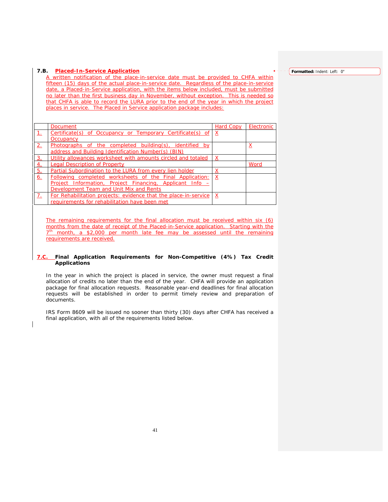### **7.B. Placed-In-Service Application**

A written notification of the place-in-service date must be provided to CHFA within fifteen (15) days of the actual place-in-service date. Regardless of the place-in-service date, a Placed-in-Service application, with the items below included, must be submitted no later than the first business day in November, without exception. This is needed so that CHFA is able to record the LURA prior to the end of the year in which the project places in service. The Placed in Service application package includes:

|           | <b>Document</b>                                                 | <b>Hard Copy</b> | Electronic |
|-----------|-----------------------------------------------------------------|------------------|------------|
|           | Certificate(s) of Occupancy or Temporary Certificate(s) of      |                  |            |
|           | Occupancy                                                       |                  |            |
| 2.        | Photographs of the completed building(s), identified by         |                  | <u>x</u>   |
|           | address and Building Identification Number(s) (BIN)             |                  |            |
| 3.        | Utility allowances worksheet with amounts circled and totaled   | X                |            |
| <u>4.</u> | Legal Description of Property                                   |                  | Word       |
| 5.        | Partial Subordination to the LURA from every lien holder        | Х                |            |
| <u>6.</u> | Following completed worksheets of the Final Application:        | X                |            |
|           | Project Information, Project Financing, Applicant Info -        |                  |            |
|           | Development Team and Unit Mix and Rents                         |                  |            |
| 7.        | For Rehabilitation projects: evidence that the place-in-service | $\mathsf{x}$     |            |
|           | requirements for rehabilitation have been met                   |                  |            |

The remaining requirements for the final allocation must be received within six (6) months from the date of receipt of the Placed-in-Service application. Starting with the  $7<sup>th</sup>$  month, a \$2,000 per month late fee may be assessed until the remaining requirements are received.

## **7.C. Final Application Requirements for Non-Competitive (4%) Tax Credit Applications**

 In the year in which the project is placed in service, the owner must request a final allocation of credits no later than the end of the year. CHFA will provide an application package for final allocation requests. Reasonable year-end deadlines for final allocation requests will be established in order to permit timely review and preparation of documents.

 IRS Form 8609 will be issued no sooner than thirty (30) days after CHFA has received a final application, with all of the requirements listed below.

**Formatted:** Indent: Left: 0"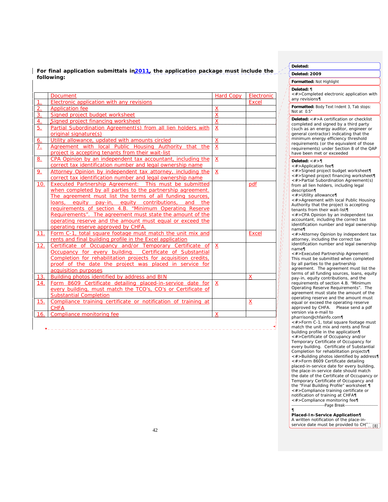| For final application submittals in 2011, the application package must include the |  |  |  |
|------------------------------------------------------------------------------------|--|--|--|
| following:                                                                         |  |  |  |

|                | <b>Document</b>                                                                                                                                                                                                                                                                                                                                                                                                                                                                                                                            | <b>Hard Copy</b>            | Electronic          |
|----------------|--------------------------------------------------------------------------------------------------------------------------------------------------------------------------------------------------------------------------------------------------------------------------------------------------------------------------------------------------------------------------------------------------------------------------------------------------------------------------------------------------------------------------------------------|-----------------------------|---------------------|
| $\mathbf{1}$ . | Electronic application with any revisions                                                                                                                                                                                                                                                                                                                                                                                                                                                                                                  |                             | <b>Excel</b>        |
| 2.             | <b>Application fee</b>                                                                                                                                                                                                                                                                                                                                                                                                                                                                                                                     | $\underline{X}$             |                     |
| 3.             | Signed project budget worksheet                                                                                                                                                                                                                                                                                                                                                                                                                                                                                                            | $\overline{X}$              |                     |
| 4.             | Signed project financing worksheet                                                                                                                                                                                                                                                                                                                                                                                                                                                                                                         | $\overline{X}$              |                     |
| 5.             | Partial Subordination Agreement(s) from all lien holders with<br>original signature(s)                                                                                                                                                                                                                                                                                                                                                                                                                                                     | $\overline{X}$              |                     |
| 6.             | Utility allowance, updated with amounts circled                                                                                                                                                                                                                                                                                                                                                                                                                                                                                            |                             |                     |
| 7.             | Agreement with local Public Housing Authority that the                                                                                                                                                                                                                                                                                                                                                                                                                                                                                     | <u>X</u><br>$\underline{X}$ |                     |
|                | project is accepting tenants from their wait-list                                                                                                                                                                                                                                                                                                                                                                                                                                                                                          |                             |                     |
| <u>8.</u>      | CPA Opinion by an independent tax accountant, including the<br>correct tax identification number and legal ownership name                                                                                                                                                                                                                                                                                                                                                                                                                  | $\mathsf{X}$                |                     |
| 9.             | Attorney Opinion by independent tax attorney, including the<br>correct tax identification number and legal ownership name                                                                                                                                                                                                                                                                                                                                                                                                                  | $\mathsf{X}$                |                     |
| 10.<br>11.     | <b>Executed Partnership Agreement:</b> This must be submitted<br>when completed by all parties to the partnership agreement.<br>The agreement must list the terms of all funding sources,<br>loans, equity pay-in, equity contributions, and the<br>requirements of section 4.B. "Minimum Operating Reserve<br>Requirements". The agreement must state the amount of the<br>operating reserve and the amount must equal or exceed the<br>operating reserve approved by CHFA.<br>Form C-1, total square footage must match the unit mix and |                             | pdf<br><b>Excel</b> |
|                | rents and final building profile in the Excel application                                                                                                                                                                                                                                                                                                                                                                                                                                                                                  |                             |                     |
| 12.            | Certificate of Occupancy and/or Temporary Certificate of<br>Occupancy for every building. Certificate of Substantial<br>Completion for rehabilitation projects for acquisition credits,<br>proof of the date the project was placed in service for<br>acquisition purposes                                                                                                                                                                                                                                                                 | $\mathsf{x}$                |                     |
| 13.            | Building photos identified by address and BIN                                                                                                                                                                                                                                                                                                                                                                                                                                                                                              |                             | X                   |
| 14.            | Form 8609 Certificate detailing placed-in-service date for<br>every building, must match the TCO's, CO's or Certificate of<br><b>Substantial Completion</b>                                                                                                                                                                                                                                                                                                                                                                                | $\boldsymbol{\mathsf{X}}$   |                     |
| 15.            | Compliance training certificate or notification of training at<br><b>CHFA</b>                                                                                                                                                                                                                                                                                                                                                                                                                                                              |                             | X                   |
| 16.            | Compliance monitoring fee                                                                                                                                                                                                                                                                                                                                                                                                                                                                                                                  | $\mathsf{x}$                |                     |

**Deleted:** 

**Deleted: 2009**

# **Formatted:** Not Highlight

**Deleted:** ¶ <#>Completed electronic application with any revisions¶

**Formatted:** Body Text Indent 3, Tab stops: Not at 0.5"

**Deleted:** <#>A certification or checklist completed and signed by a third party (such as an energy auditor, engineer or general contractor) indicating that the minimum energy efficiency threshold requirements (or the equivalent of those requirements) under Section 8 of the QAP have been met or exceeded

### **Deleted:** <#>¶

<#>Application fee¶

<#>Signed project budget worksheet¶ <#>Signed project financing worksheet¶ <#>Partial Subordination Agreement(s) from all lien holders, including legal description¶

<#>Utility allowance¶

<#>Agreement with local Public Housing Authority that the project is accepting tenants from their wait-list¶

<#>CPA Opinion by an independent tax accountant, including the correct tax identification number and legal ownership name¶

<#>Attorney Opinion by independent tax attorney, including the correct tax

identification number and legal ownership name¶ <#>Executed Partnership Agreement:

This must be submitted when completed by all parties to the partnership agreement. The agreement must list the terms of all funding sources, loans, equity pay-in, equity contributions, and the requirements of section 4.B. "Minimum Operating Reserve Requirements". The agreement must state the amount of the operating reserve and the amount must equal or exceed the operating reserve approved by CHFA. Please send a pdf version via e-mail to

pharrison@chfainfo.com¶ <#>Form C-1, total square footage must match the unit mix and rents and final building profile in the application¶ <#>Certificate of Occupancy and/or Temporary Certificate of Occupancy for every building. Certificate of Substantial Completion for rehabilitation projects¶ <#>Building photos identified by address¶ <#>Form 8609 Certificate detailing placed-in-service date for every building, the place-in-service date should match the date of the Certificate of Occupancy or Temporary Certificate of Occupancy and the "Final Building Profile" worksheet ¶ <#>Compliance training certificate or notification of training at CHFA¶ <#>Compliance monitoring fee¶ Page Break

¶ **Placed-In-Service Application¶** A written notification of the place-inservice date must be provided to  $CH_{n+1}[8]$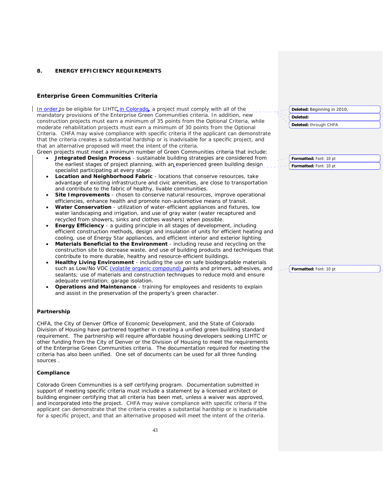## **8. ENERGY EFFICIENCY REQUIREMENTS**

## **Enterprise Green Communities Criteria**

In order to be eligible for LIHTC, in Colorado, a project must comply with all of the mandatory provisions of the Enterprise Green Communities criteria. In addition, new construction projects must earn a minimum of 35 points from the Optional Criteria, while moderate rehabilitation projects must earn a minimum of 30 points from the Optional Criteria. CHFA may waive compliance with specific criteria if the applicant can demonstrate that the criteria creates a substantial hardship or is inadvisable for a specific project, and that an alternative proposed will meet the intent of the criteria.

Green projects must meet a minimum number of Green Communities criteria that include:

- **Integrated Design Process** sustainable building strategies are considered from the earliest stages of project planning, with an experienced green building design specialist participating at every stage.
- **Location and Neighborhood Fabric** locations that conserve resources, take advantage of existing infrastructure and civic amenities, are close to transportation and contribute to the fabric of healthy, livable communities.
- **Site Improvements** chosen to conserve natural resources, improve operational efficiencies, enhance health and promote non-automotive means of transit.
- **Water Conservation** utilization of water-efficient appliances and fixtures, low water landscaping and irrigation, and use of gray water (water recaptured and recycled from showers, sinks and clothes washers) when possible.
- **Energy Efficiency** a guiding principle in all stages of development, including efficient construction methods, design and insulation of units for efficient heating and cooling, use of Energy Star appliances, and efficient interior and exterior lighting.
- **Materials Beneficial to the Environment** including reuse and recycling on the construction site to decrease waste, and use of building products and techniques that contribute to more durable, healthy and resource-efficient buildings.
- **Healthy Living Environment** including the use on safe biodegradable materials such as Low/No VOC (volatile organic compound) paints and primers, adhesives, and sealants; use of materials and construction techniques to reduce mold and ensure adequate ventilation; garage isolation.
- **Operations and Maintenance** training for employees and residents to explain and assist in the preservation of the property's green character.

## **Partnership**

CHFA, the City of Denver Office of Economic Development, and the State of Colorado Division of Housing have partnered together in creating a unified green building standard requirement. The partnership will require affordable housing developers seeking LIHTC or other funding from the City of Denver or the Division of Housing to meet the requirements of the Enterprise Green Communities criteria. The documentation required for meeting the criteria has also been unified. One set of documents can be used for all three funding sources .

#### **Compliance**

Colorado Green Communities is a self certifying program. Documentation submitted in support of meeting specific criteria must include a statement by a licensed architect or building engineer certifying that all criteria has been met, unless a waiver was approved, and incorporated into the project. CHFA may waive compliance with specific criteria if the applicant can demonstrate that the criteria creates a substantial hardship or is inadvisable for a specific project, and that an alternative proposed will meet the intent of the criteria.

| Deleted: Beginning in 2010, |  |
|-----------------------------|--|
| Deleted:                    |  |

**Deleted:** through CHFA

**Formatted:** Font: 10 pt **Formatted:** Font: 10 pt

**Formatted:** Font: 10 pt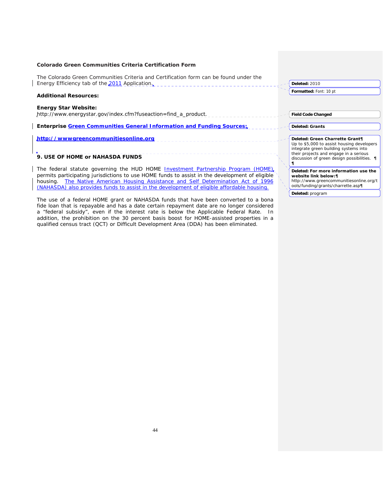| Colorado Green Communities Criteria Certification Form                                                                                                                             |                                                                                                                                |
|------------------------------------------------------------------------------------------------------------------------------------------------------------------------------------|--------------------------------------------------------------------------------------------------------------------------------|
| The Colorado Green Communities Criteria and Certification form can be found under the<br>Energy Efficiency tab of the 2011 Application.                                            | <b>Deleted: 2010</b>                                                                                                           |
| <b>Additional Resources:</b>                                                                                                                                                       | Formatted: Font: 10 pt                                                                                                         |
| <b>Energy Star Website:</b><br>http://www.energystar.gov/index.cfm?fuseaction=find_a_product.                                                                                      | <b>Field Code Changed</b>                                                                                                      |
| Enterprise Green Communities General Information and Funding Sources;                                                                                                              | <b>Deleted: Grants</b>                                                                                                         |
| http://wwwgreencommunitiesonline.org                                                                                                                                               | Deleted: Green Charrette Grant¶<br>Up to \$5,000 to assist housing developers                                                  |
| 9. USE OF HOME or NAHASDA FUNDS                                                                                                                                                    | integrate green building systems into<br>their projects and engage in a serious<br>discussion of green design possibilities. 1 |
| The federal statute governing the HUD HOME Investment Partnership Program (HOME)<br>permits participating jurisdictions to use HOME funds to assist in the development of eligible | Deleted: For more information use the<br>website link below:¶                                                                  |

The use of a federal HOME grant or NAHASDA funds that have been converted to a bona fide loan that is repayable and has a date certain repayment date are no longer considered a "federal subsidy", even if the interest rate is below the Applicable Federal Rate. In addition, the prohibition on the 30 percent basis boost for HOME-assisted properties in a

qualified census tract (QCT) or Difficult Development Area (DDA) has been eliminated.

 $\overline{\phantom{a}}$ 

housing. The Native American Housing Assistance and Self Determination Act of 1996 (NAHASDA) also provides funds to assist in the development of eligible affordable housing.

*website link below:¶* http://www.greencommunitiesonline.org/t ools/funding/grants/charrette.asp¶

**Deleted:** program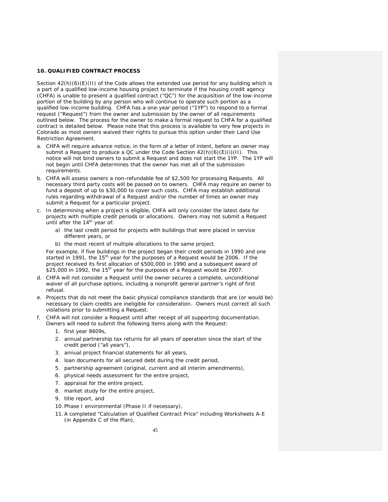## **10. QUALIFIED CONTRACT PROCESS**

Section  $42(h)(6)(E)(H)$  of the Code allows the extended use period for any building which is a part of a qualified low-income housing project to terminate if the housing credit agency (CHFA) is unable to present a qualified contract ("QC") for the acquisition of the low-income portion of the building by any person who will continue to operate such portion as a qualified low-income building. CHFA has a one-year period ("1YP") to respond to a formal request ("Request") from the owner and submission by the owner of all requirements outlined below. The process for the owner to make a formal request to CHFA for a qualified contract is detailed below. Please note that this process is available to very few projects in Colorado as most owners waived their rights to pursue this option under their Land Use Restriction Agreement.

- a. CHFA will require advance notice, in the form of a letter of intent, before an owner may submit a Request to produce a QC under the Code Section  $42(h)(6)(E)(i)(II)$ . This notice will not bind owners to submit a Request and does not start the 1YP. The 1YP will not begin until CHFA determines that the owner has met all of the submission requirements.
- b. CHFA will assess owners a non-refundable fee of \$2,500 for processing Requests. All necessary third party costs will be passed on to owners. CHFA may require an owner to fund a deposit of up to \$30,000 to cover such costs. CHFA may establish additional rules regarding withdrawal of a Request and/or the number of times an owner may submit a Request for a particular project.
- c. In determining when a project is eligible, CHFA will only consider the latest date for projects with multiple credit periods or allocations. Owners may not submit a Request until after the 14<sup>th</sup> year of:
	- a) the last credit period for projects with buildings that were placed in service different years, or
	- b) the most recent of multiple allocations to the same project.

For example, if five buildings in the project began their credit periods in 1990 and one started in 1991, the 15<sup>th</sup> year for the purposes of a Request would be 2006. If the project received its first allocation of \$500,000 in 1990 and a subsequent award of \$25,000 in 1992, the 15<sup>th</sup> year for the purposes of a Request would be 2007.

- d. CHFA will not consider a Request until the owner secures a complete, unconditional waiver of all purchase options, including a nonprofit general partner's right of first refusal.
- e. Projects that do not meet the basic physical compliance standards that are (or would be) necessary to claim credits are ineligible for consideration. Owners must correct all such violations prior to submitting a Request.
- f. CHFA will not consider a Request until after receipt of all supporting documentation. Owners will need to submit the following items along with the Request:
	- 1. first year 8609s,
	- 2. annual partnership tax returns for all years of operation since the start of the credit period ("all years"),
	- 3. annual project financial statements for all years,
	- 4. loan documents for all secured debt during the credit period,
	- 5. partnership agreement (original, current and all interim amendments),
	- 6. physical needs assessment for the entire project,
	- 7. appraisal for the entire project,
	- 8. market study for the entire project,
	- 9. title report, and
	- 10. Phase I environmental (Phase II if necessary),
	- 11.A completed "Calculation of Qualified Contract Price" including Worksheets A-E (in Appendix C of the Plan),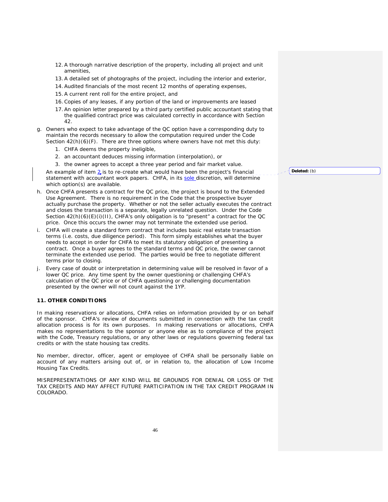- 12.A thorough narrative description of the property, including all project and unit amenities,
- 13.A detailed set of photographs of the project, including the interior and exterior,
- 14.Audited financials of the most recent 12 months of operating expenses,
- 15.A current rent roll for the entire project, and
- 16.Copies of any leases, if any portion of the land or improvements are leased
- 17.An opinion letter prepared by a third party certified public accountant stating that the qualified contract price was calculated correctly in accordance with Section 42.
- g. Owners who expect to take advantage of the QC option have a corresponding duty to maintain the records necessary to allow the computation required under the Code Section  $42(h)(6)(F)$ . There are three options where owners have not met this duty:
	- 1. CHFA deems the property ineligible,
	- 2. an accountant deduces missing information (interpolation), or
	- 3. the owner agrees to accept a three year period and fair market value.

An example of item  $2$  is to re-create what would have been the project's financial statement with accountant work papers. CHFA, in its sole discretion, will determine which option(s) are available.

- h. Once CHFA presents a contract for the QC price, the project is bound to the Extended Use Agreement. There is no requirement in the Code that the prospective buyer actually purchase the property. Whether or not the seller actually executes the contract and closes the transaction is a separate, legally unrelated question. Under the Code Section 42(h)(6)(E)(i)(II), CHFA's only obligation is to "present" a contract for the QC price. Once this occurs the owner may not terminate the extended use period.
- i. CHFA will create a standard form contract that includes basic real estate transaction terms (i.e. costs, due diligence period). This form simply establishes what the buyer needs to accept in order for CHFA to meet its statutory obligation of presenting a contract. Once a buyer agrees to the standard terms and QC price, the owner cannot terminate the extended use period. The parties would be free to negotiate different terms prior to closing.
- j. Every case of doubt or interpretation in determining value will be resolved in favor of a lower QC price. Any time spent by the owner questioning or challenging CHFA's calculation of the QC price or of CHFA questioning or challenging documentation presented by the owner will not count against the 1YP.

## **11. OTHER CONDITIONS**

In making reservations or allocations, CHFA relies on information provided by or on behalf of the sponsor. CHFA's review of documents submitted in connection with the tax credit allocation process is for its own purposes. In making reservations or allocations, CHFA makes no representations to the sponsor or anyone else as to compliance of the project with the Code, Treasury regulations, or any other laws or regulations governing federal tax credits or with the state housing tax credits.

No member, director, officer, agent or employee of CHFA shall be personally liable on account of any matters arising out of, or in relation to, the allocation of Low Income Housing Tax Credits.

MISREPRESENTATIONS OF ANY KIND WILL BE GROUNDS FOR DENIAL OR LOSS OF THE TAX CREDITS AND MAY AFFECT FUTURE PARTICIPATION IN THE TAX CREDIT PROGRAM IN COLORADO.

**Deleted:** (b)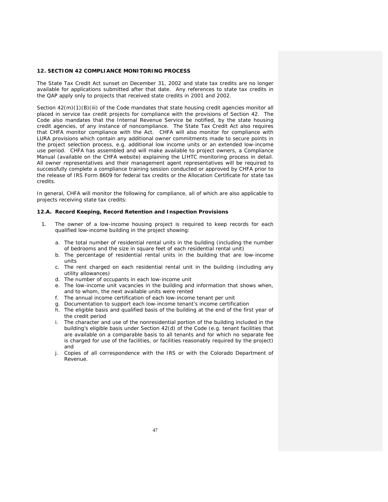## **12. SECTION 42 COMPLIANCE MONITORING PROCESS**

The State Tax Credit Act sunset on December 31, 2002 and state tax credits are no longer available for applications submitted after that date. Any references to state tax credits in the QAP apply only to projects that received state credits in 2001 and 2002.

Section 42(m)(1)(B)(iii) of the Code mandates that state housing credit agencies monitor all placed in service tax credit projects for compliance with the provisions of Section 42. The Code also mandates that the Internal Revenue Service be notified, by the state housing credit agencies, of any instance of noncompliance. The State Tax Credit Act also requires that CHFA monitor compliance with the Act. CHFA will also monitor for compliance with LURA provisions which contain any additional owner commitments made to secure points in the project selection process, e.g. additional low income units or an extended low-income use period. CHFA has assembled and will make available to project owners, a Compliance Manual (available on the CHFA website) explaining the LIHTC monitoring process in detail. All owner representatives and their management agent representatives will be required to successfully complete a compliance training session conducted or approved by CHFA prior to the release of IRS Form 8609 for federal tax credits or the Allocation Certificate for state tax credits.

In general, CHFA will monitor the following for compliance, all of which are also applicable to projects receiving state tax credits:

#### **12.A. Record Keeping, Record Retention and Inspection Provisions**

- 1. The owner of a low-income housing project is required to keep records for each qualified low-income building in the project showing:
	- a. The total number of residential rental units in the building (including the number of bedrooms and the size in square feet of each residential rental unit)
	- b. The percentage of residential rental units in the building that are low-income units
	- c. The rent charged on each residential rental unit in the building (including any utility allowances)
	- d. The number of occupants in each low-income unit
	- e. The low-income unit vacancies in the building and information that shows when, and to whom, the next available units were rented
	- f. The annual income certification of each low-income tenant per unit
	- g. Documentation to support each low-income tenant's income certification
	- h. The eligible basis and qualified basis of the building at the end of the first year of the credit period
	- i. The character and use of the nonresidential portion of the building included in the building's eligible basis under Section 42(d) of the Code (e.g. tenant facilities that are available on a comparable basis to all tenants and for which no separate fee is charged for use of the facilities, or facilities reasonably required by the project) and
	- j. Copies of all correspondence with the IRS or with the Colorado Department of Revenue.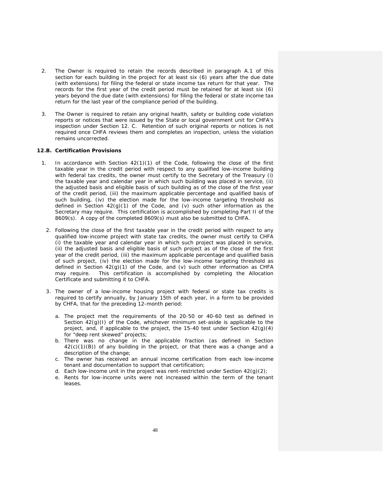- 2. The Owner is required to retain the records described in paragraph A.1 of this section for each building in the project for at least six (6) years after the due date (with extensions) for filing the federal or state income tax return for that year. The records for the first year of the credit period must be retained for at least six (6) years beyond the due date (with extensions) for filing the federal or state income tax return for the last year of the compliance period of the building.
- 3. The Owner is required to retain any original health, safety or building code violation reports or notices that were issued by the State or local government unit for CHFA's inspection under Section 12. C. Retention of such original reports or notices is not required once CHFA reviews them and completes an inspection, unless the violation remains uncorrected.

## **12.B. Certification Provisions**

- 1. In accordance with Section 42(1)(1) of the Code, following the close of the first taxable year in the credit period with respect to any qualified low-income building with federal tax credits, the owner must certify to the Secretary of the Treasury (i) the taxable year and calendar year in which such building was placed in service, (ii) the adjusted basis and eligible basis of such building as of the close of the first year of the credit period, (iii) the maximum applicable percentage and qualified basis of such building, (iv) the election made for the low-income targeting threshold as defined in Section  $42(g)(1)$  of the Code, and (v) such other information as the Secretary may require. This certification is accomplished by completing Part II of the 8609(s). A copy of the completed 8609(s) must also be submitted to CHFA.
	- 2. Following the close of the first taxable year in the credit period with respect to any qualified low-income project with state tax credits, the owner must certify to CHFA (i) the taxable year and calendar year in which such project was placed in service, (ii) the adjusted basis and eligible basis of such project as of the close of the first year of the credit period, (iii) the maximum applicable percentage and qualified basis of such project, (iv) the election made for the low-income targeting threshold as defined in Section  $42(g)(1)$  of the Code, and (v) such other information as CHFA may require. This certification is accomplished by completing the Allocation Certificate and submitting it to CHFA.
	- 3. The owner of a low-income housing project with federal or state tax credits is required to certify annually, by January 15th of each year, in a form to be provided by CHFA, that for the preceding 12-month period:
		- a. The project met the requirements of the 20-50 or 40-60 test as defined in Section  $42(q)(1)$  of the Code, whichever minimum set-aside is applicable to the project, and, if applicable to the project, the 15-40 test under Section 42(g)(4) for "deep rent skewed" projects;
		- b. There was no change in the applicable fraction (as defined in Section 42(c)(1)(B)) of any building in the project, or that there was a change and a description of the change;
		- c. The owner has received an annual income certification from each low-income tenant and documentation to support that certification;
		- d. Each low-income unit in the project was rent-restricted under Section  $42(q)(2)$ ;
		- e. Rents for low-income units were not increased within the term of the tenant leases.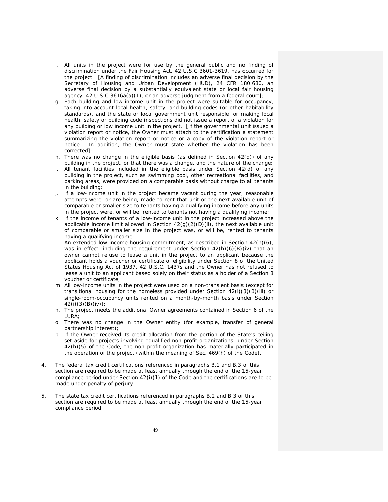- f. All units in the project were for use by the general public and no finding of discrimination under the Fair Housing Act, 42 U.S.C 3601-3619, has occurred for the project. [A finding of discrimination includes an adverse final decision by the Secretary of Housing and Urban Development (HUD), 24 CFR 180.680, an adverse final decision by a substantially equivalent state or local fair housing agency, 42 U.S.C 3616a(a)(1), or an adverse judgment from a federal court];
- g. Each building and low-income unit in the project were suitable for occupancy, taking into account local health, safety, and building codes (or other habitability standards), and the state or local government unit responsible for making local health, safety or building code inspections did not issue a report of a violation for any building or low income unit in the project. [If the governmental unit issued a violation report or notice, the Owner must attach to the certification a statement summarizing the violation report or notice or a copy of the violation report or notice. In addition, the Owner must state whether the violation has been corrected];
- h. There was no change in the eligible basis (as defined in Section 42(d)) of any building in the project, or that there was a change, and the nature of the change;
- i. All tenant facilities included in the eligible basis under Section 42(d) of any building in the project, such as swimming pool, other recreational facilities, and parking areas, were provided on a comparable basis without charge to all tenants in the building;
- j. If a low-income unit in the project became vacant during the year, reasonable attempts were, or are being, made to rent that unit or the next available unit of comparable or smaller size to tenants having a qualifying income before any units in the project were, or will be, rented to tenants not having a qualifying income;
- k. If the income of tenants of a low-income unit in the project increased above the applicable income limit allowed in Section  $42(g)(2)(D)(ii)$ , the next available unit of comparable or smaller size in the project was, or will be, rented to tenants having a qualifying income;
- l. An extended low-income housing commitment, as described in Section 42(h)(6), was in effect, including the requirement under Section  $42(h)(6)(B)(iv)$  that an owner cannot refuse to lease a unit in the project to an applicant because the applicant holds a voucher or certificate of eligibility under Section 8 of the United States Housing Act of 1937, 42 U.S.C. 1437s and the Owner has not refused to lease a unit to an applicant based solely on their status as a holder of a Section 8 voucher or certificate;
- m. All low-income units in the project were used on a non-transient basis (except for transitional housing for the homeless provided under Section 42(i)(3)(B)(iii) or single-room-occupancy units rented on a month-by-month basis under Section 42(i)(3)(B)(iv));
- n. The project meets the additional Owner agreements contained in Section 6 of the LURA;
- o. There was no change in the Owner entity (for example, transfer of general partnership interest);
- p. If the Owner received its credit allocation from the portion of the State's ceiling set-aside for projects involving "qualified non-profit organizations" under Section 42(h)(5) of the Code, the non-profit organization has materially participated in the operation of the project (within the meaning of Sec. 469(h) of the Code).
- 4. The federal tax credit certifications referenced in paragraphs B.1 and B.3 of this section are required to be made at least annually through the end of the 15-year compliance period under Section 42(i)(1) of the Code and the certifications are to be made under penalty of perjury.
- 5. The state tax credit certifications referenced in paragraphs B.2 and B.3 of this section are required to be made at least annually through the end of the 15-year compliance period.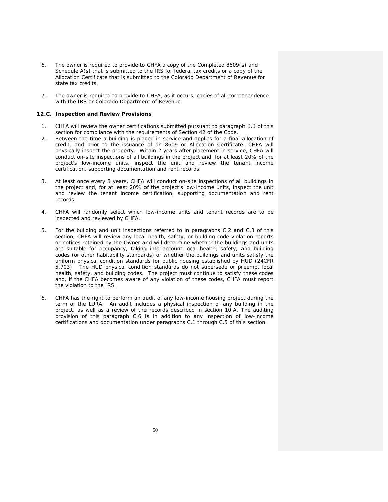- 6. The owner is required to provide to CHFA a copy of the Completed 8609(s) and Schedule A(s) that is submitted to the IRS for federal tax credits or a copy of the Allocation Certificate that is submitted to the Colorado Department of Revenue for state tax credits.
- 7. The owner is required to provide to CHFA, as it occurs, copies of all correspondence with the IRS or Colorado Department of Revenue.

#### **12.C. Inspection and Review Provisions**

- 1. CHFA will review the owner certifications submitted pursuant to paragraph B.3 of this section for compliance with the requirements of Section 42 of the Code.
- 2. Between the time a building is placed in service and applies for a final allocation of credit, and prior to the issuance of an 8609 or Allocation Certificate, CHFA will physically inspect the property. Within 2 years after placement in service, CHFA will conduct on-site inspections of all buildings in the project and, for at least 20% of the project's low-income units, inspect the unit and review the tenant income certification, supporting documentation and rent records.
- 3. At least once every 3 years, CHFA will conduct on-site inspections of all buildings in the project and, for at least 20% of the project's low-income units, inspect the unit and review the tenant income certification, supporting documentation and rent records.
- 4. CHFA will randomly select which low-income units and tenant records are to be inspected and reviewed by CHFA.
- 5. For the building and unit inspections referred to in paragraphs C.2 and C.3 of this section, CHFA will review any local health, safety, or building code violation reports or notices retained by the Owner and will determine whether the buildings and units are suitable for occupancy, taking into account local health, safety, and building codes (or other habitability standards) or whether the buildings and units satisfy the uniform physical condition standards for public housing established by HUD (24CFR 5.703). The HUD physical condition standards do not supersede or preempt local health, safety, and building codes. The project must continue to satisfy these codes and, if the CHFA becomes aware of any violation of these codes, CHFA must report the violation to the IRS.
- 6. CHFA has the right to perform an audit of any low-income housing project during the term of the LURA. An audit includes a physical inspection of any building in the project, as well as a review of the records described in section 10.A. The auditing provision of this paragraph C.6 is in addition to any inspection of low-income certifications and documentation under paragraphs C.1 through C.5 of this section.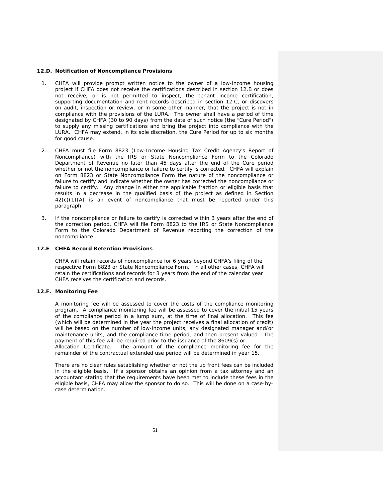#### **12.D. Notification of Noncompliance Provisions**

- 1. CHFA will provide prompt written notice to the owner of a low-income housing project if CHFA does not receive the certifications described in section 12.B or does not receive, or is not permitted to inspect, the tenant income certification, supporting documentation and rent records described in section 12.C, or discovers on audit, inspection or review, or in some other manner, that the project is not in compliance with the provisions of the LURA. The owner shall have a period of time designated by CHFA (30 to 90 days) from the date of such notice (the "Cure Period") to supply any missing certifications and bring the project into compliance with the LURA. CHFA may extend, in its sole discretion, the Cure Period for up to six months for good cause.
- 2. CHFA must file Form 8823 (Low-Income Housing Tax Credit Agency's Report of Noncompliance) with the IRS or State Noncompliance Form to the Colorado Department of Revenue no later than 45 days after the end of the Cure period whether or not the noncompliance or failure to certify is corrected. CHFA will explain on Form 8823 or State Noncompliance Form the nature of the noncompliance or failure to certify and indicate whether the owner has corrected the noncompliance or failure to certify. Any change in either the applicable fraction or eligible basis that results in a decrease in the qualified basis of the project as defined in Section  $42(c)(1)(A)$  is an event of noncompliance that must be reported under this paragraph.
- 3. If the noncompliance or failure to certify is corrected within 3 years after the end of the correction period, CHFA will file Form 8823 to the IRS or State Noncompliance Form to the Colorado Department of Revenue reporting the correction of the noncompliance.

#### **12.E CHFA Record Retention Provisions**

CHFA will retain records of noncompliance for 6 years beyond CHFA's filing of the respective Form 8823 or State Noncompliance Form. In all other cases, CHFA will retain the certifications and records for 3 years from the end of the calendar year CHFA receives the certification and records.

#### **12.F. Monitoring Fee**

 A monitoring fee will be assessed to cover the costs of the compliance monitoring program. A compliance monitoring fee will be assessed to cover the initial 15 years of the compliance period in a lump sum, at the time of final allocation. This fee (which will be determined in the year the project receives a final allocation of credit) will be based on the number of low-income units, any designated manager and/or maintenance units, and the compliance time period, and then present valued. The payment of this fee will be required prior to the issuance of the 8609(s) or Allocation Certificate. The amount of the compliance monitoring fee for the remainder of the contractual extended use period will be determined in year 15.

 There are no clear rules establishing whether or not the up front fees can be included in the eligible basis. If a sponsor obtains an opinion from a tax attorney and an accountant stating that the requirements have been met to include these fees in the eligible basis, CHFA may allow the sponsor to do so. This will be done on a case-bycase determination.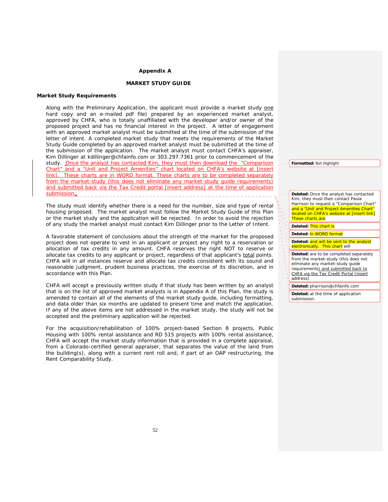#### **Appendix A**

## **MARKET STUDY GUIDE**

#### **Market Study Requirements**

Along with the Preliminary Application, the applicant must provide a market study one hard copy and an e-mailed pdf file) prepared by an experienced market analyst, approved by CHFA, who is totally unaffiliated with the developer and/or owner of the proposed project and has no financial interest in the project. A letter of engagement with an approved market analyst must be submitted at the time of the submission of the letter of intent. A completed market study that meets the requirements of the Market Study Guide completed by an approved market analyst must be submitted at the time of the submission of the application. The market analyst must contact CHFA's appraiser, Kim Dillinger at kdillinger@chfainfo.com or 303.297.7361 prior to commencement of the study. Once the analyst has contacted Kim, they must then download the "Comparison Chart" and a "Unit and Project Amenities" chart located on CHFA's website at [insert link]. These charts are in WORD format. These charts are to be completed separately from the market-study (this does not eliminate any market-study guide requirements) and submitted back via the Tax Credit portal [insert address] at the time of application submission.

The study must identify whether there is a need for the number, size and type of rental housing proposed. The market analyst must follow the Market Study Guide of this Plan or the market study and the application will be rejected. In order to avoid the rejection of any study the market analyst must contact Kim Dillinger prior to the Letter of Intent.

A favorable statement of conclusions about the strength of the market for the proposed project does not operate to vest in an applicant or project any right to a reservation or allocation of tax credits in any amount. CHFA reserves the right NOT to reserve or allocate tax credits to any applicant or project, regardless of that applicant's total points. CHFA will in all instances reserve and allocate tax credits consistent with its sound and reasonable judgment, prudent business practices, the exercise of its discretion, and in accordance with this Plan.

 CHFA will accept a previously written study if that study has been written by an analyst that is on the list of approved market analysts is in Appendix A of this Plan, the study is amended to contain all of the elements of the market study guide, including formatting, and data older than six months are updated to present time and match the application. If any of the above items are not addressed in the market study, the study will not be accepted and the preliminary application will be rejected.

 For the acquisition/rehabilitation of 100% project-based Section 8 projects, Public Housing with 100% rental assistance and RD 515 projects with 100% rental assistance, CHFA will accept the market study information that is provided in a complete appraisal, from a Colorado-certified general appraiser, that separates the value of the land from the building(s), along with a current rent roll and, if part of an OAP restructuring, the Rent Comparability Study.

**Formatted:** Not Highlight

**Deleted:** Once the analyst has contacted Kim, they must then contact Paula Harrison to request a "Comparison Chart" and a "Unit and Project Amenities Chart located on CHFA's website at [insert link] These charts are **Deleted:** This chart is **Deleted:** in WORD format **Deleted:** and will be sent to the analyst electronically. This chart will **Deleted:** are to be completed separately from the market-study (this does not eliminate any market-study guide requirements) and submitted back to CHFA via the Tax Credit Portal [insert address] **Deleted:** pharrison@chfainfo.com **Deleted:** at the time of application submission.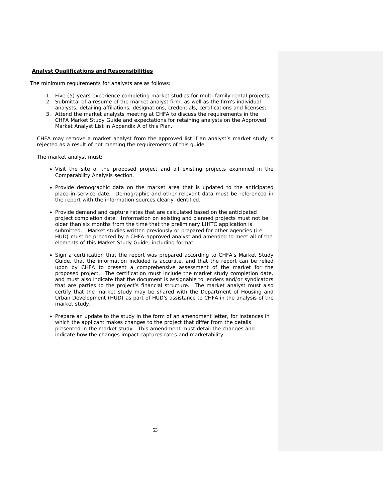## **Analyst Qualifications and Responsibilities**

The minimum requirements for analysts are as follows:

- 1. Five (5) years experience completing market studies for multi-family rental projects;
- 2. Submittal of a resume of the market analyst firm, as well as the firm's individual analysts, detailing affiliations, designations, credentials, certifications and licenses;
- 3. Attend the market analysts meeting at CHFA to discuss the requirements in the CHFA Market Study Guide and expectations for retaining analysts on the Approved Market Analyst List in Appendix A of this Plan.

CHFA may remove a market analyst from the approved list if an analyst's market study is rejected as a result of not meeting the requirements of this guide.

The market analyst must:

- Visit the site of the proposed project and all existing projects examined in the Comparability Analysis section.
- Provide demographic data on the market area that is updated to the anticipated place-in-service date. Demographic and other relevant data must be referenced in the report with the information sources clearly identified.
- Provide demand and capture rates that are calculated based on the anticipated project completion date. Information on existing and planned projects must not be older than six months from the time that the preliminary LIHTC application is submitted. Market studies written previously or prepared for other agencies (i.e. HUD) must be prepared by a CHFA-approved analyst and amended to meet all of the elements of this Market Study Guide, including format.
- Sign a certification that the report was prepared according to CHFA's Market Study Guide, that the information included is accurate, and that the report can be relied upon by CHFA to present a comprehensive assessment of the market for the proposed project. The certification must include the market study completion date, and must also indicate that the document is assignable to lenders and/or syndicators that are parties to the project's financial structure. The market analyst must also certify that the market study may be shared with the Department of Housing and Urban Development (HUD) as part of HUD's assistance to CHFA in the analysis of the market study.
- Prepare an update to the study in the form of an amendment letter, for instances in which the applicant makes changes to the project that differ from the details presented in the market study. This amendment must detail the changes and indicate how the changes impact captures rates and marketability.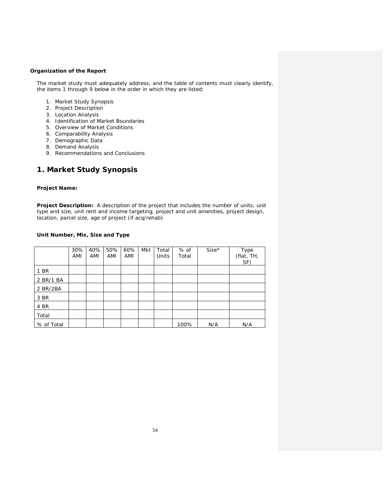## **Organization of the Report**

The market study must adequately address, and the table of contents must clearly identify, the items 1 through 9 below in the order in which they are listed:

- 1. Market Study Synopsis
- 2. Project Description
- 3. Location Analysis
- 4. Identification of Market Boundaries
- 5. Overview of Market Conditions
- 6. Comparability Analysis
- 7. Demographic Data
- 8. Demand Analysis
- 9. Recommendations and Conclusions

# **1. Market Study Synopsis**

## **Project Name:**

**Project Description:** A description of the project that includes the number of units, unit type and size, unit rent and income targeting, project and unit amenities, project design, location, parcel size, age of project (if acq/rehab).

## **Unit Number, Mix, Size and Type**

|            | 30%<br>AMI | 40%<br>AMI | 50%<br>AMI | 60%<br>AMI | Mkt | Total<br>Units | % of<br>Total | $Size*$ | Type<br>(flat, TH,<br>SF) |
|------------|------------|------------|------------|------------|-----|----------------|---------------|---------|---------------------------|
| 1 BR       |            |            |            |            |     |                |               |         |                           |
| 2 BR/1 BA  |            |            |            |            |     |                |               |         |                           |
| 2 BR/2BA   |            |            |            |            |     |                |               |         |                           |
| 3 BR       |            |            |            |            |     |                |               |         |                           |
| 4 BR       |            |            |            |            |     |                |               |         |                           |
| Total      |            |            |            |            |     |                |               |         |                           |
| % of Total |            |            |            |            |     |                | 100%          | N/A     | N/A                       |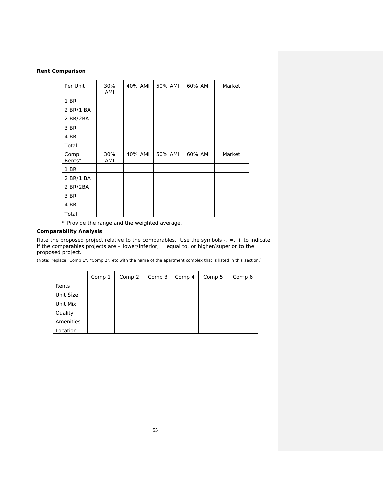## **Rent Comparison**

| Per Unit        | 30%<br>AMI | 40% AMI | 50% AMI | 60% AMI | Market |
|-----------------|------------|---------|---------|---------|--------|
| 1 BR            |            |         |         |         |        |
| 2 BR/1 BA       |            |         |         |         |        |
| 2 BR/2BA        |            |         |         |         |        |
| 3 BR            |            |         |         |         |        |
| 4 BR            |            |         |         |         |        |
| Total           |            |         |         |         |        |
| Comp.<br>Rents* | 30%<br>AMI | 40% AMI | 50% AMI | 60% AMI | Market |
| 1 BR            |            |         |         |         |        |
| 2 BR/1 BA       |            |         |         |         |        |
| 2 BR/2BA        |            |         |         |         |        |
| 3 BR            |            |         |         |         |        |
| 4 BR            |            |         |         |         |        |
| Total           |            |         |         |         |        |

\* Provide the range and the weighted average.

## **Comparability Analysis**

Rate the proposed project relative to the comparables. Use the symbols  $-$ ,  $=$ ,  $+$  to indicate if the comparables projects are – lower/inferior, = equal to, or higher/superior to the proposed project.

(Note: replace "Comp 1", "Comp 2", etc with the name of the apartment complex that is listed in this section.)

|           | Comp 1 | Comp 2 | Comp 3 | Comp 4 | Comp 5 | Comp 6 |
|-----------|--------|--------|--------|--------|--------|--------|
| Rents     |        |        |        |        |        |        |
| Unit Size |        |        |        |        |        |        |
| Unit Mix  |        |        |        |        |        |        |
| Quality   |        |        |        |        |        |        |
| Amenities |        |        |        |        |        |        |
| Location  |        |        |        |        |        |        |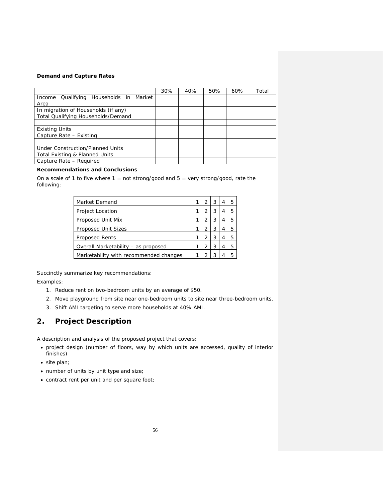## **Demand and Capture Rates**

|                                           | 30% | 40% | 50% | 60% | Total |
|-------------------------------------------|-----|-----|-----|-----|-------|
| Qualifying Households in Market<br>Income |     |     |     |     |       |
| Area                                      |     |     |     |     |       |
| In migration of Households (if any)       |     |     |     |     |       |
| Total Qualifying Households/Demand        |     |     |     |     |       |
|                                           |     |     |     |     |       |
| <b>Existing Units</b>                     |     |     |     |     |       |
| Capture Rate - Existing                   |     |     |     |     |       |
|                                           |     |     |     |     |       |
| Under Construction/Planned Units          |     |     |     |     |       |
| Total Existing & Planned Units            |     |     |     |     |       |
| Capture Rate - Required                   |     |     |     |     |       |

## **Recommendations and Conclusions**

On a scale of 1 to five where  $1 = not$  strong/good and  $5 =$  very strong/good, rate the following:

| Market Demand                          | 2 | 3 | 4 | 5 |
|----------------------------------------|---|---|---|---|
| <b>Project Location</b>                | っ | 3 | 4 | 5 |
| Proposed Unit Mix                      | 2 | 3 | 4 | 5 |
| <b>Proposed Unit Sizes</b>             | っ | 3 | 4 | 5 |
| <b>Proposed Rents</b>                  | っ | 3 | 4 | 5 |
| Overall Marketability - as proposed    | 2 | 3 | 4 | 5 |
| Marketability with recommended changes |   | 3 |   | 5 |

Succinctly summarize key recommendations:

Examples:

- 1. Reduce rent on two-bedroom units by an average of \$50.
- 2. Move playground from site near one-bedroom units to site near three-bedroom units.
- 3. Shift AMI targeting to serve more households at 40% AMI.

# **2. Project Description**

A description and analysis of the proposed project that covers:

- project design (number of floors, way by which units are accessed, quality of interior finishes)
- site plan;
- number of units by unit type and size;
- contract rent per unit and per square foot;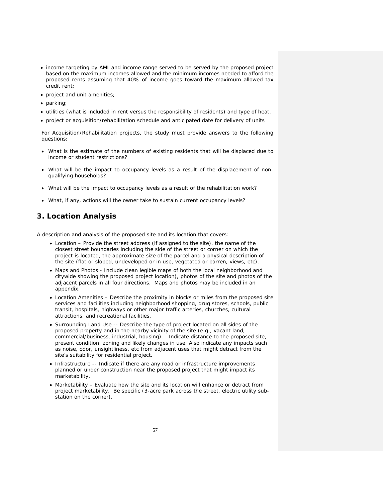- income targeting by AMI and income range served to be served by the proposed project based on the maximum incomes allowed and the minimum incomes needed to afford the proposed rents assuming that 40% of income goes toward the maximum allowed tax credit rent;
- project and unit amenities;
- parking;
- utilities (what is included in rent versus the responsibility of residents) and type of heat.
- project or acquisition/rehabilitation schedule and anticipated date for delivery of units

For Acquisition/Rehabilitation projects, the study must provide answers to the following questions:

- What is the estimate of the numbers of existing residents that will be displaced due to income or student restrictions?
- What will be the impact to occupancy levels as a result of the displacement of nonqualifying households?
- What will be the impact to occupancy levels as a result of the rehabilitation work?
- What, if any, actions will the owner take to sustain current occupancy levels?

# **3. Location Analysis**

A description and analysis of the proposed site and its location that covers:

- Location Provide the street address (if assigned to the site), the name of the closest street boundaries including the side of the street or corner on which the project is located, the approximate size of the parcel and a physical description of the site (flat or sloped, undeveloped or in use, vegetated or barren, views, etc).
- Maps and Photos Include clean legible maps of both the local neighborhood and citywide showing the proposed project location), photos of the site and photos of the adjacent parcels in all four directions. Maps and photos may be included in an appendix.
- Location Amenities Describe the proximity in blocks or miles from the proposed site services and facilities including neighborhood shopping, drug stores, schools, public transit, hospitals, highways or other major traffic arteries, churches, cultural attractions, and recreational facilities.
- Surrounding Land Use -- Describe the type of project located on all sides of the proposed property and in the nearby vicinity of the site (e.g., vacant land, commercial/business, industrial, housing). Indicate distance to the proposed site, present condition, zoning and likely changes in use. Also indicate any impacts such as noise, odor, unsightliness, etc from adjacent uses that might detract from the site's suitability for residential project.
- Infrastructure -- Indicate if there are any road or infrastructure improvements planned or under construction near the proposed project that might impact its marketability.
- Marketability Evaluate how the site and its location will enhance or detract from project marketability. Be specific (3-acre park across the street, electric utility substation on the corner).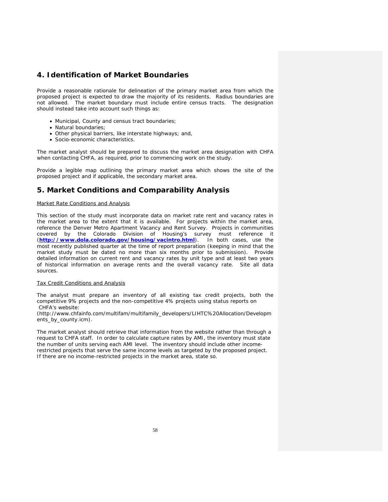# **4. Identification of Market Boundaries**

Provide a reasonable rationale for delineation of the primary market area from which the proposed project is expected to draw the majority of its residents. Radius boundaries are not allowed. The market boundary must include entire census tracts. The designation should instead take into account such things as:

- Municipal, County and census tract boundaries;
- Natural boundaries;
- Other physical barriers, like interstate highways; and,
- Socio-economic characteristics.

The market analyst should be prepared to discuss the market area designation with CHFA when contacting CHFA, as required, prior to commencing work on the study.

Provide a legible map outlining the primary market area which shows the site of the proposed project and if applicable, the secondary market area.

# **5. Market Conditions and Comparability Analysis**

#### Market Rate Conditions and Analysis

This section of the study must incorporate data on market rate rent and vacancy rates in the market area to the extent that it is available. For projects within the market area, reference the Denver Metro Apartment Vacancy and Rent Survey. Projects in communities covered by the Colorado Division of Housing's survey must reference it (*http://www.dola.colorado.gov/housing/vacintro.html*). In both cases, use the most recently published quarter at the time of report preparation (keeping in mind that the market study must be dated no more than six months prior to submission). Provide detailed information on current rent and vacancy rates by unit type and at least two years of historical information on average rents and the overall vacancy rate. Site all data sources.

## Tax Credit Conditions and Analysis

The analyst must prepare an inventory of all existing tax credit projects, both the competitive 9% projects and the non-competitive 4% projects using status reports on CHFA's website:

(http://www.chfainfo.com/multifam/multifamily\_developers/LIHTC%20Allocation/Developm ents\_by\_county.icm).

The market analyst should retrieve that information from the website rather than through a request to CHFA staff. In order to calculate capture rates by AMI, the inventory must state the number of units serving each AMI level. The inventory should include other incomerestricted projects that serve the same income levels as targeted by the proposed project. If there are no income-restricted projects in the market area, state so.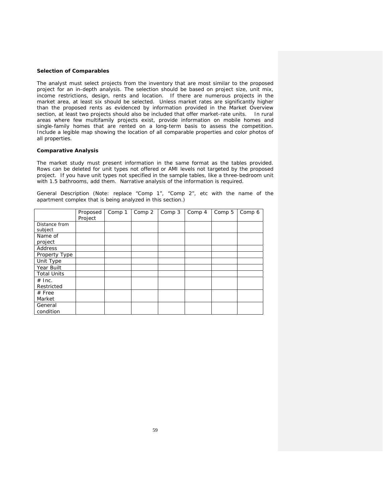## **Selection of Comparables**

The analyst must select projects from the inventory that are most similar to the proposed project for an in-depth analysis. The selection should be based on project size, unit mix, income restrictions, design, rents and location. If there are numerous projects in the market area, at least six should be selected. Unless market rates are significantly higher than the proposed rents as evidenced by information provided in the Market Overview section, at least two projects should also be included that offer market-rate units. In rural areas where few multifamily projects exist, provide information on mobile homes and single-family homes that are rented on a long-term basis to assess the competition. Include a legible map showing the location of all comparable properties and color photos of all properties.

## **Comparative Analysis**

The market study must present information in the same format as the tables provided. Rows can be deleted for unit types not offered or AMI levels not targeted by the proposed project. If you have unit types not specified in the sample tables, like a three-bedroom unit with 1.5 bathrooms, add them. Narrative analysis of the information is required.

*General Description* (Note: replace "Comp 1", "Comp 2", etc with the name of the apartment complex that is being analyzed in this section.)

|                    | Proposed<br>Project | Comp 1 | Comp 2 | Comp 3 | Comp 4 | Comp 5 | Comp 6 |
|--------------------|---------------------|--------|--------|--------|--------|--------|--------|
| Distance from      |                     |        |        |        |        |        |        |
| subject            |                     |        |        |        |        |        |        |
| Name of            |                     |        |        |        |        |        |        |
| project            |                     |        |        |        |        |        |        |
| Address            |                     |        |        |        |        |        |        |
| Property Type      |                     |        |        |        |        |        |        |
| Unit Type          |                     |        |        |        |        |        |        |
| Year Built         |                     |        |        |        |        |        |        |
| <b>Total Units</b> |                     |        |        |        |        |        |        |
| $#$ Inc.           |                     |        |        |        |        |        |        |
| Restricted         |                     |        |        |        |        |        |        |
| $#$ Free           |                     |        |        |        |        |        |        |
| Market             |                     |        |        |        |        |        |        |
| General            |                     |        |        |        |        |        |        |
| condition          |                     |        |        |        |        |        |        |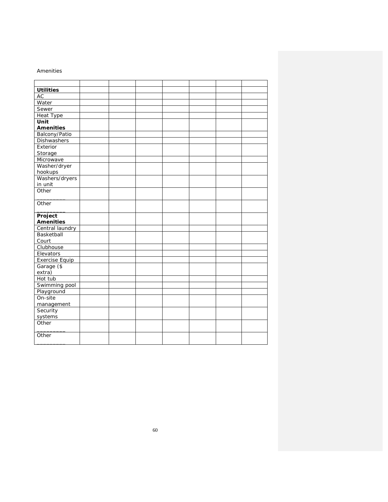## *Amenities*

| <b>Utilities</b>      |  |  |  |  |
|-----------------------|--|--|--|--|
| <b>AC</b>             |  |  |  |  |
| Water                 |  |  |  |  |
| Sewer                 |  |  |  |  |
| Heat Type             |  |  |  |  |
| Unit                  |  |  |  |  |
| <b>Amenities</b>      |  |  |  |  |
| Balcony/Patio         |  |  |  |  |
| <b>Dishwashers</b>    |  |  |  |  |
| Exterior              |  |  |  |  |
| Storage               |  |  |  |  |
| Microwave             |  |  |  |  |
| Washer/dryer          |  |  |  |  |
| hookups               |  |  |  |  |
| Washers/dryers        |  |  |  |  |
| in unit               |  |  |  |  |
| Other                 |  |  |  |  |
|                       |  |  |  |  |
| Other                 |  |  |  |  |
|                       |  |  |  |  |
|                       |  |  |  |  |
| Project               |  |  |  |  |
| <b>Amenities</b>      |  |  |  |  |
| Central laundry       |  |  |  |  |
| Basketball            |  |  |  |  |
| Court                 |  |  |  |  |
| Clubhouse             |  |  |  |  |
| Elevators             |  |  |  |  |
| <b>Exercise Equip</b> |  |  |  |  |
| Garage (\$            |  |  |  |  |
| extra)                |  |  |  |  |
| Hot tub               |  |  |  |  |
| Swimming pool         |  |  |  |  |
| Playground            |  |  |  |  |
| On-site               |  |  |  |  |
| management            |  |  |  |  |
| Security              |  |  |  |  |
| systems               |  |  |  |  |
| Other                 |  |  |  |  |
|                       |  |  |  |  |
| Other                 |  |  |  |  |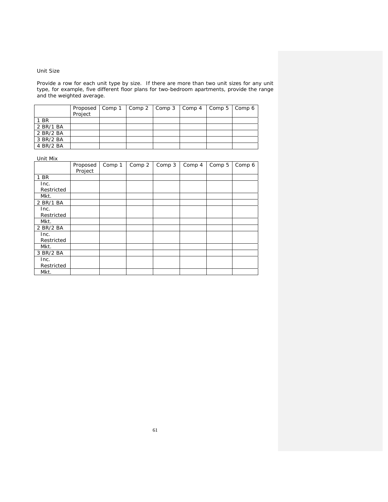## *Unit Size*

Provide a row for each unit type by size. If there are more than two unit sizes for any unit type, for example, five different floor plans for two-bedroom apartments, provide the range and the weighted average.

|           | Proposed   Comp 1   Comp 2   Comp 3   Comp 4   Comp 5   Comp 6<br>Project |  |  |  |
|-----------|---------------------------------------------------------------------------|--|--|--|
| 1 BR      |                                                                           |  |  |  |
| 2 BR/1 BA |                                                                           |  |  |  |
| 2 BR/2 BA |                                                                           |  |  |  |
| 3 BR/2 BA |                                                                           |  |  |  |
| 4 BR/2 BA |                                                                           |  |  |  |

| Unit Mix   |          |        |        |        |        |        |        |
|------------|----------|--------|--------|--------|--------|--------|--------|
|            | Proposed | Comp 1 | Comp 2 | Comp 3 | Comp 4 | Comp 5 | Comp 6 |
|            | Project  |        |        |        |        |        |        |
| 1 BR       |          |        |        |        |        |        |        |
| Inc.       |          |        |        |        |        |        |        |
| Restricted |          |        |        |        |        |        |        |
| Mkt.       |          |        |        |        |        |        |        |
| 2 BR/1 BA  |          |        |        |        |        |        |        |
| Inc.       |          |        |        |        |        |        |        |
| Restricted |          |        |        |        |        |        |        |
| Mkt.       |          |        |        |        |        |        |        |
| 2 BR/2 BA  |          |        |        |        |        |        |        |
| Inc.       |          |        |        |        |        |        |        |
| Restricted |          |        |        |        |        |        |        |
| Mkt.       |          |        |        |        |        |        |        |
| 3 BR/2 BA  |          |        |        |        |        |        |        |
| Inc.       |          |        |        |        |        |        |        |
| Restricted |          |        |        |        |        |        |        |
| Mkt.       |          |        |        |        |        |        |        |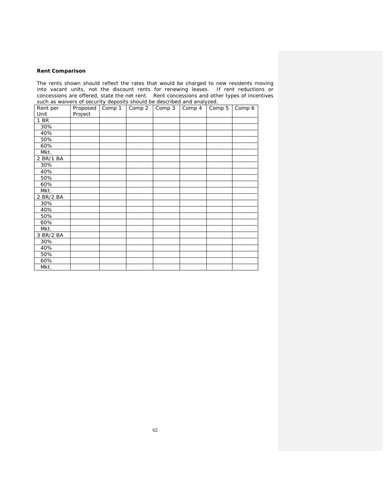## **Rent Comparison**

The rents shown should reflect the rates that would be charged to new residents moving into vacant units, not the discount rents for renewing leases. If rent reductions or concessions are offered, state the net rent. Rent concessions and other types of incentives such as waivers of security deposits should be described and analyzed.

| Rent per  | Proposed | Comp 1 | Comp 2 | Comp 3 | Comp 4 | Comp 5 | Comp 6 |
|-----------|----------|--------|--------|--------|--------|--------|--------|
| Unit      | Project  |        |        |        |        |        |        |
| 1 BR      |          |        |        |        |        |        |        |
| 30%       |          |        |        |        |        |        |        |
| 40%       |          |        |        |        |        |        |        |
| 50%       |          |        |        |        |        |        |        |
| 60%       |          |        |        |        |        |        |        |
| Mkt.      |          |        |        |        |        |        |        |
| 2 BR/1 BA |          |        |        |        |        |        |        |
| 30%       |          |        |        |        |        |        |        |
| 40%       |          |        |        |        |        |        |        |
| 50%       |          |        |        |        |        |        |        |
| 60%       |          |        |        |        |        |        |        |
| Mkt.      |          |        |        |        |        |        |        |
| 2 BR/2 BA |          |        |        |        |        |        |        |
| 30%       |          |        |        |        |        |        |        |
| 40%       |          |        |        |        |        |        |        |
| 50%       |          |        |        |        |        |        |        |
| 60%       |          |        |        |        |        |        |        |
| Mkt.      |          |        |        |        |        |        |        |
| 3 BR/2 BA |          |        |        |        |        |        |        |
| 30%       |          |        |        |        |        |        |        |
| 40%       |          |        |        |        |        |        |        |
| 50%       |          |        |        |        |        |        |        |
| 60%       |          |        |        |        |        |        |        |
| Mkt.      |          |        |        |        |        |        |        |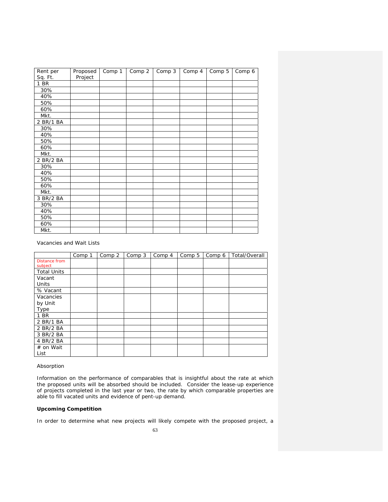| Rent per  | Proposed | Comp 1 | Comp 2 | Comp 3 | Comp 4 | Comp 5 | Comp 6 |
|-----------|----------|--------|--------|--------|--------|--------|--------|
| Sq. Ft.   | Project  |        |        |        |        |        |        |
| 1 BR      |          |        |        |        |        |        |        |
| 30%       |          |        |        |        |        |        |        |
| 40%       |          |        |        |        |        |        |        |
| 50%       |          |        |        |        |        |        |        |
| 60%       |          |        |        |        |        |        |        |
| Mkt.      |          |        |        |        |        |        |        |
| 2 BR/1 BA |          |        |        |        |        |        |        |
| 30%       |          |        |        |        |        |        |        |
| 40%       |          |        |        |        |        |        |        |
| 50%       |          |        |        |        |        |        |        |
| 60%       |          |        |        |        |        |        |        |
| Mkt.      |          |        |        |        |        |        |        |
| 2 BR/2 BA |          |        |        |        |        |        |        |
| 30%       |          |        |        |        |        |        |        |
| 40%       |          |        |        |        |        |        |        |
| 50%       |          |        |        |        |        |        |        |
| 60%       |          |        |        |        |        |        |        |
| Mkt.      |          |        |        |        |        |        |        |
| 3 BR/2 BA |          |        |        |        |        |        |        |
| 30%       |          |        |        |        |        |        |        |
| 40%       |          |        |        |        |        |        |        |
| 50%       |          |        |        |        |        |        |        |
| 60%       |          |        |        |        |        |        |        |
| Mkt.      |          |        |        |        |        |        |        |

*Vacancies and Wait Lists* 

|                    | Comp 1 | Comp 2 | Comp 3 | Comp 4 | Comp 5 | Comp 6 | Total/Overall |
|--------------------|--------|--------|--------|--------|--------|--------|---------------|
| Distance from      |        |        |        |        |        |        |               |
| subject            |        |        |        |        |        |        |               |
| <b>Total Units</b> |        |        |        |        |        |        |               |
| Vacant             |        |        |        |        |        |        |               |
| Units              |        |        |        |        |        |        |               |
| % Vacant           |        |        |        |        |        |        |               |
| Vacancies          |        |        |        |        |        |        |               |
| by Unit            |        |        |        |        |        |        |               |
| Type               |        |        |        |        |        |        |               |
| 1 BR               |        |        |        |        |        |        |               |
| 2 BR/1 BA          |        |        |        |        |        |        |               |
| 2 BR/2 BA          |        |        |        |        |        |        |               |
| 3 BR/2 BA          |        |        |        |        |        |        |               |
| 4 BR/2 BA          |        |        |        |        |        |        |               |
| # on Wait          |        |        |        |        |        |        |               |
| List               |        |        |        |        |        |        |               |

*Absorption* 

Information on the performance of comparables that is insightful about the rate at which the proposed units will be absorbed should be included. Consider the lease-up experience of projects completed in the last year or two, the rate by which comparable properties are able to fill vacated units and evidence of pent-up demand.

## **Upcoming Competition**

In order to determine what new projects will likely compete with the proposed project, a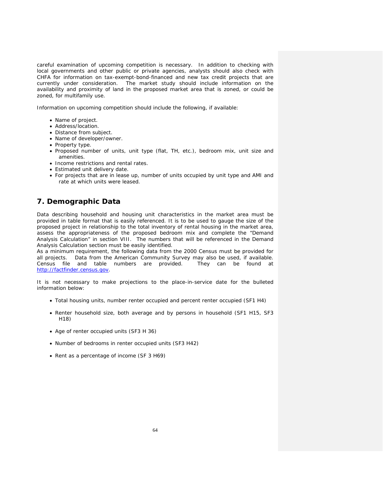careful examination of upcoming competition is necessary. In addition to checking with local governments and other public or private agencies, analysts should also check with CHFA for information on tax-exempt-bond-financed and new tax credit projects that are currently under consideration. The market study should include information on the availability and proximity of land in the proposed market area that is zoned, or could be zoned, for multifamily use.

Information on upcoming competition should include the following, if available:

- Name of project.
- Address/location.
- Distance from subject.
- Name of developer/owner.
- Property type.
- Proposed number of units, unit type (flat, TH, etc.), bedroom mix, unit size and amenities.
- Income restrictions and rental rates.
- Estimated unit delivery date.
- For projects that are in lease up, number of units occupied by unit type and AMI and rate at which units were leased.

# **7. Demographic Data**

Data describing household and housing unit characteristics in the market area must be provided in table format that is easily referenced. It is to be used to gauge the size of the proposed project in relationship to the total inventory of rental housing in the market area, assess the appropriateness of the proposed bedroom mix and complete the "Demand Analysis Calculation" in section VIII. The numbers that will be referenced in the Demand Analysis Calculation section must be easily identified.

As a minimum requirement, the following data from the 2000 Census must be provided for all projects. Data from the American Community Survey may also be used, if available. Census file and table numbers are provided. They can be found at http://factfinder.census.gov.

It is not necessary to make projections to the place-in-service date for the bulleted information below:

- Total housing units, number renter occupied and percent renter occupied (SF1 H4)
- Renter household size, both average and by persons in household (SF1 H15, SF3 H18)
- Age of renter occupied units (SF3 H 36)
- Number of bedrooms in renter occupied units (SF3 H42)
- Rent as a percentage of income (SF 3 H69)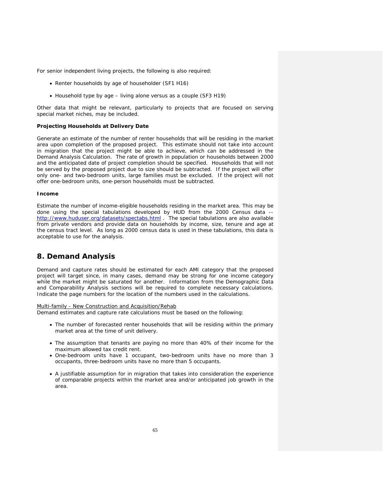For senior independent living projects, the following is also required:

- Renter households by age of householder (SF1 H16)
- Household type by age living alone versus as a couple (SF3 H19)

Other data that might be relevant, particularly to projects that are focused on serving special market niches, may be included.

#### **Projecting Households at Delivery Date**

Generate an estimate of the number of renter households that will be residing in the market area upon completion of the proposed project. This estimate should not take into account in migration that the project might be able to achieve, which can be addressed in the Demand Analysis Calculation. The rate of growth in population or households between 2000 and the anticipated date of project completion should be specified. Households that will not be served by the proposed project due to size should be subtracted. If the project will offer only one- and two-bedroom units, large families must be excluded. If the project will not offer one-bedroom units, one-person households must be subtracted.

#### **Income**

Estimate the number of income-eligible households residing in the market area. This may be done using the special tabulations developed by HUD from the 2000 Census data - http://www.huduser.org/datasets/spectabs.html . The special tabulations are also available from private vendors and provide data on households by income, size, tenure and age at the census tract level. As long as 2000 census data is used in these tabulations, this data is acceptable to use for the analysis.

# **8. Demand Analysis**

Demand and capture rates should be estimated for each AMI category that the proposed project will target since, in many cases, demand may be strong for one income category while the market might be saturated for another. Information from the Demographic Data and Comparability Analysis sections will be required to complete necessary calculations. Indicate the page numbers for the location of the numbers used in the calculations.

#### Multi-family - New Construction and Acquisition/Rehab

Demand estimates and capture rate calculations must be based on the following:

- The number of forecasted renter households that will be residing within the primary market area at the time of unit delivery.
- The assumption that tenants are paying no more than 40% of their income for the maximum allowed tax credit rent.
- One-bedroom units have 1 occupant, two-bedroom units have no more than 3 occupants, three-bedroom units have no more than 5 occupants.
- A justifiable assumption for in migration that takes into consideration the experience of comparable projects within the market area and/or anticipated job growth in the area.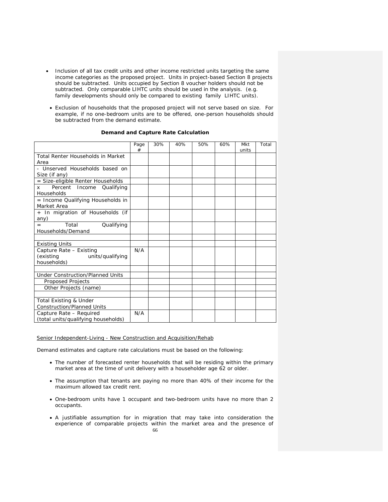- Inclusion of all tax credit units and other income restricted units targeting the same income categories as the proposed project. Units in project-based Section 8 projects should be subtracted. Units occupied by Section 8 voucher holders should not be subtracted. Only comparable LIHTC units should be used in the analysis. (e.g. family developments should only be compared to existing family LIHTC units).
- Exclusion of households that the proposed project will not serve based on size. For example, if no one-bedroom units are to be offered, one-person households should be subtracted from the demand estimate.

|  |  | Demand and Capture Rate Calculation |
|--|--|-------------------------------------|
|--|--|-------------------------------------|

|                                                                         | Page<br># | 30% | 40% | 50% | 60% | Mkt<br>units | Total |
|-------------------------------------------------------------------------|-----------|-----|-----|-----|-----|--------------|-------|
| Total Renter Households in Market<br>Area                               |           |     |     |     |     |              |       |
| - Unserved Households based on<br>Size (if any)                         |           |     |     |     |     |              |       |
| = Size-eligible Renter Households                                       |           |     |     |     |     |              |       |
| Percent Income<br>Qualifying<br>x<br>Households                         |           |     |     |     |     |              |       |
| = Income Qualifying Households in<br>Market Area                        |           |     |     |     |     |              |       |
| + In migration of Households (if<br>any)                                |           |     |     |     |     |              |       |
| Total<br>Qualifying<br>$=$<br>Households/Demand                         |           |     |     |     |     |              |       |
|                                                                         |           |     |     |     |     |              |       |
| <b>Existing Units</b>                                                   |           |     |     |     |     |              |       |
| Capture Rate - Existing<br>(existing<br>units/qualifying<br>households) | N/A       |     |     |     |     |              |       |
|                                                                         |           |     |     |     |     |              |       |
| <b>Under Construction/Planned Units</b>                                 |           |     |     |     |     |              |       |
| Proposed Projects                                                       |           |     |     |     |     |              |       |
| Other Projects (name)                                                   |           |     |     |     |     |              |       |
|                                                                         |           |     |     |     |     |              |       |
| Total Existing & Under                                                  |           |     |     |     |     |              |       |
| <b>Construction/Planned Units</b>                                       |           |     |     |     |     |              |       |
| Capture Rate - Required<br>(total units/qualifying households)          | N/A       |     |     |     |     |              |       |

### Senior Independent-Living - New Construction and Acquisition/Rehab

Demand estimates and capture rate calculations must be based on the following:

- The number of forecasted renter households that will be residing within the primary market area at the time of unit delivery with a householder age 62 or older.
- The assumption that tenants are paying no more than 40% of their income for the maximum allowed tax credit rent.
- One-bedroom units have 1 occupant and two-bedroom units have no more than 2 occupants.
- 66 • A justifiable assumption for in migration that may take into consideration the experience of comparable projects within the market area and the presence of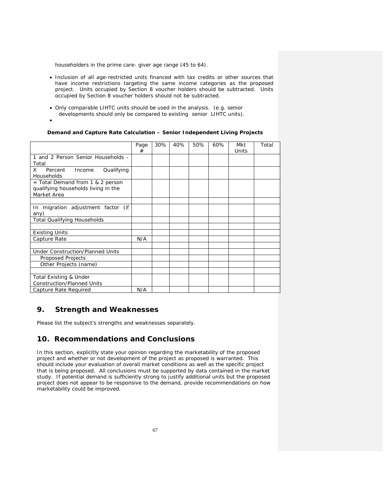householders in the prime care- giver age range (45 to 64).

- Inclusion of all age-restricted units financed with tax credits or other sources that have income restrictions targeting the same income categories as the proposed project. Units occupied by Section 8 voucher holders should be subtracted. Units occupied by Section 8 voucher holders should not be subtracted.
- Only comparable LIHTC units should be used in the analysis. (e.g. senior developments should only be compared to existing senior LIHTC units).
- •

## **Demand and Capture Rate Calculation – Senior Independent Living Projects**

|                                                                                        | Page<br># | 30% | 40% | 50% | 60% | Mkt<br>Units | Total |
|----------------------------------------------------------------------------------------|-----------|-----|-----|-----|-----|--------------|-------|
| 1 and 2 Person Senior Households -<br>Total                                            |           |     |     |     |     |              |       |
| X<br>Qualifying<br>Percent<br>Income<br><b>Households</b>                              |           |     |     |     |     |              |       |
| = Total Demand from 1 & 2 person<br>qualifying households living in the<br>Market Area |           |     |     |     |     |              |       |
| In migration adjustment factor (if<br>any)                                             |           |     |     |     |     |              |       |
| <b>Total Qualifying Households</b>                                                     |           |     |     |     |     |              |       |
|                                                                                        |           |     |     |     |     |              |       |
| <b>Existing Units</b>                                                                  |           |     |     |     |     |              |       |
| Capture Rate                                                                           | N/A       |     |     |     |     |              |       |
| <b>Under Construction/Planned Units</b><br>Proposed Projects                           |           |     |     |     |     |              |       |
| Other Projects (name)                                                                  |           |     |     |     |     |              |       |
|                                                                                        |           |     |     |     |     |              |       |
| <b>Total Existing &amp; Under</b><br><b>Construction/Planned Units</b>                 |           |     |     |     |     |              |       |
| Capture Rate Required                                                                  | N/A       |     |     |     |     |              |       |

# **9. Strength and Weaknesses**

Please list the subject's strengths and weaknesses separately.

# **10. Recommendations and Conclusions**

In this section, explicitly state your opinion regarding the marketability of the proposed project and whether or not development of the project as proposed is warranted. This should include your evaluation of overall market conditions as well as the specific project that is being proposed. All conclusions must be supported by data contained in the market study. If potential demand is sufficiently strong to justify additional units but the proposed project does not appear to be responsive to the demand, provide recommendations on how marketability could be improved.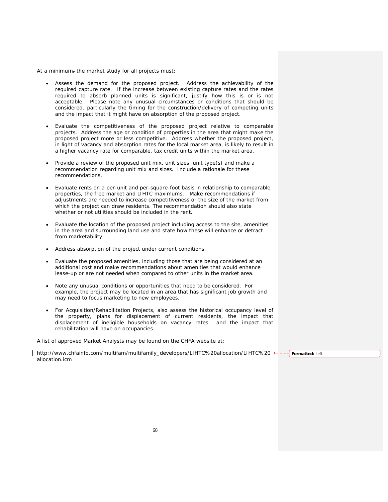At a minimum, the market study for all projects must:

- Assess the demand for the proposed project. Address the achievability of the required capture rate. If the increase between existing capture rates and the rates required to absorb planned units is significant, justify how this is or is not acceptable. Please note any unusual circumstances or conditions that should be considered, particularly the timing for the construction/delivery of competing units and the impact that it might have on absorption of the proposed project.
- Evaluate the competitiveness of the proposed project relative to comparable projects. Address the age or condition of properties in the area that might make the proposed project more or less competitive. Address whether the proposed project, in light of vacancy and absorption rates for the local market area, is likely to result in a higher vacancy rate for comparable, tax credit units within the market area.
- Provide a review of the proposed unit mix, unit sizes, unit type(s) and make a recommendation regarding unit mix and sizes. Include a rationale for these recommendations.
- Evaluate rents on a per-unit and per-square-foot basis in relationship to comparable properties, the free market and LIHTC maximums. Make recommendations if adjustments are needed to increase competitiveness or the size of the market from which the project can draw residents. The recommendation should also state whether or not utilities should be included in the rent.
- Evaluate the location of the proposed project including access to the site, amenities in the area and surrounding land use and state how these will enhance or detract from marketability.
- Address absorption of the project under current conditions.
- Evaluate the proposed amenities, including those that are being considered at an additional cost and make recommendations about amenities that would enhance lease-up or are not needed when compared to other units in the market area.
- Note any unusual conditions or opportunities that need to be considered. For example, the project may be located in an area that has significant job growth and may need to focus marketing to new employees.
- For Acquisition/Rehabilitation Projects, also assess the historical occupancy level of the property, plans for displacement of current residents, the impact that displacement of ineligible households on vacancy rates and the impact that rehabilitation will have on occupancies.

A list of approved Market Analysts may be found on the CHFA website at:

http://www.chfainfo.com/multifam/multifamily\_developers/LIHTC%20allocation/LIHTC%20 \*--- frormatted: Left allocation.icm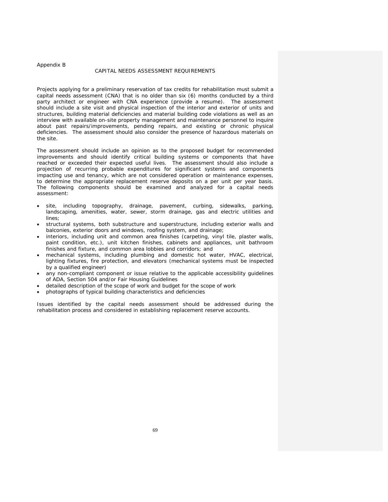#### Appendix B

#### CAPITAL NEEDS ASSESSMENT REQUIREMENTS

Projects applying for a preliminary reservation of tax credits for rehabilitation must submit a capital needs assessment (CNA) that is no older than six (6) months conducted by a third party architect or engineer with CNA experience (provide a resume). The assessment should include a site visit and physical inspection of the interior and exterior of units and structures, building material deficiencies and material building code violations as well as an interview with available on-site property management and maintenance personnel to inquire about past repairs/improvements, pending repairs, and existing or chronic physical deficiencies. The assessment should also consider the presence of hazardous materials on the site.

The assessment should include an opinion as to the proposed budget for recommended improvements and should identify critical building systems or components that have reached or exceeded their expected useful lives. The assessment should also include a projection of recurring probable expenditures for significant systems and components impacting use and tenancy, which are not considered operation or maintenance expenses, to determine the appropriate replacement reserve deposits on a per unit per year basis. The following components should be examined and analyzed for a capital needs assessment:

- site, including topography, drainage, pavement, curbing, sidewalks, parking, landscaping, amenities, water, sewer, storm drainage, gas and electric utilities and lines;
- structural systems, both substructure and superstructure, including exterior walls and balconies, exterior doors and windows, roofing system, and drainage;
- interiors, including unit and common area finishes (carpeting, vinyl tile, plaster walls, paint condition, etc.), unit kitchen finishes, cabinets and appliances, unit bathroom finishes and fixture, and common area lobbies and corridors; and
- mechanical systems, including plumbing and domestic hot water, HVAC, electrical, lighting fixtures, fire protection, and elevators (mechanical systems must be inspected by a qualified engineer)
- any non-compliant component or issue relative to the applicable accessibility guidelines of ADA, Section 504 and/or Fair Housing Guidelines
- detailed description of the scope of work and budget for the scope of work
- photographs of typical building characteristics and deficiencies

Issues identified by the capital needs assessment should be addressed during the rehabilitation process and considered in establishing replacement reserve accounts.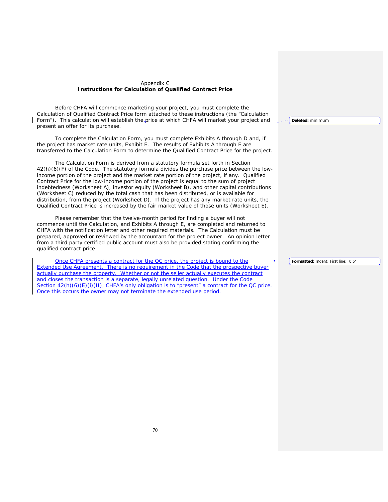## Appendix C **Instructions for Calculation of Qualified Contract Price**

 Before CHFA will commence marketing your project, you must complete the Calculation of Qualified Contract Price form attached to these instructions (the "Calculation Form"). This calculation will establish the price at which CHFA will market your project and present an offer for its purchase.

 To complete the Calculation Form, you must complete Exhibits A through D and, if the project has market rate units, Exhibit E. The results of Exhibits A through E are transferred to the Calculation Form to determine the Qualified Contract Price for the project.

 The Calculation Form is derived from a statutory formula set forth in Section 42(h)(6)(F) of the Code. The statutory formula divides the purchase price between the lowincome portion of the project and the market rate portion of the project, if any. Qualified Contract Price for the low-income portion of the project is equal to the sum of project indebtedness (Worksheet A), investor equity (Worksheet B), and other capital contributions (Worksheet C) reduced by the total cash that has been distributed, or is available for distribution, from the project (Worksheet D). If the project has any market rate units, the Qualified Contract Price is increased by the fair market value of those units (Worksheet E).

 Please remember that the twelve-month period for finding a buyer will not commence until the Calculation, and Exhibits A through E, are completed and returned to CHFA with the notification letter and other required materials. The Calculation must be prepared, approved or reviewed by the accountant for the project owner. An opinion letter from a third party certified public account must also be provided stating confirming the qualified contract price.

Once CHFA presents a contract for the QC price, the project is bound to the Extended Use Agreement. There is no requirement in the Code that the prospective buyer actually purchase the property. Whether or not the seller actually executes the contract and closes the transaction is a separate, legally unrelated question. Under the Code Section  $42(h)(6)(E)(i)(II)$ , CHFA's only obligation is to "present" a contract for the QC price. Once this occurs the owner may not terminate the extended use period.

**Deleted:** minimum

**Formatted:** Indent: First line: 0.5"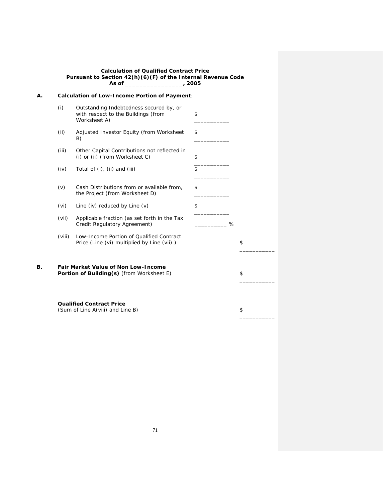#### **Calculation of Qualified Contract Price Pursuant to Section 42(h)(6)(F) of the Internal Revenue Code As of \_\_\_\_\_\_\_\_\_\_\_\_\_\_\_\_, 2005**

| А. |        | <b>Calculation of Low-Income Portion of Payment:</b>                                           |    |    |
|----|--------|------------------------------------------------------------------------------------------------|----|----|
|    | (i)    | Outstanding Indebtedness secured by, or<br>with respect to the Buildings (from<br>Worksheet A) | \$ |    |
|    | (ii)   | Adjusted Investor Equity (from Worksheet<br>B)                                                 | \$ |    |
|    | (iii)  | Other Capital Contributions not reflected in<br>(i) or (ii) (from $Worksheet C$ )              | \$ |    |
|    | (iv)   | Total of (i), (ii) and (iii)                                                                   | \$ |    |
|    | (v)    | Cash Distributions from or available from,<br>the Project (from Worksheet D)                   | \$ |    |
|    | (vi)   | Line (iv) reduced by Line $(v)$                                                                | \$ |    |
|    | (vii)  | Applicable fraction (as set forth in the Tax<br>Credit Regulatory Agreement)                   | %  |    |
|    | (viii) | Low-Income Portion of Qualified Contract<br>Price (Line (vi) multiplied by Line (vii))         |    | \$ |
| В. |        | <b>Fair Market Value of Non Low-Income</b><br>Portion of Building(s) (from Worksheet E)        |    | \$ |
|    |        | <b>Qualified Contract Price</b><br>(Sum of Line A(viii) and Line B)                            |    | \$ |

71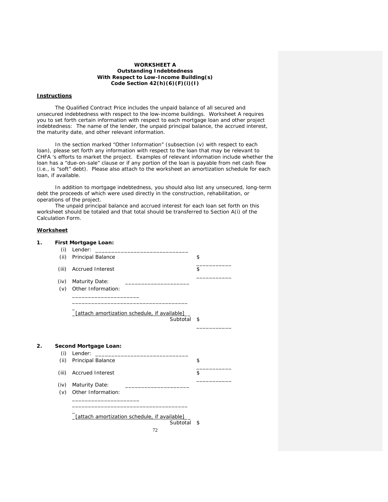## **WORKSHEET A**  *Outstanding Indebtedness With Respect to Low-Income Building(s)* **Code Section 42(h)(6)(F)(i)(I)**

## **Instructions**

 The Qualified Contract Price includes the unpaid balance of all secured and unsecured indebtedness with respect to the low-income buildings. Worksheet A requires you to set forth certain information with respect to each mortgage loan and other project indebtedness: The name of the lender, the unpaid principal balance, the accrued interest, the maturity date, and other relevant information.

 In the section marked "Other Information" (subsection (v) with respect to each loan), please set forth any information with respect to the loan that may be relevant to CHFA 's efforts to market the project. Examples of relevant information include whether the loan has a "due-on-sale" clause or if any portion of the loan is payable from net cash flow (i.e., is "soft" debt). Please also attach to the worksheet an amortization schedule for each loan, if available.

 In addition to mortgage indebtedness, you should also list any unsecured, long-term debt the proceeds of which were used directly in the construction, rehabilitation, or operations of the project.

 The unpaid principal balance and accrued interest for each loan set forth on this worksheet should be totaled and that total should be transferred to Section A(i) of the Calculation Form.

## **Worksheet**

|       | First Mortgage Loan:                                     |    |
|-------|----------------------------------------------------------|----|
| (i)   | Lender:<br><u> 1980 - Jan Samuel Barbara, manala</u>     |    |
| (ii)  | Principal Balance                                        | \$ |
| (iii) | <b>Accrued Interest</b>                                  | \$ |
| (iv)  | <b>Maturity Date:</b>                                    |    |
| (v)   | Other Information:                                       |    |
|       | [attach amortization schedule, if available]<br>Subtotal | \$ |
|       |                                                          |    |
|       | Second Mortgage Loan:                                    |    |
| (i)   | Lender:                                                  |    |
| (ii)  | Principal Balance                                        | \$ |
| (iii) | <b>Accrued Interest</b>                                  | \$ |
| (iv)  | <b>Maturity Date:</b>                                    |    |
| (v)   | Other Information:                                       |    |
|       |                                                          |    |
|       | [attach amortization schedule, if available]             |    |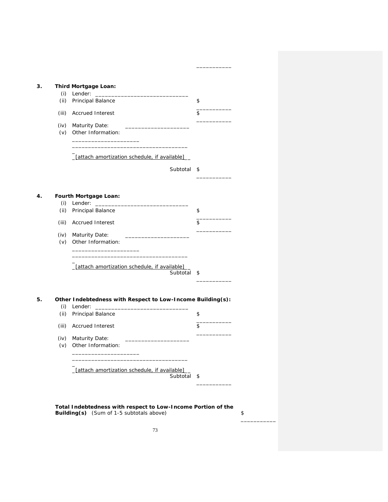| (ii)  | Principal Balance                                          | \$ |
|-------|------------------------------------------------------------|----|
| (iii) | <b>Accrued Interest</b>                                    | \$ |
|       | (iv) Maturity Date:                                        |    |
|       | (v) Other Information:                                     |    |
|       | [attach amortization schedule, if available]               |    |
|       | Subtotal                                                   | \$ |
|       |                                                            |    |
|       | <b>Fourth Mortgage Loan:</b>                               |    |
|       | $(i)$ Lender: $\_\_$<br>(ii) Principal Balance             | \$ |
|       | (iii) Accrued Interest                                     | \$ |
|       |                                                            |    |
|       | (iv) Maturity Date:<br>(v) Other Information:              |    |
|       |                                                            |    |
|       | [attach amortization schedule, if available]<br>Subtotal   | \$ |
|       | Other Indebtedness with Respect to Low-Income Building(s): |    |
| (i)   | Lender:                                                    |    |
| (ii)  | Principal Balance                                          | \$ |
| (iii) | <b>Accrued Interest</b>                                    | \$ |
|       | (iv) Maturity Date:                                        |    |
| (v)   | Other Information:                                         |    |
|       |                                                            |    |
|       | _[attach amortization schedule, if available]_             | \$ |
|       | Subtotal                                                   |    |

\_\_\_\_\_\_\_\_\_\_\_

\_\_\_\_\_\_\_\_\_\_\_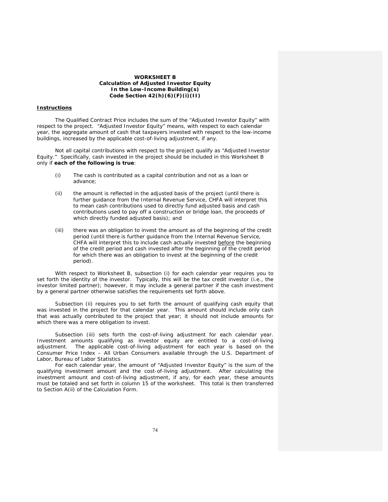#### **WORKSHEET B**  *Calculation of Adjusted Investor Equity In the Low-Income Building(s)*  **Code Section 42(h)(6)(F)(i)(II)**

### **Instructions**

 The Qualified Contract Price includes the sum of the "Adjusted Investor Equity" with respect to the project. "Adjusted Investor Equity" means, with respect to each calendar year, the aggregate amount of cash that taxpayers invested with respect to the low-income buildings, increased by the applicable cost-of-living adjustment, if any.

 Not all capital contributions with respect to the project qualify as "Adjusted Investor Equity." Specifically, cash invested in the project should be included in this Worksheet B only if **each of the following is true**:

- (i) The cash is contributed as a capital contribution and not as a loan or advance;
- (ii) the amount is reflected in the adjusted basis of the project (until there is further guidance from the Internal Revenue Service, CHFA will interpret this to mean cash contributions used to directly fund adjusted basis and cash contributions used to pay off a construction or bridge loan, the proceeds of which directly funded adjusted basis); and
- (iii) there was an obligation to invest the amount as of the beginning of the credit period (until there is further guidance from the Internal Revenue Service, CHFA will interpret this to include cash actually invested before the beginning of the credit period and cash invested after the beginning of the credit period for which there was an obligation to invest at the beginning of the credit period).

 With respect to Worksheet B, subsection (i) for each calendar year requires you to set forth the identity of the investor. Typically, this will be the tax credit investor (i.e., the investor limited partner); however, it may include a general partner if the cash investment by a general partner otherwise satisfies the requirements set forth above.

 Subsection (ii) requires you to set forth the amount of qualifying cash equity that was invested in the project for that calendar year. This amount should include only cash that was actually contributed to the project that year; it should not include amounts for which there was a mere obligation to invest.

 Subsection (iii) sets forth the cost-of-living adjustment for each calendar year. Investment amounts qualifying as investor equity are entitled to a cost-of-living adjustment. The applicable cost-of-living adjustment for each year is based on the Consumer Price Index – All Urban Consumers available through the U.S. Department of Labor, Bureau of Labor Statistics

 For each calendar year, the amount of "Adjusted Investor Equity" is the sum of the qualifying investment amount and the cost-of-living adjustment. After calculating the investment amount and cost-of-living adjustment, if any, for each year, these amounts must be totaled and set forth in column 15 of the worksheet. This total is then transferred to Section A(ii) of the Calculation Form.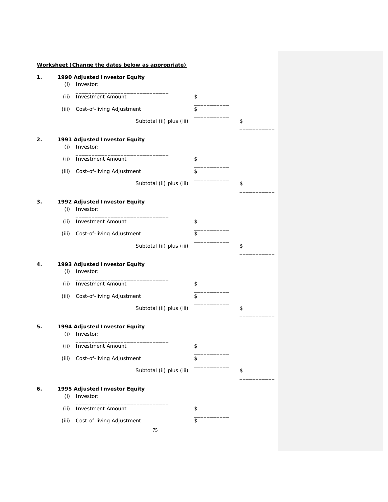| 1. | (i)   | 1990 Adjusted Investor Equity<br>Investor: |                          |    |
|----|-------|--------------------------------------------|--------------------------|----|
|    | (ii)  | <b>Investment Amount</b>                   |                          | \$ |
|    | (iii) | Cost-of-living Adjustment                  |                          | \$ |
|    |       |                                            | Subtotal (ii) plus (iii) | \$ |
| 2. | (i)   | 1991 Adjusted Investor Equity<br>Investor: |                          |    |
|    | (ii)  | <b>Investment Amount</b>                   |                          | \$ |
|    | (iii) | Cost-of-living Adjustment                  |                          | \$ |
|    |       |                                            | Subtotal (ii) plus (iii) | \$ |
| З. | (i)   | 1992 Adjusted Investor Equity<br>Investor: |                          |    |
|    | (ii)  | <b>Investment Amount</b>                   |                          | \$ |
|    | (iii) | Cost-of-living Adjustment                  |                          | \$ |
|    |       |                                            | Subtotal (ii) plus (iii) | \$ |
| 4. | (i)   | 1993 Adjusted Investor Equity<br>Investor: |                          |    |
|    | (ii)  | <b>Investment Amount</b>                   |                          | \$ |
|    | (iii) | Cost-of-living Adjustment                  |                          | \$ |
|    |       |                                            | Subtotal (ii) plus (iii) | \$ |
| 5. | (i)   | 1994 Adjusted Investor Equity<br>Investor: |                          |    |
|    |       | (ii) Investment Amount                     |                          | \$ |
|    | (iii) | Cost-of-living Adjustment                  |                          | \$ |
|    |       |                                            | Subtotal (ii) plus (iii) | \$ |
| 6. | (i)   | 1995 Adjusted Investor Equity<br>Investor: |                          |    |
|    | (ii)  | <b>Investment Amount</b>                   |                          | \$ |
|    | (iii) | Cost-of-living Adjustment                  | 75                       | \$ |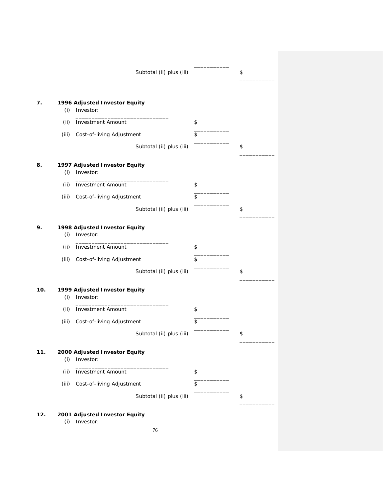|       |                                            | Subtotal (ii) plus (iii) | \$ |
|-------|--------------------------------------------|--------------------------|----|
|       |                                            |                          |    |
| (i)   | 1996 Adjusted Investor Equity<br>Investor: |                          |    |
| (ii)  | <b>Investment Amount</b>                   |                          | \$ |
| (iii) | Cost-of-living Adjustment                  |                          | \$ |
|       |                                            | Subtotal (ii) plus (iii) | \$ |
| (i)   | 1997 Adjusted Investor Equity<br>Investor: |                          |    |
| (ii)  | <b>Investment Amount</b>                   |                          | \$ |
| (iii) | Cost-of-living Adjustment                  |                          | \$ |
|       |                                            | Subtotal (ii) plus (iii) | \$ |
| (i)   | 1998 Adjusted Investor Equity<br>Investor: |                          |    |
| (ii)  | <b>Investment Amount</b>                   |                          | \$ |
| (iii) | Cost-of-living Adjustment                  |                          | \$ |
|       |                                            | Subtotal (ii) plus (iii) | \$ |
| (i)   | 1999 Adjusted Investor Equity<br>Investor: |                          |    |
| (ii)  | <b>Investment Amount</b>                   |                          | \$ |
| (iii) | Cost-of-living Adjustment                  |                          | \$ |
|       |                                            | Subtotal (ii) plus (iii) | \$ |
| (i)   | 2000 Adjusted Investor Equity<br>Investor: |                          |    |
| (ii)  | <b>Investment Amount</b>                   |                          | \$ |
| (iii) | Cost-of-living Adjustment                  |                          | \$ |
|       |                                            | Subtotal (ii) plus (iii) | \$ |
| (i)   | 2001 Adjusted Investor Equity<br>Investor: |                          |    |
|       |                                            | 76                       |    |

\_\_\_\_\_\_\_\_\_\_\_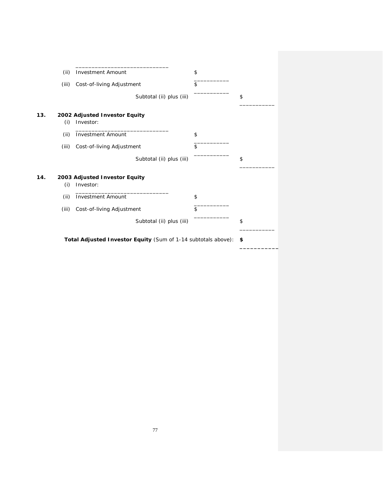|     | (ii)  | <b>Investment Amount</b>                                      | \$ |
|-----|-------|---------------------------------------------------------------|----|
|     | (iii) | Cost-of-living Adjustment                                     | \$ |
|     |       | Subtotal (ii) plus (iii)                                      | \$ |
| 13. | (i)   | 2002 Adjusted Investor Equity<br>Investor:                    |    |
|     |       |                                                               |    |
|     | (ii)  | <b>Investment Amount</b>                                      | \$ |
|     | (iii) | Cost-of-living Adjustment                                     | \$ |
|     |       | Subtotal (ii) plus (iii)                                      | \$ |
| 14. | (i)   | 2003 Adjusted Investor Equity<br>Investor:                    |    |
|     |       |                                                               |    |
|     | (ii)  | <b>Investment Amount</b>                                      | \$ |
|     | (iii) | Cost-of-living Adjustment                                     | \$ |
|     |       | Subtotal (ii) plus (iii)                                      | \$ |
|     |       | Total Adjusted Investor Equity (Sum of 1-14 subtotals above): | \$ |

**\_\_\_\_\_\_\_\_\_\_\_**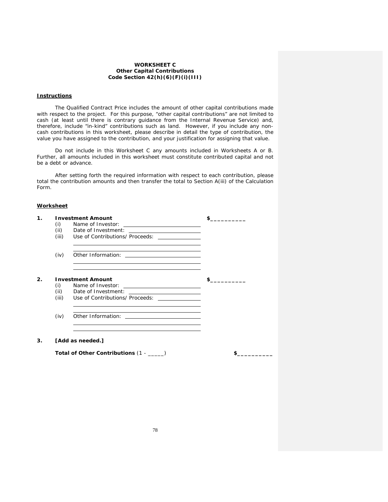### **WORKSHEET C**  *Other Capital Contributions* **Code Section 42(h)(6)(F)(i)(III)**

## **Instructions**

The Qualified Contract Price includes the amount of other capital contributions made with respect to the project. For this purpose, "other capital contributions" are not limited to cash (at least until there is contrary guidance from the Internal Revenue Service) and, therefore, include "in-kind" contributions such as land. However, if you include any noncash contributions in this worksheet, please describe in detail the type of contribution, the value you have assigned to the contribution, and your justification for assigning that value.

 Do not include in this Worksheet C any amounts included in Worksheets A or B. Further, all amounts included in this worksheet must constitute contributed capital and not be a debt or advance.

 After setting forth the required information with respect to each contribution, please total the contribution amounts and then transfer the total to Section A(iii) of the Calculation Form.

#### **Worksheet**

| 1.             | (i)<br>(ii)<br>(iii) | <b>Investment Amount</b><br>Name of Investor:<br><u> Alexandria de la contrada de la contrada de la contrada de la contrada de la contrada de la contrada de la c</u><br>Date of Investment:<br><u> 1989 - Andrea Station Books, amerikansk politik (d. 1989)</u><br>Use of Contributions/ Proceeds: _______________ |  |
|----------------|----------------------|----------------------------------------------------------------------------------------------------------------------------------------------------------------------------------------------------------------------------------------------------------------------------------------------------------------------|--|
|                | (iv)                 | <u> 1989 - Johann Stoff, amerikansk politiker (* 1908)</u>                                                                                                                                                                                                                                                           |  |
| 2 <sup>2</sup> | (i)<br>(ii)<br>(iii) | <b>Investment Amount</b><br>Name of Investor:<br>Use of Contributions/ Proceeds: _______________                                                                                                                                                                                                                     |  |
|                | (iv)                 | <u> 1989 - Johann Stoff, amerikansk politiker (* 1908)</u><br>Other Information: <u>_____________________________</u>                                                                                                                                                                                                |  |
| 3.             |                      | [Add as needed.]<br>Total of Other Contributions (1 - ____)                                                                                                                                                                                                                                                          |  |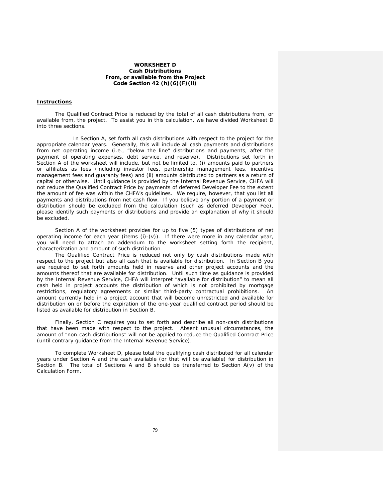#### **WORKSHEET D**  *Cash Distributions From, or available from the Project*  **Code Section 42 (h)(6)(F)(ii)**

#### **Instructions**

The Qualified Contract Price is reduced by the total of all cash distributions from, or available from, the project. To assist you in this calculation, we have divided Worksheet D into three sections.

 In Section A, set forth all cash distributions with respect to the project for the appropriate calendar years. Generally, this will include all cash payments and distributions from net operating income (i.e., "below the line" distributions and payments, after the payment of operating expenses, debt service, and reserve). Distributions set forth in Section A of the worksheet will include, but not be limited to, (i) amounts paid to partners or affiliates as fees (including investor fees, partnership management fees, incentive management fees and guaranty fees) and (ii) amounts distributed to partners as a return of capital or otherwise. Until guidance is provided by the Internal Revenue Service, CHFA will not reduce the Qualified Contract Price by payments of deferred Developer Fee to the extent the amount of fee was within the CHFA's guidelines. We require, however, that you list all payments and distributions from net cash flow. If you believe any portion of a payment or distribution should be excluded from the calculation (such as deferred Developer Fee), please identify such payments or distributions and provide an explanation of why it should be excluded.

Section A of the worksheet provides for up to five (5) types of distributions of net operating income for each year (items (i)-(v)). If there were more in any calendar year, you will need to attach an addendum to the worksheet setting forth the recipient, characterization and amount of such distribution.

The Qualified Contract Price is reduced not only by cash distributions made with respect to the project but also all cash that is available for distribution. In Section B you are required to set forth amounts held in reserve and other project accounts and the amounts thereof that are available for distribution. Until such time as guidance is provided by the Internal Revenue Service, CHFA will interpret "available for distribution" to mean all cash held in project accounts the distribution of which is not prohibited by mortgage restrictions, regulatory agreements or similar third-party contractual prohibitions. An amount currently held in a project account that will become unrestricted and available for distribution on or before the expiration of the one-year qualified contract period should be listed as available for distribution in Section B.

Finally, Section C requires you to set forth and describe all non-cash distributions that have been made with respect to the project. Absent unusual circumstances, the amount of "non-cash distributions" will not be applied to reduce the Qualified Contract Price (until contrary guidance from the Internal Revenue Service).

To complete Worksheet D, please total the qualifying cash distributed for all calendar years under Section A and the cash available (or that will be available) for distribution in Section B. The total of Sections A and B should be transferred to Section A(v) of the Calculation Form.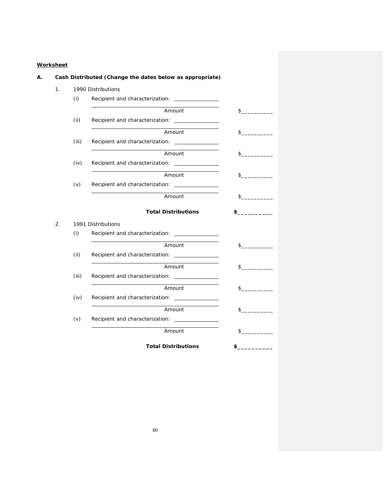## **Worksheet**

| 1 <sub>1</sub>   |       | 1990 Distributions                                              |               |
|------------------|-------|-----------------------------------------------------------------|---------------|
|                  | (i)   | Recipient and characterization: _______________                 |               |
|                  |       | Amount                                                          | $\sim$        |
|                  | (ii)  | Recipient and characterization: _______________                 |               |
|                  |       | Amount                                                          | $\sim$        |
|                  | (iii) | Recipient and characterization: ________________                |               |
|                  |       | Amount                                                          | $\sim$        |
|                  | (iv)  | Recipient and characterization: _______________                 |               |
|                  |       | Amount                                                          | \$            |
|                  | (v)   | Recipient and characterization:                                 |               |
|                  |       | Amount                                                          | $\sim$        |
|                  |       | <b>Total Distributions</b>                                      | \$            |
| $\overline{2}$ . |       | 1991 Distributions                                              |               |
|                  | (i)   | Recipient and characterization: _______________                 |               |
|                  |       | Amount                                                          | $\sim$        |
|                  | (ii)  | Recipient and characterization: Necipient and characterization: |               |
|                  |       | Amount                                                          | $\sim$        |
|                  | (iii) |                                                                 |               |
|                  |       | Amount                                                          | $\frac{1}{2}$ |
|                  | (iv)  | Recipient and characterization: ________________                |               |
|                  |       | Amount                                                          | $\sim$        |
|                  |       |                                                                 |               |
|                  | (v)   | Recipient and characterization: _______________                 |               |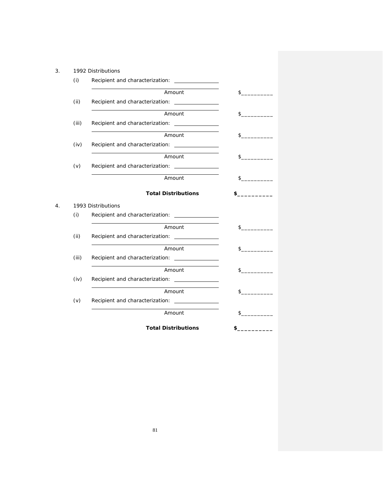|    |       | 1992 Distributions                               |               |
|----|-------|--------------------------------------------------|---------------|
|    | (i)   | Recipient and characterization: _______________  |               |
|    |       | Amount                                           | s             |
|    | (ii)  | Recipient and characterization: _______________  |               |
|    |       | Amount                                           |               |
|    | (iii) |                                                  |               |
|    |       | Amount                                           | \$            |
|    | (iv)  |                                                  |               |
|    |       | Amount                                           | \$            |
|    | (v)   |                                                  |               |
|    |       | Amount                                           | \$            |
|    |       |                                                  |               |
|    |       | <b>Total Distributions</b>                       | \$            |
| 4. |       | 1993 Distributions                               |               |
|    | (i)   |                                                  |               |
|    |       | Amount                                           | $\sim$        |
|    | (ii)  |                                                  |               |
|    |       | Amount                                           | $\frac{1}{2}$ |
|    | (iii) |                                                  |               |
|    |       | Amount                                           | \$            |
|    | (iv)  | Recipient and characterization: _______________  |               |
|    |       | Amount                                           | \$            |
|    | (v)   | Recipient and characterization: ________________ |               |
|    |       | Amount                                           | \$            |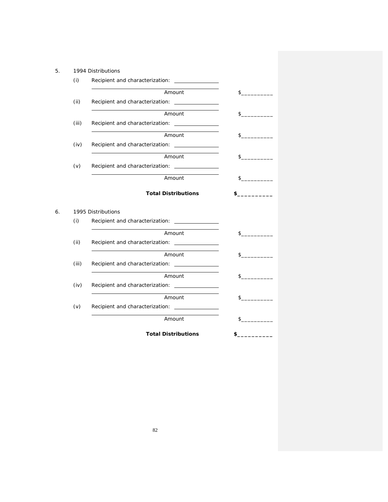| 1994 Distributions                               |                                                                                                         |
|--------------------------------------------------|---------------------------------------------------------------------------------------------------------|
| Recipient and characterization: _______________  |                                                                                                         |
| Amount                                           | $\sim$                                                                                                  |
| Recipient and characterization: _______________  |                                                                                                         |
| Amount                                           | $\mathsf{\$}$                                                                                           |
| Recipient and characterization: _______________  |                                                                                                         |
| Amount                                           | $\frac{1}{2}$                                                                                           |
| Recipient and characterization: _______________  |                                                                                                         |
| Amount                                           | \$                                                                                                      |
|                                                  |                                                                                                         |
| Amount                                           | $\sim$                                                                                                  |
|                                                  |                                                                                                         |
|                                                  |                                                                                                         |
|                                                  |                                                                                                         |
| Recipient and characterization: _______________  | \$                                                                                                      |
|                                                  | \$                                                                                                      |
|                                                  |                                                                                                         |
|                                                  |                                                                                                         |
| Amount                                           | \$                                                                                                      |
|                                                  |                                                                                                         |
| Amount                                           | \$                                                                                                      |
| Recipient and characterization: ________________ |                                                                                                         |
| Amount                                           | \$                                                                                                      |
| (iii)<br>(iv)<br>(iii)                           | <b>Total Distributions</b><br>1995 Distributions<br>Recipient and characterization:<br>Amount<br>Amount |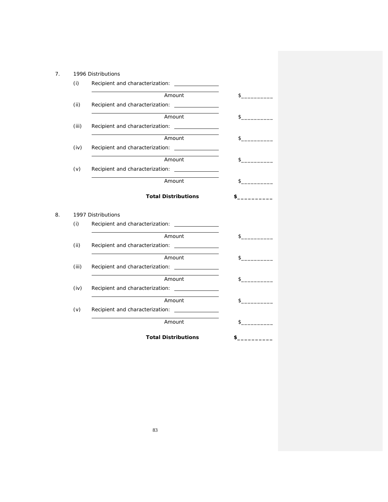| 7. |       | 1996 Distributions                               |              |
|----|-------|--------------------------------------------------|--------------|
|    | (i)   |                                                  |              |
|    |       | Amount                                           | $\sim$       |
|    | (ii)  | Recipient and characterization: _______________  |              |
|    |       | Amount                                           | $\mathbb{S}$ |
|    | (iii) |                                                  |              |
|    |       | Amount                                           | \$           |
|    | (iv)  | Recipient and characterization: _______________  |              |
|    |       | Amount                                           | \$           |
|    | (v)   | Recipient and characterization: _______________  |              |
|    |       | Amount                                           | $\sim$       |
|    |       | <b>Total Distributions</b>                       |              |
|    |       |                                                  |              |
|    |       | 1997 Distributions                               |              |
|    | (i)   |                                                  |              |
|    |       | Amount                                           | $\sim$       |
|    | (ii)  | Recipient and characterization:                  |              |
|    |       | Amount                                           | \$           |
|    | (iii) |                                                  |              |
|    |       | Amount                                           | $\sim$       |
|    | (iv)  | Recipient and characterization: ________________ |              |
| 8. |       | Amount                                           | $\sim$       |
|    | (v)   | Recipient and characterization: ________________ |              |
|    |       | Amount                                           | \$           |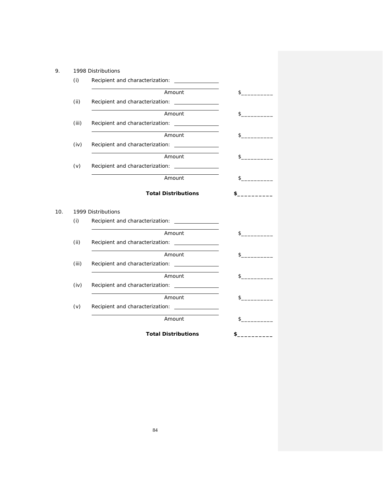| 9.         | 1998 Distributions                                        |        |
|------------|-----------------------------------------------------------|--------|
| (i)        | Recipient and characterization: _______________           |        |
|            | Amount                                                    | $\sim$ |
| (ii)       | Recipient and characterization: \[\station:\]             |        |
|            | Amount                                                    | $\sim$ |
| (iii)      | Recipient and characterization: _______________           |        |
|            | Amount                                                    | $\sim$ |
| (iv)       |                                                           |        |
|            | Amount                                                    | $\sim$ |
| (v)        | Recipient and characterization: ________________          |        |
|            | Amount                                                    | $\sim$ |
|            | 1999 Distributions                                        |        |
| 10.<br>(i) | Recipient and characterization: ________________          |        |
|            |                                                           |        |
| (ii)       | Amount                                                    |        |
|            |                                                           |        |
|            |                                                           |        |
|            | Amount                                                    | \$     |
| (iii)      |                                                           | $\sim$ |
|            | Amount                                                    | \$     |
| (iv)       |                                                           |        |
|            | Amount                                                    | \$     |
| (v)        | Recipient and characterization: _______________<br>Amount | \$     |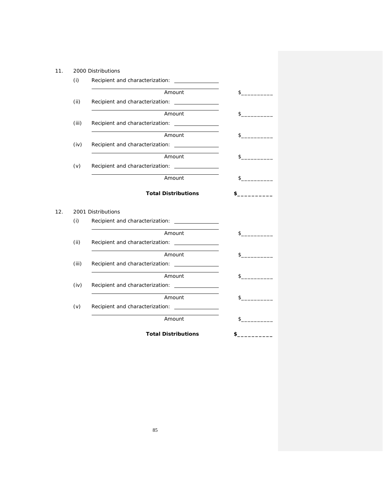| (i)<br>Recipient and characterization: _______________<br>Amount<br>(ii)<br>Recipient and characterization: _______________<br>Amount<br>(iii)<br>Recipient and characterization: _______________<br>Amount<br>(iv)<br>Recipient and characterization: _______________<br>Amount<br>$\sim$<br>(v)<br>Amount<br>$\sim$<br><b>Total Distributions</b><br>\$<br>2001 Distributions<br>(i)<br>Recipient and characterization:<br>Amount<br>\$<br>(ii)<br>Recipient and characterization: _______________<br>Amount<br>\$<br>(iii)<br>Amount<br>\$<br>(iv)<br>Amount<br>\$<br>Recipient and characterization: ________________<br>(v)<br>Amount<br>\$ | 11. | 2000 Distributions         |               |
|--------------------------------------------------------------------------------------------------------------------------------------------------------------------------------------------------------------------------------------------------------------------------------------------------------------------------------------------------------------------------------------------------------------------------------------------------------------------------------------------------------------------------------------------------------------------------------------------------------------------------------------------------|-----|----------------------------|---------------|
|                                                                                                                                                                                                                                                                                                                                                                                                                                                                                                                                                                                                                                                  |     |                            |               |
|                                                                                                                                                                                                                                                                                                                                                                                                                                                                                                                                                                                                                                                  |     |                            | $\sim$        |
|                                                                                                                                                                                                                                                                                                                                                                                                                                                                                                                                                                                                                                                  |     |                            |               |
|                                                                                                                                                                                                                                                                                                                                                                                                                                                                                                                                                                                                                                                  |     |                            | $\sim$        |
|                                                                                                                                                                                                                                                                                                                                                                                                                                                                                                                                                                                                                                                  |     |                            |               |
|                                                                                                                                                                                                                                                                                                                                                                                                                                                                                                                                                                                                                                                  |     |                            | $\frac{1}{2}$ |
|                                                                                                                                                                                                                                                                                                                                                                                                                                                                                                                                                                                                                                                  |     |                            |               |
|                                                                                                                                                                                                                                                                                                                                                                                                                                                                                                                                                                                                                                                  |     |                            |               |
|                                                                                                                                                                                                                                                                                                                                                                                                                                                                                                                                                                                                                                                  |     |                            |               |
|                                                                                                                                                                                                                                                                                                                                                                                                                                                                                                                                                                                                                                                  |     |                            |               |
|                                                                                                                                                                                                                                                                                                                                                                                                                                                                                                                                                                                                                                                  | 12. |                            |               |
|                                                                                                                                                                                                                                                                                                                                                                                                                                                                                                                                                                                                                                                  |     |                            |               |
|                                                                                                                                                                                                                                                                                                                                                                                                                                                                                                                                                                                                                                                  |     |                            |               |
|                                                                                                                                                                                                                                                                                                                                                                                                                                                                                                                                                                                                                                                  |     |                            |               |
|                                                                                                                                                                                                                                                                                                                                                                                                                                                                                                                                                                                                                                                  |     |                            |               |
|                                                                                                                                                                                                                                                                                                                                                                                                                                                                                                                                                                                                                                                  |     |                            |               |
|                                                                                                                                                                                                                                                                                                                                                                                                                                                                                                                                                                                                                                                  |     |                            |               |
|                                                                                                                                                                                                                                                                                                                                                                                                                                                                                                                                                                                                                                                  |     |                            |               |
|                                                                                                                                                                                                                                                                                                                                                                                                                                                                                                                                                                                                                                                  |     |                            |               |
|                                                                                                                                                                                                                                                                                                                                                                                                                                                                                                                                                                                                                                                  |     |                            |               |
|                                                                                                                                                                                                                                                                                                                                                                                                                                                                                                                                                                                                                                                  |     |                            |               |
|                                                                                                                                                                                                                                                                                                                                                                                                                                                                                                                                                                                                                                                  |     |                            |               |
|                                                                                                                                                                                                                                                                                                                                                                                                                                                                                                                                                                                                                                                  |     | <b>Total Distributions</b> | \$            |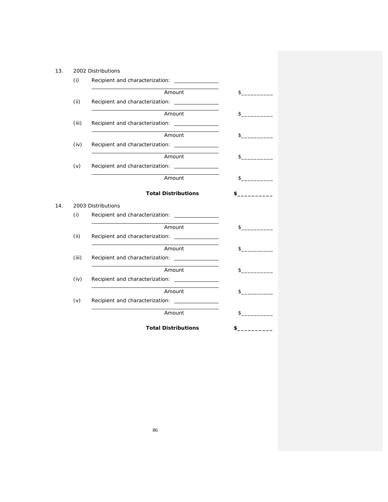|     |       | 2002 Distributions                               |               |
|-----|-------|--------------------------------------------------|---------------|
|     | (i)   | Recipient and characterization: _______________  |               |
|     |       | Amount                                           | s             |
|     | (ii)  | Recipient and characterization: _______________  |               |
|     |       | Amount                                           | $\sim$        |
|     | (iii) |                                                  |               |
|     |       | Amount                                           | $\sim$        |
|     | (iv)  | Recipient and characterization: ________________ |               |
|     |       | Amount                                           | $\sim$        |
|     | (v)   | Recipient and characterization: ________________ |               |
|     |       | Amount                                           | $\sim$        |
|     |       | <b>Total Distributions</b>                       | $\sim$ $\sim$ |
|     |       |                                                  |               |
| 14. |       | 2003 Distributions                               |               |
|     | (i)   | Recipient and characterization: ________________ |               |
|     |       | Amount                                           | $\sim$        |
|     | (ii)  |                                                  |               |
|     |       | Amount                                           | \$            |
|     | (iii) |                                                  |               |
|     |       | Amount                                           | \$            |
|     | (iv)  |                                                  |               |
|     |       | Amount                                           | \$            |
|     | (v)   | Recipient and characterization: _______________  |               |
|     |       | Amount                                           | \$            |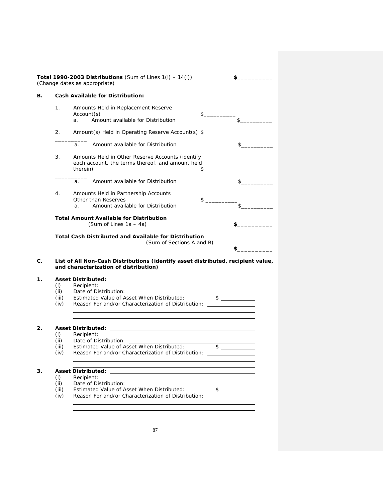|       | <b>Cash Available for Distribution:</b>                                                                                   |              |    |
|-------|---------------------------------------------------------------------------------------------------------------------------|--------------|----|
| 1.    | Amounts Held in Replacement Reserve                                                                                       |              |    |
|       | Account(s)                                                                                                                | \$           |    |
|       | Amount available for Distribution<br>a.                                                                                   |              | \$ |
| 2.    | Amount(s) Held in Operating Reserve Account(s) \$                                                                         |              |    |
|       | Amount available for Distribution<br>a.                                                                                   |              | \$ |
| 3.    | Amounts Held in Other Reserve Accounts (identify                                                                          |              |    |
|       | each account, the terms thereof, and amount held                                                                          |              |    |
|       | therein)                                                                                                                  | \$           |    |
|       | Amount available for Distribution<br>a.                                                                                   |              | \$ |
| 4.    | Amounts Held in Partnership Accounts                                                                                      |              |    |
|       | Other than Reserves                                                                                                       | $\mathsf{s}$ |    |
|       | Amount available for Distribution<br>$\mathsf{a}$ .                                                                       |              | \$ |
|       | <b>Total Amount Available for Distribution</b>                                                                            |              |    |
|       | (Sum of Lines $1a - 4a$ )                                                                                                 |              |    |
|       | <b>Total Cash Distributed and Available for Distribution</b><br>(Sum of Sections A and B)                                 | \$           |    |
|       |                                                                                                                           |              |    |
|       | List of All Non-Cash Distributions (identify asset distributed, recipient value,<br>and characterization of distribution) |              |    |
|       |                                                                                                                           |              |    |
| (i)   | Recipient:                                                                                                                |              |    |
| (ii)  | Date of Distribution:                                                                                                     |              |    |
| (iii) | Estimated Value of Asset When Distributed:                                                                                |              |    |
| (iv)  | Reason For and/or Characterization of Distribution: ____________________________                                          |              |    |
|       |                                                                                                                           |              |    |
|       | <b>Asset Distributed:</b>                                                                                                 |              |    |
| (i)   | Recipient:<br>Date of Distribution:                                                                                       |              |    |

(iii) Estimated Value of Asset When Distributed:  $\frac{\$}{\$}$ (iv) Reason For and/or Characterization of Distribution:

# **3. Asset Distributed:**

- (i) Recipient:<br>(ii) Date of Dis
- 
- (ii) Date of Distribution:<br>(iii) Estimated Value of Ass<br>(iv) Reason For and/or Cha Estimated Value of Asset When Distributed: \$
- Reason For and/or Characterization of Distribution: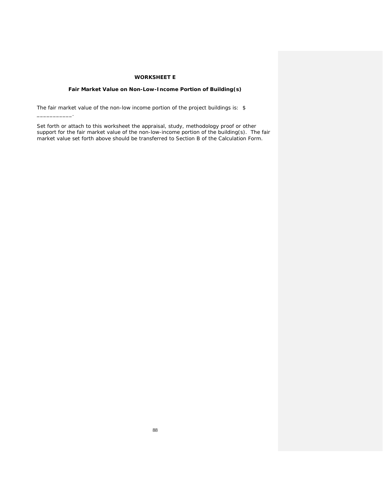## **WORKSHEET E**

## *Fair Market Value on Non-Low-Income Portion of Building(s)*

The fair market value of the non-low income portion of the project buildings is: \$

\_\_\_\_\_\_\_\_\_\_\_.

Set forth or attach to this worksheet the appraisal, study, methodology proof or other support for the fair market value of the non-low-income portion of the building(s). The fair market value set forth above should be transferred to Section B of the Calculation Form.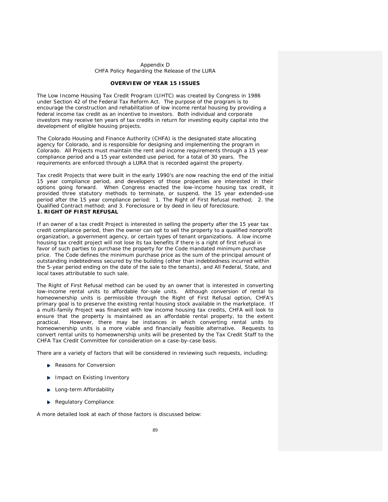#### Appendix D CHFA Policy Regarding the Release of the LURA

#### **OVERVIEW OF YEAR 15 ISSUES**

The Low Income Housing Tax Credit Program (LIHTC) was created by Congress in 1986 under Section 42 of the Federal Tax Reform Act. The purpose of the program is to encourage the construction and rehabilitation of low income rental housing by providing a federal income tax credit as an incentive to investors. Both individual and corporate investors may receive ten years of tax credits in return for investing equity capital into the development of eligible housing projects.

The Colorado Housing and Finance Authority (CHFA) is the designated state allocating agency for Colorado, and is responsible for designing and implementing the program in Colorado. All Projects must maintain the rent and income requirements through a 15 year compliance period and a 15 year extended use period, for a total of 30 years. The requirements are enforced through a LURA that is recorded against the property.

Tax credit Projects that were built in the early 1990's are now reaching the end of the initial 15 year compliance period, and developers of those properties are interested in their options going forward. When Congress enacted the low-income housing tax credit, it provided three statutory methods to terminate, or suspend, the 15 year extended-use period after the 15 year compliance period: 1. The Right of First Refusal method; 2. the Qualified Contract method; and 3. Foreclosure or by deed in lieu of foreclosure. **1. RIGHT OF FIRST REFUSAL** 

If an owner of a tax credit Project is interested in selling the property after the 15 year tax credit compliance period, then the owner can opt to sell the property to a qualified nonprofit organization, a government agency, or certain types of tenant organizations. A low income housing tax credit project will not lose its tax benefits if there is a right of first refusal in favor of such parties to purchase the property for the Code mandated minimum purchase price. The Code defines the minimum purchase price as the sum of the principal amount of outstanding indebtedness secured by the building (other than indebtedness incurred within the 5-year period ending on the date of the sale to the tenants), and All Federal, State, and local taxes attributable to such sale.

The Right of First Refusal method can be used by an owner that is interested in converting low-income rental units to affordable for-sale units. Although conversion of rental to homeownership units is permissible through the Right of First Refusal option, CHFA's primary goal is to preserve the existing rental housing stock available in the marketplace. If a multi-family Project was financed with low income housing tax credits, CHFA will look to ensure that the property is maintained as an affordable rental property, to the extent practical. However, there may be instances in which converting rental units to homeownership units is a more viable and financially feasible alternative. Requests to convert rental units to homeownership units will be presented by the Tax Credit Staff to the CHFA Tax Credit Committee for consideration on a case-by-case basis.

There are a variety of factors that will be considered in reviewing such requests, including:

- Reasons for Conversion
- **Impact on Existing Inventory**
- **Long-term Affordability**
- Regulatory Compliance

A more detailed look at each of those factors is discussed below: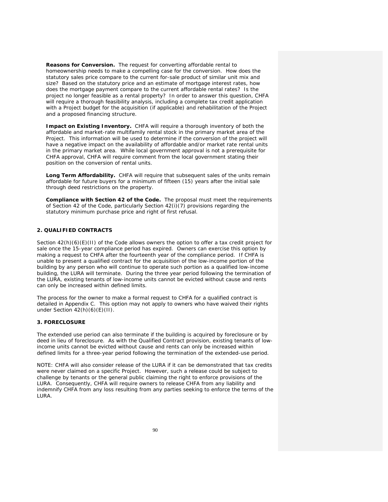**Reasons for Conversion.** The request for converting affordable rental to homeownership needs to make a compelling case for the conversion. How does the statutory sales price compare to the current for-sale product of similar unit mix and size? Based on the statutory price and an estimate of mortgage interest rates, how does the mortgage payment compare to the current affordable rental rates? Is the project no longer feasible as a rental property? In order to answer this question, CHFA will require a thorough feasibility analysis, including a complete tax credit application with a Project budget for the acquisition (if applicable) and rehabilitation of the Project and a proposed financing structure.

**Impact on Existing Inventory.** CHFA will require a thorough inventory of both the affordable and market-rate multifamily rental stock in the primary market area of the Project. This information will be used to determine if the conversion of the project will have a negative impact on the availability of affordable and/or market rate rental units in the primary market area. While local government approval is not a prerequisite for CHFA approval, CHFA will require comment from the local government stating their position on the conversion of rental units.

Long Term Affordability. CHFA will require that subsequent sales of the units remain affordable for future buyers for a minimum of fifteen (15) years after the initial sale through deed restrictions on the property.

**Compliance with Section 42 of the Code.** The proposal must meet the requirements of Section 42 of the Code, particularly Section 42(i)(7) provisions regarding the statutory minimum purchase price and right of first refusal.

## **2. QUALIFIED CONTRACTS**

Section  $42(h)(6)(E)(H)$  of the Code allows owners the option to offer a tax credit project for sale once the 15-year compliance period has expired. Owners can exercise this option by making a request to CHFA after the fourteenth year of the compliance period. If CHFA is unable to present a qualified contract for the acquisition of the low-income portion of the building by any person who will continue to operate such portion as a qualified low-income building, the LURA will terminate. During the three year period following the termination of the LURA, existing tenants of low-income units cannot be evicted without cause and rents can only be increased within defined limits.

The process for the owner to make a formal request to CHFA for a qualified contract is detailed in Appendix C. This option may not apply to owners who have waived their rights under Section 42(h)(6)(E)(II).

### **3. FORECLOSURE**

The extended use period can also terminate if the building is acquired by foreclosure or by deed in lieu of foreclosure. As with the Qualified Contract provision, existing tenants of lowincome units cannot be evicted without cause and rents can only be increased within defined limits for a three-year period following the termination of the extended-use period.

NOTE: CHFA will also consider release of the LURA if it can be demonstrated that tax credits were never claimed on a specific Project. However, such a release could be subject to challenge by tenants or the general public claiming the right to enforce provisions of the LURA. Consequently, CHFA will require owners to release CHFA from any liability and indemnify CHFA from any loss resulting from any parties seeking to enforce the terms of the LURA.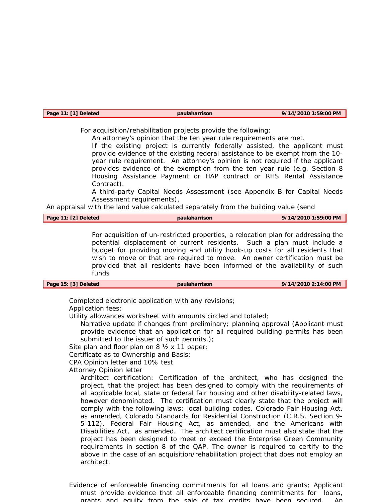| Page 11: [1] Deleted | paulaharrison | 9/14/2010 1:59:00 PM |
|----------------------|---------------|----------------------|
|                      |               |                      |

For acquisition/rehabilitation projects provide the following:

An attorney's opinion that the ten year rule requirements are met.

If the existing project is currently federally assisted, the applicant must provide evidence of the existing federal assistance to be exempt from the 10 year rule requirement. An attorney's opinion is not required if the applicant provides evidence of the exemption from the ten year rule (e.g. Section 8 Housing Assistance Payment or HAP contract or RHS Rental Assistance Contract).

A third-party Capital Needs Assessment (see Appendix B for Capital Needs Assessment requirements),

An appraisal with the land value calculated separately from the building value (send

| Page 11: [2] Deleted | paulaharrison | 9/14/2010 1:59:00 PM |
|----------------------|---------------|----------------------|
|                      |               |                      |

For acquisition of un-restricted properties, a relocation plan for addressing the potential displacement of current residents. Such a plan must include a budget for providing moving and utility hook-up costs for all residents that wish to move or that are required to move. An owner certification must be provided that all residents have been informed of the availability of such funds

| Page 15: [3] Deleted<br>paulaharrison | 9/14/2010 2:14:00 PM |
|---------------------------------------|----------------------|
|---------------------------------------|----------------------|

Completed electronic application with any revisions;

Application fees;

Utility allowances worksheet with amounts circled and totaled;

Narrative update if changes from preliminary; planning approval (Applicant must provide evidence that an application for all required building permits has been submitted to the issuer of such permits.);

Site plan and floor plan on 8  $\frac{1}{2}$  x 11 paper;

Certificate as to Ownership and Basis;

CPA Opinion letter and 10% test

Attorney Opinion letter

Architect certification: Certification of the architect, who has designed the project, that the project has been designed to comply with the requirements of all applicable local, state or federal fair housing and other disability-related laws, however denominated. The certification must clearly state that the project will comply with the following laws: local building codes, Colorado Fair Housing Act, as amended, Colorado Standards for Residential Construction (C.R.S. Section 9- 5-112), Federal Fair Housing Act, as amended, and the Americans with Disabilities Act, as amended. The architect certification must also state that the project has been designed to meet or exceed the Enterprise Green Community requirements in section 8 of the QAP. The owner is required to certify to the above in the case of an acquisition/rehabilitation project that does not employ an architect.

Evidence of enforceable financing commitments for all loans and grants; Applicant must provide evidence that all enforceable financing commitments for loans, grants and equity from the sale of tax credits have been secured. An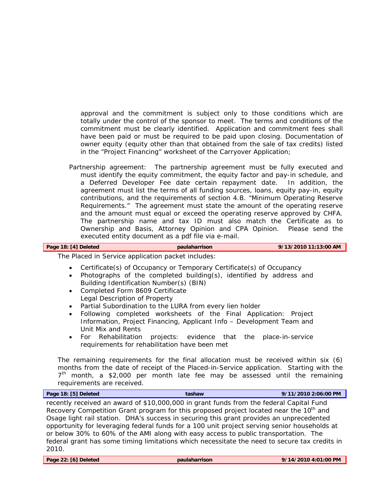approval and the commitment is subject only to those conditions which are totally under the control of the sponsor to meet. The terms and conditions of the commitment must be clearly identified. Application and commitment fees shall have been paid or must be required to be paid upon closing. Documentation of owner equity (equity other than that obtained from the sale of tax credits) listed in the "Project Financing" worksheet of the Carryover Application;

Partnership agreement: The partnership agreement must be fully executed and must identify the equity commitment, the equity factor and pay-in schedule, and a Deferred Developer Fee date certain repayment date. In addition, the agreement must list the terms of all funding sources, loans, equity pay-in, equity contributions, and the requirements of section 4.B. "Minimum Operating Reserve Requirements." The agreement must state the amount of the operating reserve and the amount must equal or exceed the operating reserve approved by CHFA. The partnership name and tax ID must also match the Certificate as to Ownership and Basis, Attorney Opinion and CPA Opinion. Please send the executed entity document as a pdf file via e-mail.

# **Page 18: [4] Deleted paulaharrison 9/13/2010 11:13:00 AM**

The Placed in Service application packet includes:

- Certificate(s) of Occupancy or Temporary Certificate(s) of Occupancy
- Photographs of the completed building(s), identified by address and Building Identification Number(s) (BIN)
- Completed Form 8609 Certificate Legal Description of Property
- Partial Subordination to the LURA from every lien holder
- Following completed worksheets of the Final Application: Project Information, Project Financing, Applicant Info – Development Team and Unit Mix and Rents
- For Rehabilitation projects: evidence that the place-in-service requirements for rehabilitation have been met

The remaining requirements for the final allocation must be received within six (6) months from the date of receipt of the Placed-in-Service application. Starting with the  $7<sup>th</sup>$  month, a \$2,000 per month late fee may be assessed until the remaining requirements are received.

| Page 18: [5] Deleted | tashaw                                                                                             | 9/11/2010 2:06:00 PM |
|----------------------|----------------------------------------------------------------------------------------------------|----------------------|
|                      | recently received an award of \$10,000,000 in grant funds from the federal Capital Fund            |                      |
|                      | Recovery Competition Grant program for this proposed project located near the 10 <sup>th</sup> and |                      |
|                      | Osage light rail station. DHA's success in securing this grant provides an unprecedented           |                      |
|                      | opportunity for leveraging federal funds for a 100 unit project serving senior households at       |                      |
|                      | or below 30% to 60% of the AMI along with easy access to public transportation. The                |                      |
|                      | federal grant has some timing limitations which necessitate the need to secure tax credits in      |                      |
| 2010.                |                                                                                                    |                      |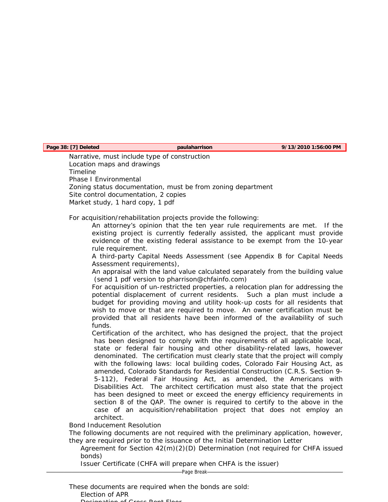**Page 38: [7] Deleted paulaharrison 9/13/2010 1:56:00 PM** 

Narrative, must include type of construction Location maps and drawings Timeline Phase I Environmental Zoning status documentation, must be from zoning department Site control documentation, 2 copies Market study, 1 hard copy, 1 pdf

For acquisition/rehabilitation projects provide the following:

An attorney's opinion that the ten year rule requirements are met. If the existing project is currently federally assisted, the applicant must provide evidence of the existing federal assistance to be exempt from the 10-year rule requirement.

A third-party Capital Needs Assessment (see Appendix B for Capital Needs Assessment requirements),

An appraisal with the land value calculated separately from the building value (send 1 pdf version to pharrison@chfainfo.com)

For acquisition of un-restricted properties, a relocation plan for addressing the potential displacement of current residents. Such a plan must include a budget for providing moving and utility hook-up costs for all residents that wish to move or that are required to move. An owner certification must be provided that all residents have been informed of the availability of such funds.

Certification of the architect, who has designed the project, that the project has been designed to comply with the requirements of all applicable local, state or federal fair housing and other disability-related laws, however denominated. The certification must clearly state that the project will comply with the following laws: local building codes, Colorado Fair Housing Act, as amended, Colorado Standards for Residential Construction (C.R.S. Section 9- 5-112), Federal Fair Housing Act, as amended, the Americans with Disabilities Act. The architect certification must also state that the project has been designed to meet or exceed the energy efficiency requirements in section 8 of the QAP. The owner is required to certify to the above in the case of an acquisition/rehabilitation project that does not employ an architect.

Bond Inducement Resolution

The following documents are not required with the preliminary application, however, they are required prior to the issuance of the Initial Determination Letter

Agreement for Section 42(m)(2)(D) Determination (not required for CHFA issued bonds)

Issuer Certificate (CHFA will prepare when CHFA is the issuer)

Page Break-

These documents are required when the bonds are sold: Election of APR Designation of Gross Rent Floor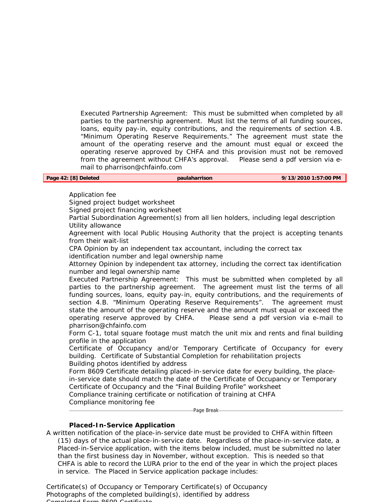Executed Partnership Agreement: This must be submitted when completed by all parties to the partnership agreement. Must list the terms of all funding sources, loans, equity pay-in, equity contributions, and the requirements of section 4.B. "Minimum Operating Reserve Requirements." The agreement must state the amount of the operating reserve and the amount must equal or exceed the operating reserve approved by CHFA and this provision must not be removed from the agreement without CHFA's approval. Please send a pdf version via email to pharrison@chfainfo.com

| Page 42: [8] Deleted | paulaharrison | 9/13/2010 1:57:00 PM |
|----------------------|---------------|----------------------|

## Application fee

Signed project budget worksheet

Signed project financing worksheet

Partial Subordination Agreement(s) from all lien holders, including legal description Utility allowance

Agreement with local Public Housing Authority that the project is accepting tenants from their wait-list

CPA Opinion by an independent tax accountant, including the correct tax

identification number and legal ownership name

Attorney Opinion by independent tax attorney, including the correct tax identification number and legal ownership name

Executed Partnership Agreement: This must be submitted when completed by all parties to the partnership agreement. The agreement must list the terms of all funding sources, loans, equity pay-in, equity contributions, and the requirements of section 4.B. "Minimum Operating Reserve Requirements". The agreement must state the amount of the operating reserve and the amount must equal or exceed the operating reserve approved by CHFA. Please send a pdf version via e-mail to pharrison@chfainfo.com

Form C-1, total square footage must match the unit mix and rents and final building profile in the application

Certificate of Occupancy and/or Temporary Certificate of Occupancy for every building. Certificate of Substantial Completion for rehabilitation projects Building photos identified by address

Form 8609 Certificate detailing placed-in-service date for every building, the placein-service date should match the date of the Certificate of Occupancy or Temporary Certificate of Occupancy and the "Final Building Profile" worksheet Compliance training certificate or notification of training at CHFA Compliance monitoring fee

-Page Break-

# **Placed-In-Service Application**

A written notification of the place-in-service date must be provided to CHFA within fifteen (15) days of the actual place-in-service date. Regardless of the place-in-service date, a Placed-in-Service application, with the items below included, must be submitted no later than the first business day in November, without exception. This is needed so that CHFA is able to record the LURA prior to the end of the year in which the project places in service. The Placed in Service application package includes:

Certificate(s) of Occupancy or Temporary Certificate(s) of Occupancy Photographs of the completed building(s), identified by address  $Cov(0, 0, 0)$